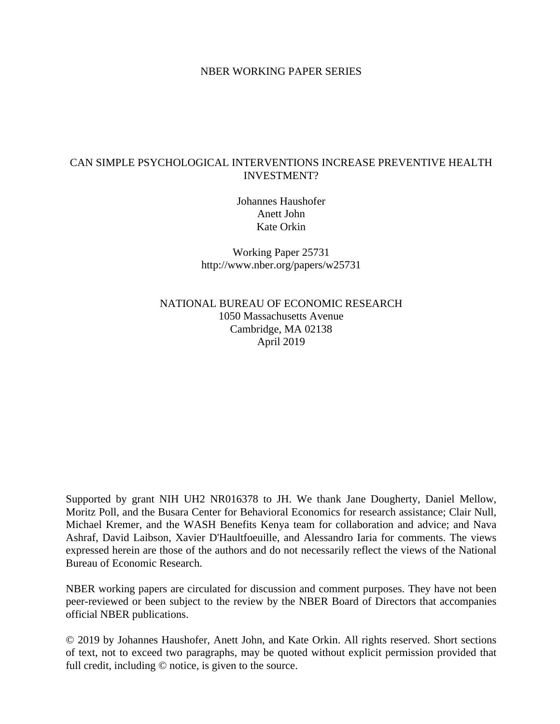#### NBER WORKING PAPER SERIES

### CAN SIMPLE PSYCHOLOGICAL INTERVENTIONS INCREASE PREVENTIVE HEALTH INVESTMENT?

Johannes Haushofer Anett John Kate Orkin

Working Paper 25731 http://www.nber.org/papers/w25731

NATIONAL BUREAU OF ECONOMIC RESEARCH 1050 Massachusetts Avenue Cambridge, MA 02138 April 2019

Supported by grant NIH UH2 NR016378 to JH. We thank Jane Dougherty, Daniel Mellow, Moritz Poll, and the Busara Center for Behavioral Economics for research assistance; Clair Null, Michael Kremer, and the WASH Benefits Kenya team for collaboration and advice; and Nava Ashraf, David Laibson, Xavier D'Haultfoeuille, and Alessandro Iaria for comments. The views expressed herein are those of the authors and do not necessarily reflect the views of the National Bureau of Economic Research.

NBER working papers are circulated for discussion and comment purposes. They have not been peer-reviewed or been subject to the review by the NBER Board of Directors that accompanies official NBER publications.

© 2019 by Johannes Haushofer, Anett John, and Kate Orkin. All rights reserved. Short sections of text, not to exceed two paragraphs, may be quoted without explicit permission provided that full credit, including © notice, is given to the source.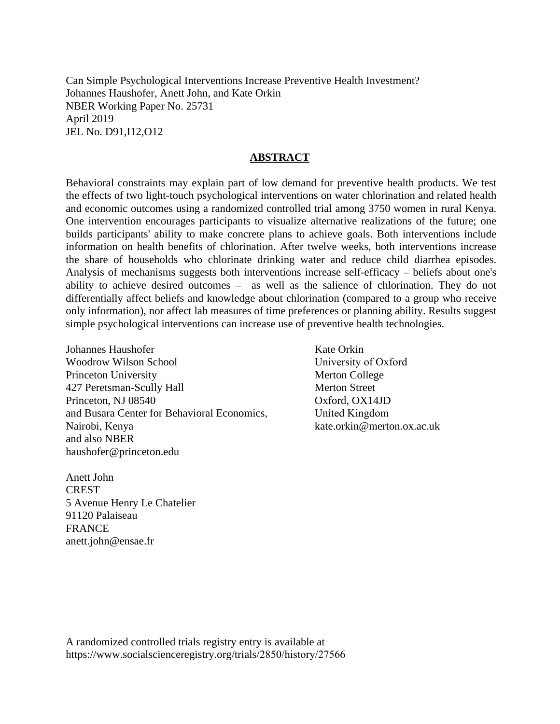Can Simple Psychological Interventions Increase Preventive Health Investment? Johannes Haushofer, Anett John, and Kate Orkin NBER Working Paper No. 25731 April 2019 JEL No. D91,I12,O12

### **ABSTRACT**

Behavioral constraints may explain part of low demand for preventive health products. We test the effects of two light-touch psychological interventions on water chlorination and related health and economic outcomes using a randomized controlled trial among 3750 women in rural Kenya. One intervention encourages participants to visualize alternative realizations of the future; one builds participants' ability to make concrete plans to achieve goals. Both interventions include information on health benefits of chlorination. After twelve weeks, both interventions increase the share of households who chlorinate drinking water and reduce child diarrhea episodes. Analysis of mechanisms suggests both interventions increase self-efficacy – beliefs about one's ability to achieve desired outcomes – as well as the salience of chlorination. They do not differentially affect beliefs and knowledge about chlorination (compared to a group who receive only information), nor affect lab measures of time preferences or planning ability. Results suggest simple psychological interventions can increase use of preventive health technologies.

Johannes Haushofer Woodrow Wilson School Princeton University 427 Peretsman-Scully Hall Princeton, NJ 08540 and Busara Center for Behavioral Economics, Nairobi, Kenya and also NBER haushofer@princeton.edu

Anett John **CREST** 5 Avenue Henry Le Chatelier 91120 Palaiseau FRANCE anett.john@ensae.fr

Kate Orkin University of Oxford Merton College Merton Street Oxford, OX14JD United Kingdom kate.orkin@merton.ox.ac.uk

A randomized controlled trials registry entry is available at https://www.socialscienceregistry.org/trials/2850/history/27566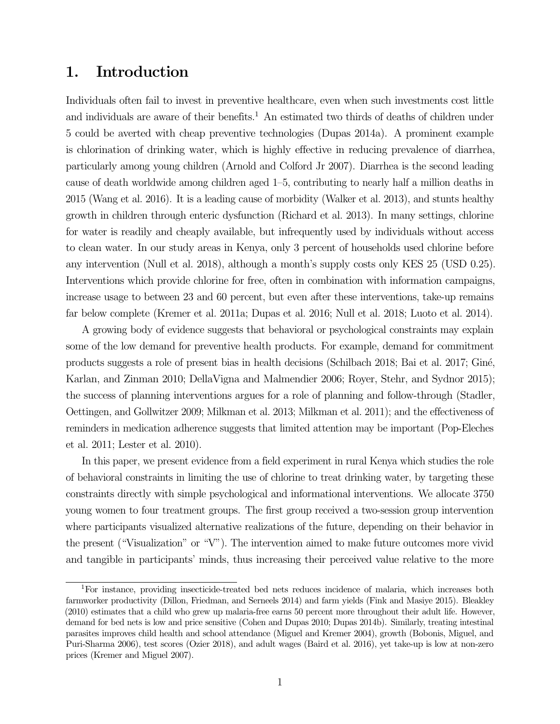# 1. Introduction

Individuals often fail to invest in preventive healthcare, even when such investments cost little and individuals are aware of their benefits.<sup>1</sup> An estimated two thirds of deaths of children under 5 could be averted with cheap preventive technologies (Dupas 2014a). A prominent example is chlorination of drinking water, which is highly effective in reducing prevalence of diarrhea, particularly among young children (Arnold and Colford Jr 2007). Diarrhea is the second leading cause of death worldwide among children aged 1–5, contributing to nearly half a million deaths in 2015 (Wang et al. 2016). It is a leading cause of morbidity (Walker et al. 2013), and stunts healthy growth in children through enteric dysfunction (Richard et al. 2013). In many settings, chlorine for water is readily and cheaply available, but infrequently used by individuals without access to clean water. In our study areas in Kenya, only 3 percent of households used chlorine before any intervention (Null et al. 2018), although a month's supply costs only KES 25 (USD 0.25). Interventions which provide chlorine for free, often in combination with information campaigns, increase usage to between 23 and 60 percent, but even after these interventions, take-up remains far below complete (Kremer et al. 2011a; Dupas et al. 2016; Null et al. 2018; Luoto et al. 2014).

A growing body of evidence suggests that behavioral or psychological constraints may explain some of the low demand for preventive health products. For example, demand for commitment products suggests a role of present bias in health decisions (Schilbach 2018; Bai et al. 2017; Giné, Karlan, and Zinman 2010; DellaVigna and Malmendier 2006; Royer, Stehr, and Sydnor 2015); the success of planning interventions argues for a role of planning and follow-through (Stadler, Oettingen, and Gollwitzer 2009; Milkman et al. 2013; Milkman et al. 2011); and the effectiveness of reminders in medication adherence suggests that limited attention may be important (Pop-Eleches et al. 2011; Lester et al. 2010).

In this paper, we present evidence from a field experiment in rural Kenya which studies the role of behavioral constraints in limiting the use of chlorine to treat drinking water, by targeting these constraints directly with simple psychological and informational interventions. We allocate 3750 young women to four treatment groups. The first group received a two-session group intervention where participants visualized alternative realizations of the future, depending on their behavior in the present ("Visualization" or "V"). The intervention aimed to make future outcomes more vivid and tangible in participants' minds, thus increasing their perceived value relative to the more

<sup>1</sup>For instance, providing insecticide-treated bed nets reduces incidence of malaria, which increases both farmworker productivity (Dillon, Friedman, and Serneels 2014) and farm yields (Fink and Masiye 2015). Bleakley (2010) estimates that a child who grew up malaria-free earns 50 percent more throughout their adult life. However, demand for bed nets is low and price sensitive (Cohen and Dupas 2010; Dupas 2014b). Similarly, treating intestinal parasites improves child health and school attendance (Miguel and Kremer 2004), growth (Bobonis, Miguel, and Puri-Sharma 2006), test scores (Ozier 2018), and adult wages (Baird et al. 2016), yet take-up is low at non-zero prices (Kremer and Miguel 2007).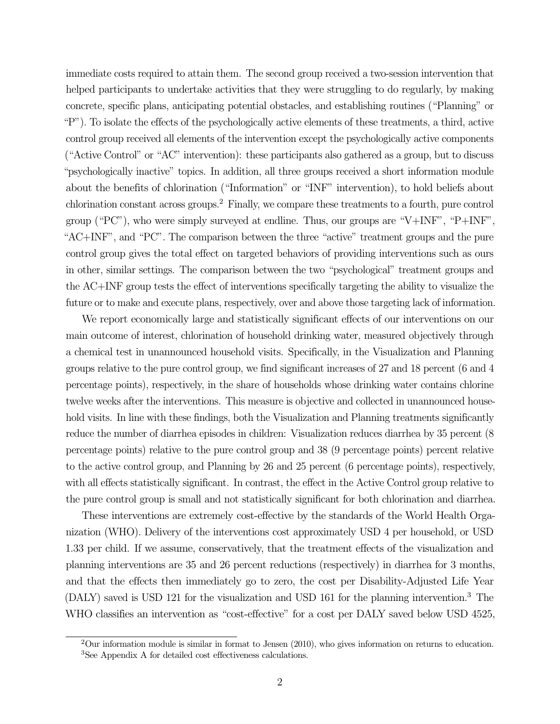immediate costs required to attain them. The second group received a two-session intervention that helped participants to undertake activities that they were struggling to do regularly, by making concrete, specific plans, anticipating potential obstacles, and establishing routines ("Planning" or "P"). To isolate the effects of the psychologically active elements of these treatments, a third, active control group received all elements of the intervention except the psychologically active components ("Active Control" or "AC" intervention): these participants also gathered as a group, but to discuss "psychologically inactive" topics. In addition, all three groups received a short information module about the benefits of chlorination ("Information" or "INF" intervention), to hold beliefs about chlorination constant across groups.2 Finally, we compare these treatments to a fourth, pure control group ("PC"), who were simply surveyed at endline. Thus, our groups are "V+INF", "P+INF", "AC+INF", and "PC". The comparison between the three "active" treatment groups and the pure control group gives the total effect on targeted behaviors of providing interventions such as ours in other, similar settings. The comparison between the two "psychological" treatment groups and the AC+INF group tests the effect of interventions specifically targeting the ability to visualize the future or to make and execute plans, respectively, over and above those targeting lack of information.

We report economically large and statistically significant effects of our interventions on our main outcome of interest, chlorination of household drinking water, measured objectively through a chemical test in unannounced household visits. Specifically, in the Visualization and Planning groups relative to the pure control group, we find significant increases of 27 and 18 percent (6 and 4 percentage points), respectively, in the share of households whose drinking water contains chlorine twelve weeks after the interventions. This measure is objective and collected in unannounced household visits. In line with these findings, both the Visualization and Planning treatments significantly reduce the number of diarrhea episodes in children: Visualization reduces diarrhea by 35 percent (8 percentage points) relative to the pure control group and 38 (9 percentage points) percent relative to the active control group, and Planning by 26 and 25 percent (6 percentage points), respectively, with all effects statistically significant. In contrast, the effect in the Active Control group relative to the pure control group is small and not statistically significant for both chlorination and diarrhea.

These interventions are extremely cost-effective by the standards of the World Health Organization (WHO). Delivery of the interventions cost approximately USD 4 per household, or USD 1.33 per child. If we assume, conservatively, that the treatment effects of the visualization and planning interventions are 35 and 26 percent reductions (respectively) in diarrhea for 3 months, and that the effects then immediately go to zero, the cost per Disability-Adjusted Life Year (DALY) saved is USD 121 for the visualization and USD 161 for the planning intervention.<sup>3</sup> The WHO classifies an intervention as "cost-effective" for a cost per DALY saved below USD 4525,

<sup>2</sup>Our information module is similar in format to Jensen (2010), who gives information on returns to education. <sup>3</sup>See Appendix A for detailed cost effectiveness calculations.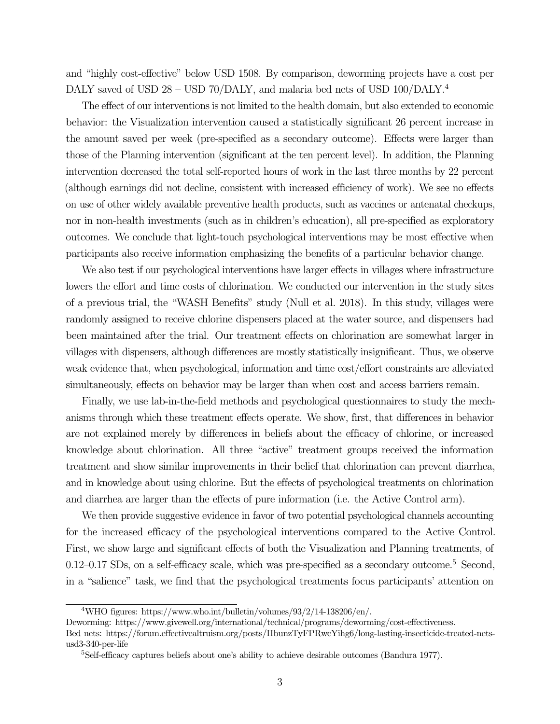and "highly cost-effective" below USD 1508. By comparison, deworming projects have a cost per DALY saved of USD 28 – USD 70/DALY, and malaria bed nets of USD 100/DALY.<sup>4</sup>

The effect of our interventions is not limited to the health domain, but also extended to economic behavior: the Visualization intervention caused a statistically significant 26 percent increase in the amount saved per week (pre-specified as a secondary outcome). Effects were larger than those of the Planning intervention (significant at the ten percent level). In addition, the Planning intervention decreased the total self-reported hours of work in the last three months by 22 percent (although earnings did not decline, consistent with increased efficiency of work). We see no effects on use of other widely available preventive health products, such as vaccines or antenatal checkups, nor in non-health investments (such as in children's education), all pre-specified as exploratory outcomes. We conclude that light-touch psychological interventions may be most effective when participants also receive information emphasizing the benefits of a particular behavior change.

We also test if our psychological interventions have larger effects in villages where infrastructure lowers the effort and time costs of chlorination. We conducted our intervention in the study sites of a previous trial, the "WASH Benefits" study (Null et al. 2018). In this study, villages were randomly assigned to receive chlorine dispensers placed at the water source, and dispensers had been maintained after the trial. Our treatment effects on chlorination are somewhat larger in villages with dispensers, although differences are mostly statistically insignificant. Thus, we observe weak evidence that, when psychological, information and time cost/effort constraints are alleviated simultaneously, effects on behavior may be larger than when cost and access barriers remain.

Finally, we use lab-in-the-field methods and psychological questionnaires to study the mechanisms through which these treatment effects operate. We show, first, that differences in behavior are not explained merely by differences in beliefs about the efficacy of chlorine, or increased knowledge about chlorination. All three "active" treatment groups received the information treatment and show similar improvements in their belief that chlorination can prevent diarrhea, and in knowledge about using chlorine. But the effects of psychological treatments on chlorination and diarrhea are larger than the effects of pure information (i.e. the Active Control arm).

We then provide suggestive evidence in favor of two potential psychological channels accounting for the increased efficacy of the psychological interventions compared to the Active Control. First, we show large and significant effects of both the Visualization and Planning treatments, of  $0.12$ – $0.17$  SDs, on a self-efficacy scale, which was pre-specified as a secondary outcome.<sup>5</sup> Second, in a "salience" task, we find that the psychological treatments focus participants' attention on

<sup>&</sup>lt;sup>4</sup>WHO figures: [https://www.who.int/bulletin/volumes/93/2/14-138206/en/.](https://www.who.int/bulletin/volumes/93/2/14-138206/en/)

Deworming: [https://www.givewell.org/international/technical/programs/deworming/cost-effectiveness.](https://www.givewell.org/international/technical/programs/deworming/cost-effectiveness) Bed nets: [https://forum.effectivealtruism.org/posts/HbunzTyFPRwcYihg6/long-lasting-insecticide-treated-nets](https://forum.effectivealtruism.org/posts/HbunzTyFPRwcYihg6/long-lasting-insecticide-treated-nets-usd3-340-per-life)[usd3-340-per-life](https://forum.effectivealtruism.org/posts/HbunzTyFPRwcYihg6/long-lasting-insecticide-treated-nets-usd3-340-per-life)

<sup>5</sup>Self-efficacy captures beliefs about one's ability to achieve desirable outcomes (Bandura 1977).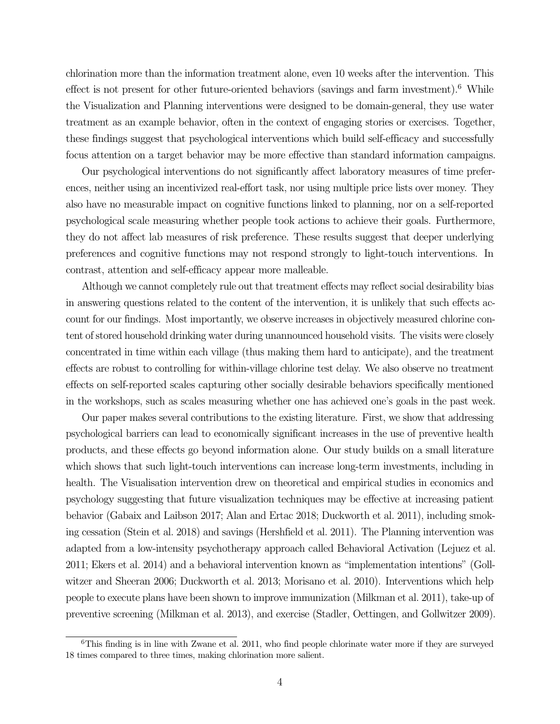chlorination more than the information treatment alone, even 10 weeks after the intervention. This effect is not present for other future-oriented behaviors (savings and farm investment).<sup>6</sup> While the Visualization and Planning interventions were designed to be domain-general, they use water treatment as an example behavior, often in the context of engaging stories or exercises. Together, these findings suggest that psychological interventions which build self-efficacy and successfully focus attention on a target behavior may be more effective than standard information campaigns.

Our psychological interventions do not significantly affect laboratory measures of time preferences, neither using an incentivized real-effort task, nor using multiple price lists over money. They also have no measurable impact on cognitive functions linked to planning, nor on a self-reported psychological scale measuring whether people took actions to achieve their goals. Furthermore, they do not affect lab measures of risk preference. These results suggest that deeper underlying preferences and cognitive functions may not respond strongly to light-touch interventions. In contrast, attention and self-efficacy appear more malleable.

Although we cannot completely rule out that treatment effects may reflect social desirability bias in answering questions related to the content of the intervention, it is unlikely that such effects account for our findings. Most importantly, we observe increases in objectively measured chlorine content of stored household drinking water during unannounced household visits. The visits were closely concentrated in time within each village (thus making them hard to anticipate), and the treatment effects are robust to controlling for within-village chlorine test delay. We also observe no treatment effects on self-reported scales capturing other socially desirable behaviors specifically mentioned in the workshops, such as scales measuring whether one has achieved one's goals in the past week.

Our paper makes several contributions to the existing literature. First, we show that addressing psychological barriers can lead to economically significant increases in the use of preventive health products, and these effects go beyond information alone. Our study builds on a small literature which shows that such light-touch interventions can increase long-term investments, including in health. The Visualisation intervention drew on theoretical and empirical studies in economics and psychology suggesting that future visualization techniques may be effective at increasing patient behavior (Gabaix and Laibson 2017; Alan and Ertac 2018; Duckworth et al. 2011), including smoking cessation (Stein et al. 2018) and savings (Hershfield et al. 2011). The Planning intervention was adapted from a low-intensity psychotherapy approach called Behavioral Activation (Lejuez et al. 2011; Ekers et al. 2014) and a behavioral intervention known as "implementation intentions" (Gollwitzer and Sheeran 2006; Duckworth et al. 2013; Morisano et al. 2010). Interventions which help people to execute plans have been shown to improve immunization (Milkman et al. 2011), take-up of preventive screening (Milkman et al. 2013), and exercise (Stadler, Oettingen, and Gollwitzer 2009).

<sup>&</sup>lt;sup>6</sup>This finding is in line with Zwane et al. 2011, who find people chlorinate water more if they are surveyed 18 times compared to three times, making chlorination more salient.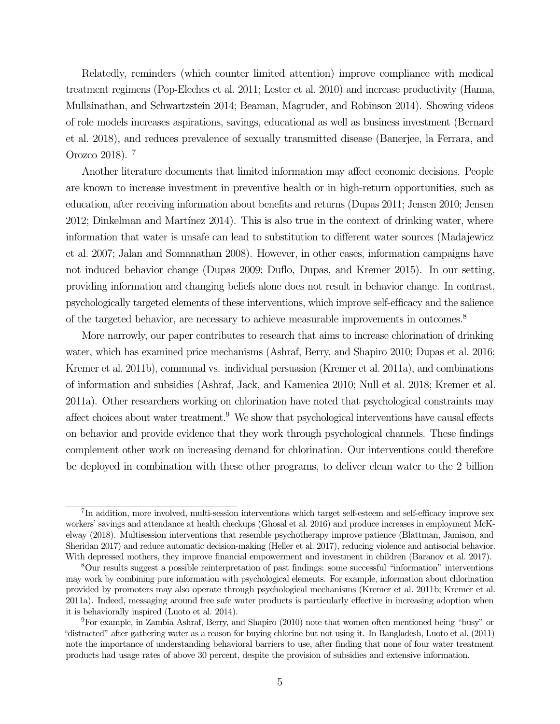Relatedly, reminders (which counter limited attention) improve compliance with medical treatment regimens (Pop-Eleches et al. 2011; Lester et al. 2010) and increase productivity (Hanna, Mullainathan, and Schwartzstein 2014; Beaman, Magruder, and Robinson 2014). Showing videos of role models increases aspirations, savings, educational as well as business investment (Bernard et al. 2018), and reduces prevalence of sexually transmitted disease (Banerjee, la Ferrara, and Orozco 2018). 7

Another literature documents that limited information may affect economic decisions. People are known to increase investment in preventive health or in high-return opportunities, such as education, after receiving information about benefits and returns (Dupas 2011; Jensen 2010; Jensen 2012; Dinkelman and Martínez 2014). This is also true in the context of drinking water, where information that water is unsafe can lead to substitution to different water sources (Madajewicz et al. 2007; Jalan and Somanathan 2008). However, in other cases, information campaigns have not induced behavior change (Dupas 2009; Duflo, Dupas, and Kremer 2015). In our setting, providing information and changing beliefs alone does not result in behavior change. In contrast, psychologically targeted elements of these interventions, which improve self-efficacy and the salience of the targeted behavior, are necessary to achieve measurable improvements in outcomes.8

More narrowly, our paper contributes to research that aims to increase chlorination of drinking water, which has examined price mechanisms (Ashraf, Berry, and Shapiro 2010; Dupas et al. 2016; Kremer et al. 2011b), communal vs. individual persuasion (Kremer et al. 2011a), and combinations of information and subsidies (Ashraf, Jack, and Kamenica 2010; Null et al. 2018; Kremer et al. 2011a). Other researchers working on chlorination have noted that psychological constraints may affect choices about water treatment.9 We show that psychological interventions have causal effects on behavior and provide evidence that they work through psychological channels. These findings complement other work on increasing demand for chlorination. Our interventions could therefore be deployed in combination with these other programs, to deliver clean water to the 2 billion

<sup>&</sup>lt;sup>7</sup>In addition, more involved, multi-session interventions which target self-esteem and self-efficacy improve sex workers' savings and attendance at health checkups (Ghosal et al. 2016) and produce increases in employment McKelway (2018). Multisession interventions that resemble psychotherapy improve patience (Blattman, Jamison, and Sheridan 2017) and reduce automatic decision-making (Heller et al. 2017), reducing violence and antisocial behavior. With depressed mothers, they improve financial empowerment and investment in children (Baranov et al. 2017).

<sup>8</sup>Our results suggest a possible reinterpretation of past findings: some successful "information" interventions may work by combining pure information with psychological elements. For example, information about chlorination provided by promoters may also operate through psychological mechanisms (Kremer et al. 2011b; Kremer et al. 2011a). Indeed, messaging around free safe water products is particularly effective in increasing adoption when it is behaviorally inspired (Luoto et al. 2014).

<sup>9</sup>For example, in Zambia Ashraf, Berry, and Shapiro (2010) note that women often mentioned being "busy" or "distracted" after gathering water as a reason for buying chlorine but not using it. In Bangladesh, Luoto et al. (2011) note the importance of understanding behavioral barriers to use, after finding that none of four water treatment products had usage rates of above 30 percent, despite the provision of subsidies and extensive information.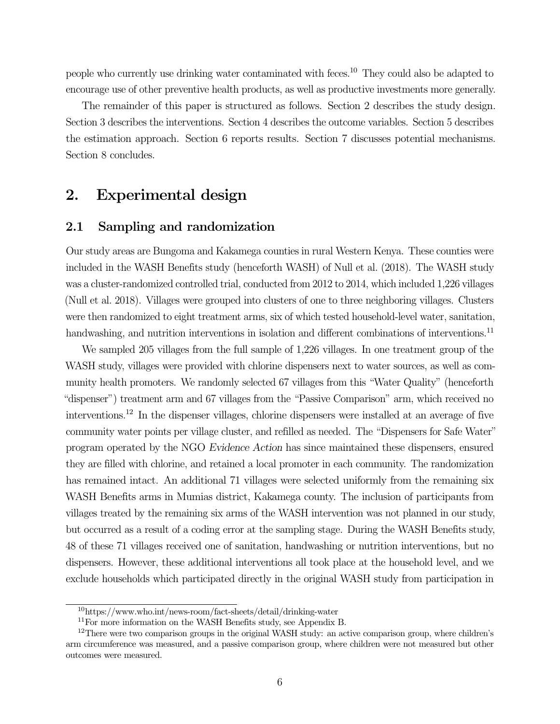people who currently use drinking water contaminated with feces.10 They could also be adapted to encourage use of other preventive health products, as well as productive investments more generally.

The remainder of this paper is structured as follows. Section 2 describes the study design. Section 3 describes the interventions. Section 4 describes the outcome variables. Section 5 describes the estimation approach. Section 6 reports results. Section 7 discusses potential mechanisms. Section 8 concludes.

## 2. Experimental design

### 2.1 Sampling and randomization

Our study areas are Bungoma and Kakamega counties in rural Western Kenya. These counties were included in the [WASH Benefits study](http://www.washbenefits.net) (henceforth WASH) of Null et al. (2018). The WASH study was a cluster-randomized controlled trial, conducted from 2012 to 2014, which included 1,226 villages (Null et al. 2018). Villages were grouped into clusters of one to three neighboring villages. Clusters were then randomized to eight treatment arms, six of which tested household-level water, sanitation, handwashing, and nutrition interventions in isolation and different combinations of interventions.<sup>11</sup>

We sampled 205 villages from the full sample of 1,226 villages. In one treatment group of the WASH study, villages were provided with chlorine dispensers next to water sources, as well as community health promoters. We randomly selected 67 villages from this "Water Quality" (henceforth "dispenser") treatment arm and 67 villages from the "Passive Comparison" arm, which received no interventions.12 In the dispenser villages, chlorine dispensers were installed at an average of five community water points per village cluster, and refilled as needed. The "Dispensers for Safe Water" program operated by the NGO Evidence Action has since maintained these dispensers, ensured they are filled with chlorine, and retained a local promoter in each community. The randomization has remained intact. An additional 71 villages were selected uniformly from the remaining six WASH Benefits arms in Mumias district, Kakamega county. The inclusion of participants from villages treated by the remaining six arms of the WASH intervention was not planned in our study, but occurred as a result of a coding error at the sampling stage. During the WASH Benefits study, 48 of these 71 villages received one of sanitation, handwashing or nutrition interventions, but no dispensers. However, these additional interventions all took place at the household level, and we exclude households which participated directly in the original WASH study from participation in

<sup>10</sup><https://www.who.int/news-room/fact-sheets/detail/drinking-water>

 $11$ For more information on the WASH Benefits study, see Appendix B.

<sup>&</sup>lt;sup>12</sup>There were two comparison groups in the original WASH study: an active comparison group, where children's arm circumference was measured, and a passive comparison group, where children were not measured but other outcomes were measured.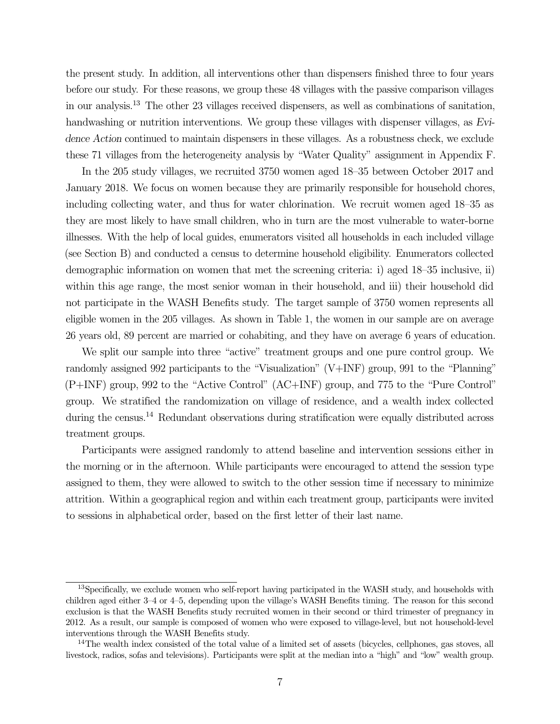the present study. In addition, all interventions other than dispensers finished three to four years before our study. For these reasons, we group these 48 villages with the passive comparison villages in our analysis.13 The other 23 villages received dispensers, as well as combinations of sanitation, handwashing or nutrition interventions. We group these villages with dispenser villages, as Evidence Action continued to maintain dispensers in these villages. As a robustness check, we exclude these 71 villages from the heterogeneity analysis by "Water Quality" assignment in Appendix F.

In the 205 study villages, we recruited 3750 women aged 18–35 between October 2017 and January 2018. We focus on women because they are primarily responsible for household chores, including collecting water, and thus for water chlorination. We recruit women aged 18–35 as they are most likely to have small children, who in turn are the most vulnerable to water-borne illnesses. With the help of local guides, enumerators visited all households in each included village (see Section B) and conducted a census to determine household eligibility. Enumerators collected demographic information on women that met the screening criteria: i) aged 18–35 inclusive, ii) within this age range, the most senior woman in their household, and iii) their household did not participate in the WASH Benefits study. The target sample of 3750 women represents all eligible women in the 205 villages. As shown in Table 1, the women in our sample are on average 26 years old, 89 percent are married or cohabiting, and they have on average 6 years of education.

We split our sample into three "active" treatment groups and one pure control group. We randomly assigned 992 participants to the "Visualization" (V+INF) group, 991 to the "Planning" (P+INF) group, 992 to the "Active Control" (AC+INF) group, and 775 to the "Pure Control" group. We stratified the randomization on village of residence, and a wealth index collected during the census.<sup>14</sup> Redundant observations during stratification were equally distributed across treatment groups.

Participants were assigned randomly to attend baseline and intervention sessions either in the morning or in the afternoon. While participants were encouraged to attend the session type assigned to them, they were allowed to switch to the other session time if necessary to minimize attrition. Within a geographical region and within each treatment group, participants were invited to sessions in alphabetical order, based on the first letter of their last name.

 $13$ Specifically, we exclude women who self-report having participated in the WASH study, and households with children aged either 3–4 or 4–5, depending upon the village's WASH Benefits timing. The reason for this second exclusion is that the WASH Benefits study recruited women in their second or third trimester of pregnancy in 2012. As a result, our sample is composed of women who were exposed to village-level, but not household-level interventions through the WASH Benefits study.

 $14$ The wealth index consisted of the total value of a limited set of assets (bicycles, cellphones, gas stoves, all livestock, radios, sofas and televisions). Participants were split at the median into a "high" and "low" wealth group.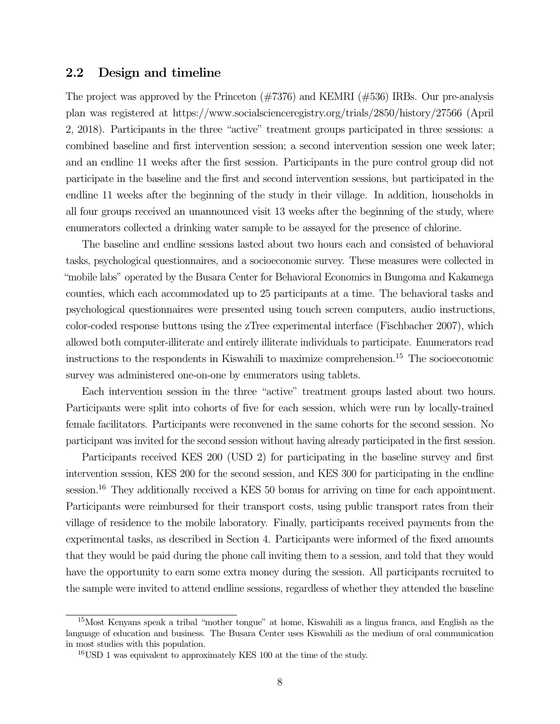### 2.2 Design and timeline

The project was approved by the Princeton (#7376) and KEMRI (#536) IRBs. Our pre-analysis plan was registered at<https://www.socialscienceregistry.org/trials/2850/history/27566> (April 2, 2018). Participants in the three "active" treatment groups participated in three sessions: a combined baseline and first intervention session; a second intervention session one week later; and an endline 11 weeks after the first session. Participants in the pure control group did not participate in the baseline and the first and second intervention sessions, but participated in the endline 11 weeks after the beginning of the study in their village. In addition, households in all four groups received an unannounced visit 13 weeks after the beginning of the study, where enumerators collected a drinking water sample to be assayed for the presence of chlorine.

The baseline and endline sessions lasted about two hours each and consisted of behavioral tasks, psychological questionnaires, and a socioeconomic survey. These measures were collected in "mobile labs" operated by the Busara Center for Behavioral Economics in Bungoma and Kakamega counties, which each accommodated up to 25 participants at a time. The behavioral tasks and psychological questionnaires were presented using touch screen computers, audio instructions, color-coded response buttons using the zTree experimental interface (Fischbacher 2007), which allowed both computer-illiterate and entirely illiterate individuals to participate. Enumerators read instructions to the respondents in Kiswahili to maximize comprehension.15 The socioeconomic survey was administered one-on-one by enumerators using tablets.

Each intervention session in the three "active" treatment groups lasted about two hours. Participants were split into cohorts of five for each session, which were run by locally-trained female facilitators. Participants were reconvened in the same cohorts for the second session. No participant was invited for the second session without having already participated in the first session.

Participants received KES 200 (USD 2) for participating in the baseline survey and first intervention session, KES 200 for the second session, and KES 300 for participating in the endline session.<sup>16</sup> They additionally received a KES 50 bonus for arriving on time for each appointment. Participants were reimbursed for their transport costs, using public transport rates from their village of residence to the mobile laboratory. Finally, participants received payments from the experimental tasks, as described in Section 4. Participants were informed of the fixed amounts that they would be paid during the phone call inviting them to a session, and told that they would have the opportunity to earn some extra money during the session. All participants recruited to the sample were invited to attend endline sessions, regardless of whether they attended the baseline

<sup>15</sup>Most Kenyans speak a tribal "mother tongue" at home, Kiswahili as a lingua franca, and English as the language of education and business. The Busara Center uses Kiswahili as the medium of oral communication in most studies with this population.

<sup>16</sup>USD 1 was equivalent to approximately KES 100 at the time of the study.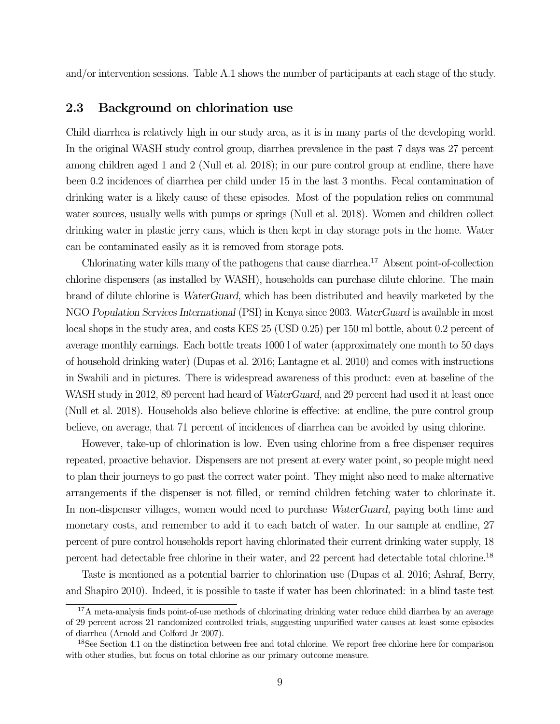and/or intervention sessions. Table A.1 shows the number of participants at each stage of the study.

### 2.3 Background on chlorination use

Child diarrhea is relatively high in our study area, as it is in many parts of the developing world. In the original WASH study control group, diarrhea prevalence in the past 7 days was 27 percent among children aged 1 and 2 (Null et al. 2018); in our pure control group at endline, there have been 0.2 incidences of diarrhea per child under 15 in the last 3 months. Fecal contamination of drinking water is a likely cause of these episodes. Most of the population relies on communal water sources, usually wells with pumps or springs (Null et al. 2018). Women and children collect drinking water in plastic jerry cans, which is then kept in clay storage pots in the home. Water can be contaminated easily as it is removed from storage pots.

Chlorinating water kills many of the pathogens that cause diarrhea.17 Absent point-of-collection chlorine dispensers (as installed by WASH), households can purchase dilute chlorine. The main brand of dilute chlorine is WaterGuard, which has been distributed and heavily marketed by the NGO Population Services International (PSI) in Kenya since 2003. WaterGuard is available in most local shops in the study area, and costs KES 25 (USD 0.25) per 150 ml bottle, about 0.2 percent of average monthly earnings. Each bottle treats 1000 l of water (approximately one month to 50 days of household drinking water) (Dupas et al. 2016; Lantagne et al. 2010) and comes with instructions in Swahili and in pictures. There is widespread awareness of this product: even at baseline of the WASH study in 2012, 89 percent had heard of *WaterGuard*, and 29 percent had used it at least once (Null et al. 2018). Households also believe chlorine is effective: at endline, the pure control group believe, on average, that 71 percent of incidences of diarrhea can be avoided by using chlorine.

However, take-up of chlorination is low. Even using chlorine from a free dispenser requires repeated, proactive behavior. Dispensers are not present at every water point, so people might need to plan their journeys to go past the correct water point. They might also need to make alternative arrangements if the dispenser is not filled, or remind children fetching water to chlorinate it. In non-dispenser villages, women would need to purchase WaterGuard, paying both time and monetary costs, and remember to add it to each batch of water. In our sample at endline, 27 percent of pure control households report having chlorinated their current drinking water supply, 18 percent had detectable free chlorine in their water, and 22 percent had detectable total chlorine.18

Taste is mentioned as a potential barrier to chlorination use (Dupas et al. 2016; Ashraf, Berry, and Shapiro 2010). Indeed, it is possible to taste if water has been chlorinated: in a blind taste test

<sup>&</sup>lt;sup>17</sup>A meta-analysis finds point-of-use methods of chlorinating drinking water reduce child diarrhea by an average of 29 percent across 21 randomized controlled trials, suggesting unpurified water causes at least some episodes of diarrhea (Arnold and Colford Jr 2007).

<sup>&</sup>lt;sup>18</sup>See Section 4.1 on the distinction between free and total chlorine. We report free chlorine here for comparison with other studies, but focus on total chlorine as our primary outcome measure.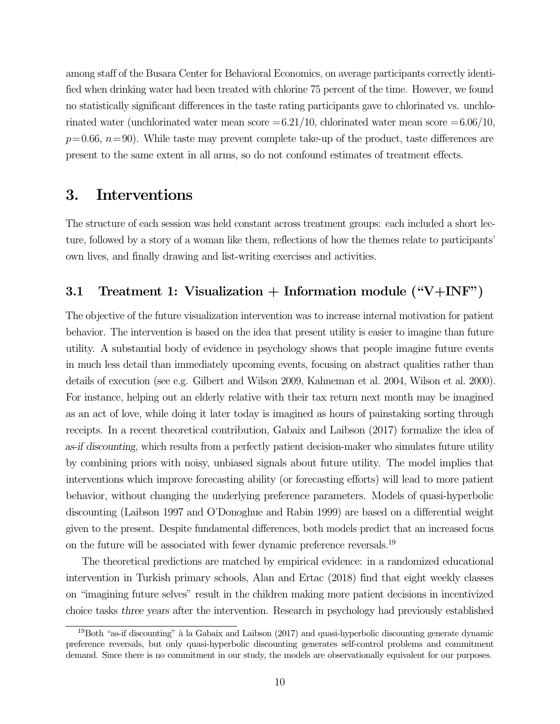among staff of the Busara Center for Behavioral Economics, on average participants correctly identified when drinking water had been treated with chlorine 75 percent of the time. However, we found no statistically significant differences in the taste rating participants gave to chlorinated vs. unchlorinated water (unchlorinated water mean score  $=6.21/10$ , chlorinated water mean score  $=6.06/10$ ,  $p=0.66$ ,  $n=90$ ). While taste may prevent complete take-up of the product, taste differences are present to the same extent in all arms, so do not confound estimates of treatment effects.

## 3. Interventions

The structure of each session was held constant across treatment groups: each included a short lecture, followed by a story of a woman like them, reflections of how the themes relate to participants' own lives, and finally drawing and list-writing exercises and activities.

### 3.1 Treatment 1: Visualization + Information module  $(\text{``V+INF''})$

The objective of the future visualization intervention was to increase internal motivation for patient behavior. The intervention is based on the idea that present utility is easier to imagine than future utility. A substantial body of evidence in psychology shows that people imagine future events in much less detail than immediately upcoming events, focusing on abstract qualities rather than details of execution (see e.g. Gilbert and Wilson 2009, Kahneman et al. 2004, Wilson et al. 2000). For instance, helping out an elderly relative with their tax return next month may be imagined as an act of love, while doing it later today is imagined as hours of painstaking sorting through receipts. In a recent theoretical contribution, Gabaix and Laibson (2017) formalize the idea of as-if discounting, which results from a perfectly patient decision-maker who simulates future utility by combining priors with noisy, unbiased signals about future utility. The model implies that interventions which improve forecasting ability (or forecasting efforts) will lead to more patient behavior, without changing the underlying preference parameters. Models of quasi-hyperbolic discounting (Laibson 1997 and O'Donoghue and Rabin 1999) are based on a differential weight given to the present. Despite fundamental differences, both models predict that an increased focus on the future will be associated with fewer dynamic preference reversals.19

The theoretical predictions are matched by empirical evidence: in a randomized educational intervention in Turkish primary schools, Alan and Ertac (2018) find that eight weekly classes on "imagining future selves" result in the children making more patient decisions in incentivized choice tasks three years after the intervention. Research in psychology had previously established

 $19$ Both "as-if discounting" à la Gabaix and Laibson (2017) and quasi-hyperbolic discounting generate dynamic preference reversals, but only quasi-hyperbolic discounting generates self-control problems and commitment demand. Since there is no commitment in our study, the models are observationally equivalent for our purposes.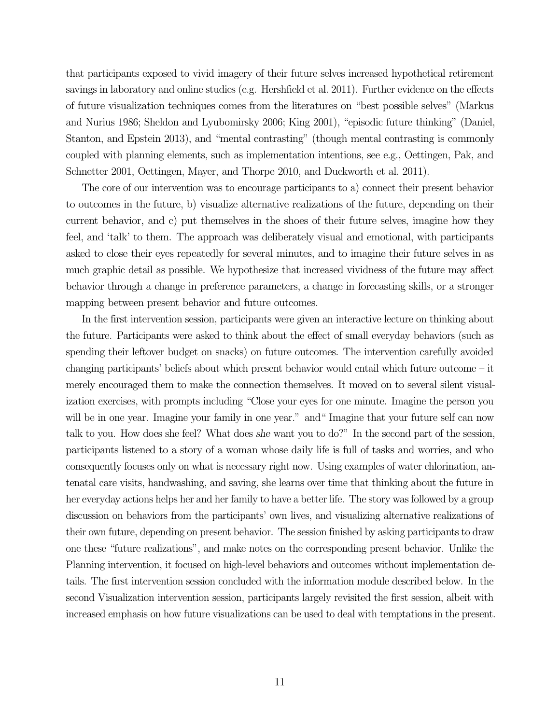that participants exposed to vivid imagery of their future selves increased hypothetical retirement savings in laboratory and online studies (e.g. Hershfield et al. 2011). Further evidence on the effects of future visualization techniques comes from the literatures on "best possible selves" (Markus and Nurius 1986; Sheldon and Lyubomirsky 2006; King 2001), "episodic future thinking" (Daniel, Stanton, and Epstein 2013), and "mental contrasting" (though mental contrasting is commonly coupled with planning elements, such as implementation intentions, see e.g., Oettingen, Pak, and Schnetter 2001, Oettingen, Mayer, and Thorpe 2010, and Duckworth et al. 2011).

The core of our intervention was to encourage participants to a) connect their present behavior to outcomes in the future, b) visualize alternative realizations of the future, depending on their current behavior, and c) put themselves in the shoes of their future selves, imagine how they feel, and 'talk' to them. The approach was deliberately visual and emotional, with participants asked to close their eyes repeatedly for several minutes, and to imagine their future selves in as much graphic detail as possible. We hypothesize that increased vividness of the future may affect behavior through a change in preference parameters, a change in forecasting skills, or a stronger mapping between present behavior and future outcomes.

In the first intervention session, participants were given an interactive lecture on thinking about the future. Participants were asked to think about the effect of small everyday behaviors (such as spending their leftover budget on snacks) on future outcomes. The intervention carefully avoided changing participants' beliefs about which present behavior would entail which future outcome – it merely encouraged them to make the connection themselves. It moved on to several silent visualization exercises, with prompts including "Close your eyes for one minute. Imagine the person you will be in one year. Imagine your family in one year." and "Imagine that your future self can now talk to you. How does she feel? What does she want you to do?" In the second part of the session, participants listened to a story of a woman whose daily life is full of tasks and worries, and who consequently focuses only on what is necessary right now. Using examples of water chlorination, antenatal care visits, handwashing, and saving, she learns over time that thinking about the future in her everyday actions helps her and her family to have a better life. The story was followed by a group discussion on behaviors from the participants' own lives, and visualizing alternative realizations of their own future, depending on present behavior. The session finished by asking participants to draw one these "future realizations", and make notes on the corresponding present behavior. Unlike the Planning intervention, it focused on high-level behaviors and outcomes without implementation details. The first intervention session concluded with the information module described below. In the second Visualization intervention session, participants largely revisited the first session, albeit with increased emphasis on how future visualizations can be used to deal with temptations in the present.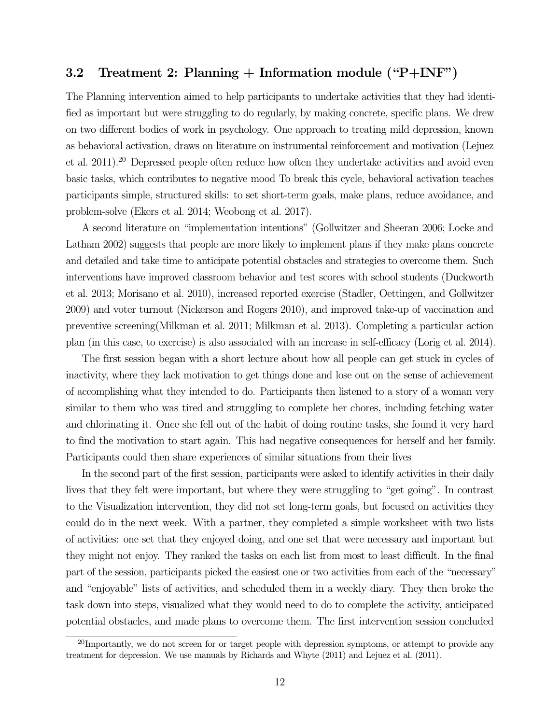### 3.2 Treatment 2: Planning  $+$  Information module ("P $+$ INF")

The Planning intervention aimed to help participants to undertake activities that they had identified as important but were struggling to do regularly, by making concrete, specific plans. We drew on two different bodies of work in psychology. One approach to treating mild depression, known as behavioral activation, draws on literature on instrumental reinforcement and motivation (Lejuez et al. 2011).20 Depressed people often reduce how often they undertake activities and avoid even basic tasks, which contributes to negative mood To break this cycle, behavioral activation teaches participants simple, structured skills: to set short-term goals, make plans, reduce avoidance, and problem-solve (Ekers et al. 2014; Weobong et al. 2017).

A second literature on "implementation intentions" (Gollwitzer and Sheeran 2006; Locke and Latham 2002) suggests that people are more likely to implement plans if they make plans concrete and detailed and take time to anticipate potential obstacles and strategies to overcome them. Such interventions have improved classroom behavior and test scores with school students (Duckworth et al. 2013; Morisano et al. 2010), increased reported exercise (Stadler, Oettingen, and Gollwitzer 2009) and voter turnout (Nickerson and Rogers 2010), and improved take-up of vaccination and preventive screening(Milkman et al. 2011; Milkman et al. 2013). Completing a particular action plan (in this case, to exercise) is also associated with an increase in self-efficacy (Lorig et al. 2014).

The first session began with a short lecture about how all people can get stuck in cycles of inactivity, where they lack motivation to get things done and lose out on the sense of achievement of accomplishing what they intended to do. Participants then listened to a story of a woman very similar to them who was tired and struggling to complete her chores, including fetching water and chlorinating it. Once she fell out of the habit of doing routine tasks, she found it very hard to find the motivation to start again. This had negative consequences for herself and her family. Participants could then share experiences of similar situations from their lives

In the second part of the first session, participants were asked to identify activities in their daily lives that they felt were important, but where they were struggling to "get going". In contrast to the Visualization intervention, they did not set long-term goals, but focused on activities they could do in the next week. With a partner, they completed a simple worksheet with two lists of activities: one set that they enjoyed doing, and one set that were necessary and important but they might not enjoy. They ranked the tasks on each list from most to least difficult. In the final part of the session, participants picked the easiest one or two activities from each of the "necessary" and "enjoyable" lists of activities, and scheduled them in a weekly diary. They then broke the task down into steps, visualized what they would need to do to complete the activity, anticipated potential obstacles, and made plans to overcome them. The first intervention session concluded

 $^{20}$ Importantly, we do not screen for or target people with depression symptoms, or attempt to provide any treatment for depression. We use manuals by Richards and Whyte (2011) and Lejuez et al. (2011).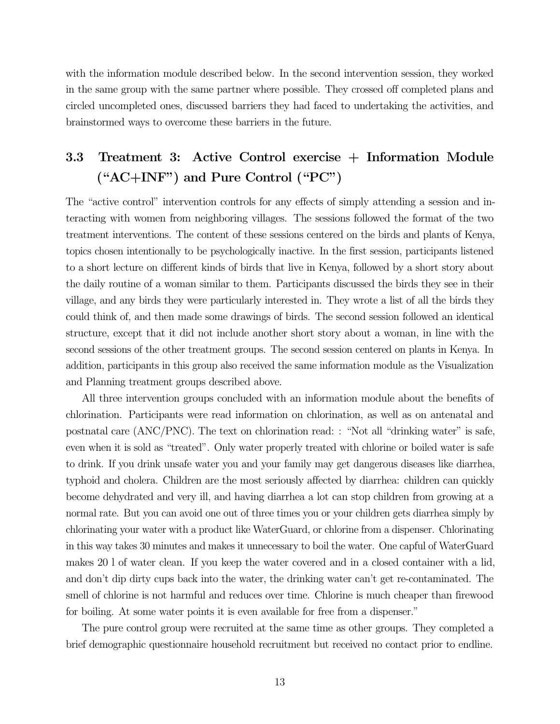with the information module described below. In the second intervention session, they worked in the same group with the same partner where possible. They crossed off completed plans and circled uncompleted ones, discussed barriers they had faced to undertaking the activities, and brainstormed ways to overcome these barriers in the future.

# 3.3 Treatment 3: Active Control exercise + Information Module ("AC+INF") and Pure Control ("PC")

The "active control" intervention controls for any effects of simply attending a session and interacting with women from neighboring villages. The sessions followed the format of the two treatment interventions. The content of these sessions centered on the birds and plants of Kenya, topics chosen intentionally to be psychologically inactive. In the first session, participants listened to a short lecture on different kinds of birds that live in Kenya, followed by a short story about the daily routine of a woman similar to them. Participants discussed the birds they see in their village, and any birds they were particularly interested in. They wrote a list of all the birds they could think of, and then made some drawings of birds. The second session followed an identical structure, except that it did not include another short story about a woman, in line with the second sessions of the other treatment groups. The second session centered on plants in Kenya. In addition, participants in this group also received the same information module as the Visualization and Planning treatment groups described above.

All three intervention groups concluded with an information module about the benefits of chlorination. Participants were read information on chlorination, as well as on antenatal and postnatal care (ANC/PNC). The text on chlorination read: : "Not all "drinking water" is safe, even when it is sold as "treated". Only water properly treated with chlorine or boiled water is safe to drink. If you drink unsafe water you and your family may get dangerous diseases like diarrhea, typhoid and cholera. Children are the most seriously affected by diarrhea: children can quickly become dehydrated and very ill, and having diarrhea a lot can stop children from growing at a normal rate. But you can avoid one out of three times you or your children gets diarrhea simply by chlorinating your water with a product like WaterGuard, or chlorine from a dispenser. Chlorinating in this way takes 30 minutes and makes it unnecessary to boil the water. One capful of WaterGuard makes 20 l of water clean. If you keep the water covered and in a closed container with a lid, and don't dip dirty cups back into the water, the drinking water can't get re-contaminated. The smell of chlorine is not harmful and reduces over time. Chlorine is much cheaper than firewood for boiling. At some water points it is even available for free from a dispenser."

The pure control group were recruited at the same time as other groups. They completed a brief demographic questionnaire household recruitment but received no contact prior to endline.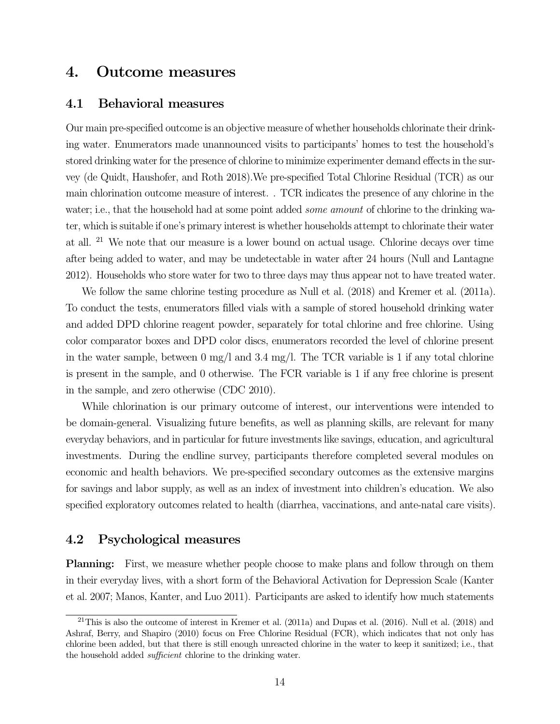## 4. Outcome measures

### 4.1 Behavioral measures

Our main pre-specified outcome is an objective measure of whether households chlorinate their drinking water. Enumerators made unannounced visits to participants' homes to test the household's stored drinking water for the presence of chlorine to minimize experimenter demand effects in the survey (de Quidt, Haushofer, and Roth 2018).We pre-specified Total Chlorine Residual (TCR) as our main chlorination outcome measure of interest. . TCR indicates the presence of any chlorine in the water; i.e., that the household had at some point added *some amount* of chlorine to the drinking water, which is suitable if one's primary interest is whether households attempt to chlorinate their water at all. 21 We note that our measure is a lower bound on actual usage. Chlorine decays over time after being added to water, and may be undetectable in water after 24 hours (Null and Lantagne 2012). Households who store water for two to three days may thus appear not to have treated water.

We follow the same chlorine testing procedure as Null et al. (2018) and Kremer et al. (2011a). To conduct the tests, enumerators filled vials with a sample of stored household drinking water and added DPD chlorine reagent powder, separately for total chlorine and free chlorine. Using color comparator boxes and DPD color discs, enumerators recorded the level of chlorine present in the water sample, between 0 mg/l and 3.4 mg/l. The TCR variable is 1 if any total chlorine is present in the sample, and 0 otherwise. The FCR variable is 1 if any free chlorine is present in the sample, and zero otherwise (CDC 2010).

While chlorination is our primary outcome of interest, our interventions were intended to be domain-general. Visualizing future benefits, as well as planning skills, are relevant for many everyday behaviors, and in particular for future investments like savings, education, and agricultural investments. During the endline survey, participants therefore completed several modules on economic and health behaviors. We pre-specified secondary outcomes as the extensive margins for savings and labor supply, as well as an index of investment into children's education. We also specified exploratory outcomes related to health (diarrhea, vaccinations, and ante-natal care visits).

### 4.2 Psychological measures

Planning: First, we measure whether people choose to make plans and follow through on them in their everyday lives, with a short form of the Behavioral Activation for Depression Scale (Kanter et al. 2007; Manos, Kanter, and Luo 2011). Participants are asked to identify how much statements

 $21$ This is also the outcome of interest in Kremer et al. (2011a) and Dupas et al. (2016). Null et al. (2018) and Ashraf, Berry, and Shapiro (2010) focus on Free Chlorine Residual (FCR), which indicates that not only has chlorine been added, but that there is still enough unreacted chlorine in the water to keep it sanitized; i.e., that the household added sufficient chlorine to the drinking water.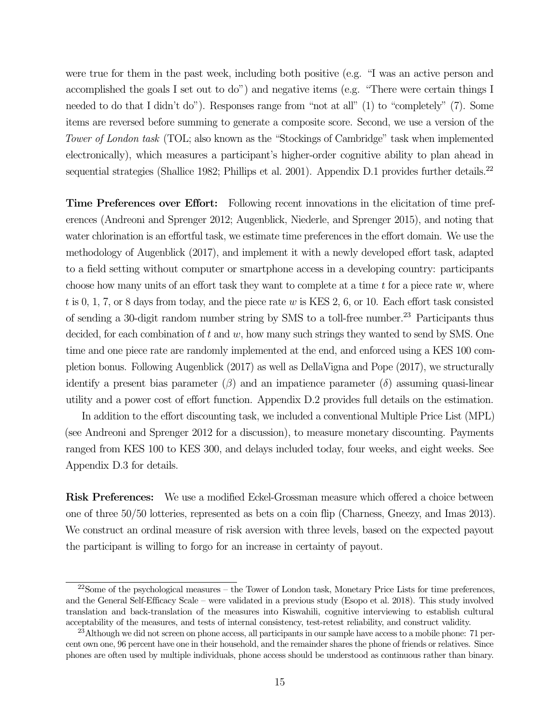were true for them in the past week, including both positive (e.g. "I was an active person and accomplished the goals I set out to do") and negative items (e.g. "There were certain things I needed to do that I didn't do"). Responses range from "not at all" (1) to "completely" (7). Some items are reversed before summing to generate a composite score. Second, we use a version of the Tower of London task (TOL; also known as the "Stockings of Cambridge" task when implemented electronically), which measures a participant's higher-order cognitive ability to plan ahead in sequential strategies (Shallice 1982; Phillips et al. 2001). Appendix D.1 provides further details.<sup>22</sup>

Time Preferences over Effort: Following recent innovations in the elicitation of time preferences (Andreoni and Sprenger 2012; Augenblick, Niederle, and Sprenger 2015), and noting that water chlorination is an effortful task, we estimate time preferences in the effort domain. We use the methodology of Augenblick (2017), and implement it with a newly developed effort task, adapted to a field setting without computer or smartphone access in a developing country: participants choose how many units of an effort task they want to complete at a time  $t$  for a piece rate w, where t is 0, 1, 7, or 8 days from today, and the piece rate w is KES 2, 6, or 10. Each effort task consisted of sending a 30-digit random number string by SMS to a toll-free number.<sup>23</sup> Participants thus decided, for each combination of t and w, how many such strings they wanted to send by SMS. One time and one piece rate are randomly implemented at the end, and enforced using a KES 100 completion bonus. Following Augenblick (2017) as well as DellaVigna and Pope (2017), we structurally identify a present bias parameter  $(\beta)$  and an impatience parameter  $(\delta)$  assuming quasi-linear utility and a power cost of effort function. Appendix D.2 provides full details on the estimation.

In addition to the effort discounting task, we included a conventional Multiple Price List (MPL) (see Andreoni and Sprenger 2012 for a discussion), to measure monetary discounting. Payments ranged from KES 100 to KES 300, and delays included today, four weeks, and eight weeks. See Appendix D.3 for details.

Risk Preferences: We use a modified Eckel-Grossman measure which offered a choice between one of three 50/50 lotteries, represented as bets on a coin flip (Charness, Gneezy, and Imas 2013). We construct an ordinal measure of risk aversion with three levels, based on the expected payout the participant is willing to forgo for an increase in certainty of payout.

 $^{22}$ Some of the psychological measures – the Tower of London task, Monetary Price Lists for time preferences, and the General Self-Efficacy Scale – were validated in a previous study (Esopo et al. 2018). This study involved translation and back-translation of the measures into Kiswahili, cognitive interviewing to establish cultural acceptability of the measures, and tests of internal consistency, test-retest reliability, and construct validity.

<sup>&</sup>lt;sup>23</sup>Although we did not screen on phone access, all participants in our sample have access to a mobile phone: 71 percent own one, 96 percent have one in their household, and the remainder shares the phone of friends or relatives. Since phones are often used by multiple individuals, phone access should be understood as continuous rather than binary.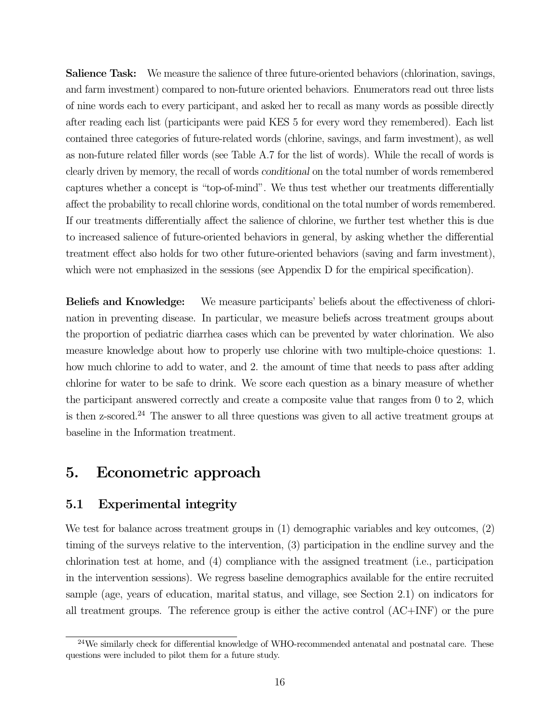Salience Task: We measure the salience of three future-oriented behaviors (chlorination, savings, and farm investment) compared to non-future oriented behaviors. Enumerators read out three lists of nine words each to every participant, and asked her to recall as many words as possible directly after reading each list (participants were paid KES 5 for every word they remembered). Each list contained three categories of future-related words (chlorine, savings, and farm investment), as well as non-future related filler words (see Table A.7 for the list of words). While the recall of words is clearly driven by memory, the recall of words conditional on the total number of words remembered captures whether a concept is "top-of-mind". We thus test whether our treatments differentially affect the probability to recall chlorine words, conditional on the total number of words remembered. If our treatments differentially affect the salience of chlorine, we further test whether this is due to increased salience of future-oriented behaviors in general, by asking whether the differential treatment effect also holds for two other future-oriented behaviors (saving and farm investment), which were not emphasized in the sessions (see Appendix D for the empirical specification).

Beliefs and Knowledge: We measure participants' beliefs about the effectiveness of chlorination in preventing disease. In particular, we measure beliefs across treatment groups about the proportion of pediatric diarrhea cases which can be prevented by water chlorination. We also measure knowledge about how to properly use chlorine with two multiple-choice questions: 1. how much chlorine to add to water, and 2. the amount of time that needs to pass after adding chlorine for water to be safe to drink. We score each question as a binary measure of whether the participant answered correctly and create a composite value that ranges from 0 to 2, which is then z-scored.<sup>24</sup> The answer to all three questions was given to all active treatment groups at baseline in the Information treatment.

## 5. Econometric approach

### 5.1 Experimental integrity

We test for balance across treatment groups in (1) demographic variables and key outcomes, (2) timing of the surveys relative to the intervention, (3) participation in the endline survey and the chlorination test at home, and (4) compliance with the assigned treatment (i.e., participation in the intervention sessions). We regress baseline demographics available for the entire recruited sample (age, years of education, marital status, and village, see Section 2.1) on indicators for all treatment groups. The reference group is either the active control (AC+INF) or the pure

 $^{24}$ We similarly check for differential knowledge of WHO-recommended antenatal and postnatal care. These questions were included to pilot them for a future study.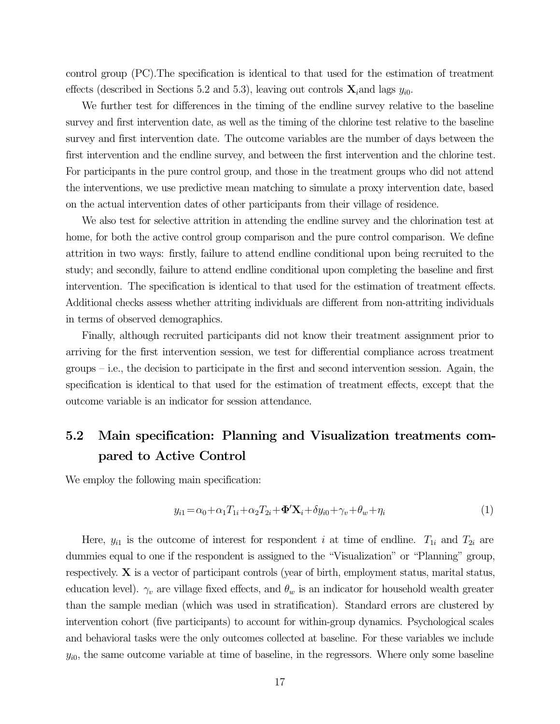control group (PC).The specification is identical to that used for the estimation of treatment effects (described in Sections 5.2 and 5.3), leaving out controls  $\mathbf{X}_i$  and lags  $y_{i0}$ .

We further test for differences in the timing of the endline survey relative to the baseline survey and first intervention date, as well as the timing of the chlorine test relative to the baseline survey and first intervention date. The outcome variables are the number of days between the first intervention and the endline survey, and between the first intervention and the chlorine test. For participants in the pure control group, and those in the treatment groups who did not attend the interventions, we use predictive mean matching to simulate a proxy intervention date, based on the actual intervention dates of other participants from their village of residence.

We also test for selective attrition in attending the endline survey and the chlorination test at home, for both the active control group comparison and the pure control comparison. We define attrition in two ways: firstly, failure to attend endline conditional upon being recruited to the study; and secondly, failure to attend endline conditional upon completing the baseline and first intervention. The specification is identical to that used for the estimation of treatment effects. Additional checks assess whether attriting individuals are different from non-attriting individuals in terms of observed demographics.

Finally, although recruited participants did not know their treatment assignment prior to arriving for the first intervention session, we test for differential compliance across treatment groups – i.e., the decision to participate in the first and second intervention session. Again, the specification is identical to that used for the estimation of treatment effects, except that the outcome variable is an indicator for session attendance.

# 5.2 Main specification: Planning and Visualization treatments compared to Active Control

We employ the following main specification:

$$
y_{i1} = \alpha_0 + \alpha_1 T_{1i} + \alpha_2 T_{2i} + \Phi' \mathbf{X}_i + \delta y_{i0} + \gamma_v + \theta_w + \eta_i \tag{1}
$$

Here,  $y_{i1}$  is the outcome of interest for respondent i at time of endline.  $T_{1i}$  and  $T_{2i}$  are dummies equal to one if the respondent is assigned to the "Visualization" or "Planning" group, respectively. X is a vector of participant controls (year of birth, employment status, marital status, education level).  $\gamma_v$  are village fixed effects, and  $\theta_w$  is an indicator for household wealth greater than the sample median (which was used in stratification). Standard errors are clustered by intervention cohort (five participants) to account for within-group dynamics. Psychological scales and behavioral tasks were the only outcomes collected at baseline. For these variables we include  $y_{i0}$ , the same outcome variable at time of baseline, in the regressors. Where only some baseline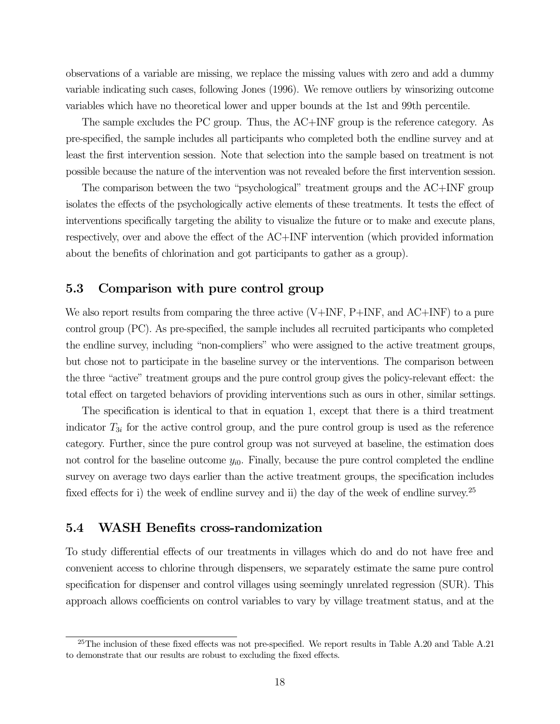observations of a variable are missing, we replace the missing values with zero and add a dummy variable indicating such cases, following Jones (1996). We remove outliers by winsorizing outcome variables which have no theoretical lower and upper bounds at the 1st and 99th percentile.

The sample excludes the PC group. Thus, the AC+INF group is the reference category. As pre-specified, the sample includes all participants who completed both the endline survey and at least the first intervention session. Note that selection into the sample based on treatment is not possible because the nature of the intervention was not revealed before the first intervention session.

The comparison between the two "psychological" treatment groups and the AC+INF group isolates the effects of the psychologically active elements of these treatments. It tests the effect of interventions specifically targeting the ability to visualize the future or to make and execute plans, respectively, over and above the effect of the AC+INF intervention (which provided information about the benefits of chlorination and got participants to gather as a group).

### 5.3 Comparison with pure control group

We also report results from comparing the three active  $(V+INF, P+INF,$  and  $AC+INF$  to a pure control group (PC). As pre-specified, the sample includes all recruited participants who completed the endline survey, including "non-compliers" who were assigned to the active treatment groups, but chose not to participate in the baseline survey or the interventions. The comparison between the three "active" treatment groups and the pure control group gives the policy-relevant effect: the total effect on targeted behaviors of providing interventions such as ours in other, similar settings.

The specification is identical to that in equation 1, except that there is a third treatment indicator  $T_{3i}$  for the active control group, and the pure control group is used as the reference category. Further, since the pure control group was not surveyed at baseline, the estimation does not control for the baseline outcome  $y_{i0}$ . Finally, because the pure control completed the endline survey on average two days earlier than the active treatment groups, the specification includes fixed effects for i) the week of endline survey and ii) the day of the week of endline survey.<sup>25</sup>

### 5.4 WASH Benefits cross-randomization

To study differential effects of our treatments in villages which do and do not have free and convenient access to chlorine through dispensers, we separately estimate the same pure control specification for dispenser and control villages using seemingly unrelated regression (SUR). This approach allows coefficients on control variables to vary by village treatment status, and at the

 $^{25}$ The inclusion of these fixed effects was not pre-specified. We report results in Table A.20 and Table A.21 to demonstrate that our results are robust to excluding the fixed effects.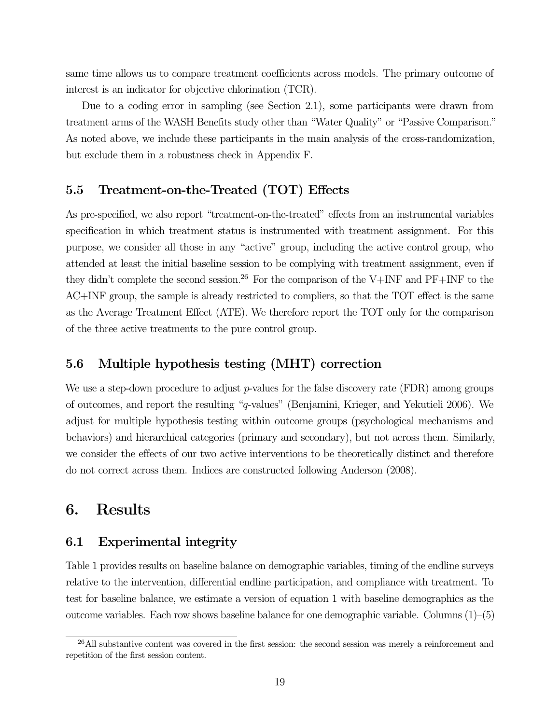same time allows us to compare treatment coefficients across models. The primary outcome of interest is an indicator for objective chlorination (TCR).

Due to a coding error in sampling (see Section 2.1), some participants were drawn from treatment arms of the WASH Benefits study other than "Water Quality" or "Passive Comparison." As noted above, we include these participants in the main analysis of the cross-randomization, but exclude them in a robustness check in Appendix F.

### 5.5 Treatment-on-the-Treated (TOT) Effects

As pre-specified, we also report "treatment-on-the-treated" effects from an instrumental variables specification in which treatment status is instrumented with treatment assignment. For this purpose, we consider all those in any "active" group, including the active control group, who attended at least the initial baseline session to be complying with treatment assignment, even if they didn't complete the second session.<sup>26</sup> For the comparison of the V+INF and PF+INF to the AC+INF group, the sample is already restricted to compliers, so that the TOT effect is the same as the Average Treatment Effect (ATE). We therefore report the TOT only for the comparison of the three active treatments to the pure control group.

### 5.6 Multiple hypothesis testing (MHT) correction

We use a step-down procedure to adjust  $p$ -values for the false discovery rate (FDR) among groups of outcomes, and report the resulting "q-values" (Benjamini, Krieger, and Yekutieli 2006). We adjust for multiple hypothesis testing within outcome groups (psychological mechanisms and behaviors) and hierarchical categories (primary and secondary), but not across them. Similarly, we consider the effects of our two active interventions to be theoretically distinct and therefore do not correct across them. Indices are constructed following Anderson (2008).

# 6. Results

### 6.1 Experimental integrity

Table 1 provides results on baseline balance on demographic variables, timing of the endline surveys relative to the intervention, differential endline participation, and compliance with treatment. To test for baseline balance, we estimate a version of equation 1 with baseline demographics as the outcome variables. Each row shows baseline balance for one demographic variable. Columns  $(1)$ – $(5)$ 

<sup>&</sup>lt;sup>26</sup>All substantive content was covered in the first session: the second session was merely a reinforcement and repetition of the first session content.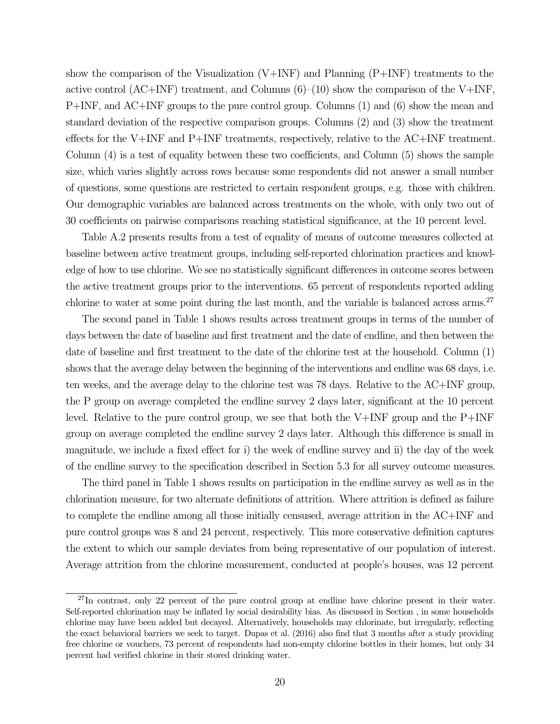show the comparison of the Visualization  $(V+INF)$  and Planning  $(P+INF)$  treatments to the active control (AC+INF) treatment, and Columns  $(6)$ – $(10)$  show the comparison of the V+INF, P+INF, and AC+INF groups to the pure control group. Columns (1) and (6) show the mean and standard deviation of the respective comparison groups. Columns (2) and (3) show the treatment effects for the V+INF and P+INF treatments, respectively, relative to the AC+INF treatment. Column (4) is a test of equality between these two coefficients, and Column (5) shows the sample size, which varies slightly across rows because some respondents did not answer a small number of questions, some questions are restricted to certain respondent groups, e.g. those with children. Our demographic variables are balanced across treatments on the whole, with only two out of 30 coefficients on pairwise comparisons reaching statistical significance, at the 10 percent level.

Table A.2 presents results from a test of equality of means of outcome measures collected at baseline between active treatment groups, including self-reported chlorination practices and knowledge of how to use chlorine. We see no statistically significant differences in outcome scores between the active treatment groups prior to the interventions. 65 percent of respondents reported adding chlorine to water at some point during the last month, and the variable is balanced across arms.<sup>27</sup>

The second panel in Table 1 shows results across treatment groups in terms of the number of days between the date of baseline and first treatment and the date of endline, and then between the date of baseline and first treatment to the date of the chlorine test at the household. Column (1) shows that the average delay between the beginning of the interventions and endline was 68 days, i.e. ten weeks, and the average delay to the chlorine test was 78 days. Relative to the AC+INF group, the P group on average completed the endline survey 2 days later, significant at the 10 percent level. Relative to the pure control group, we see that both the  $V+INF$  group and the  $P+INF$ group on average completed the endline survey 2 days later. Although this difference is small in magnitude, we include a fixed effect for i) the week of endline survey and ii) the day of the week of the endline survey to the specification described in Section 5.3 for all survey outcome measures.

The third panel in Table 1 shows results on participation in the endline survey as well as in the chlorination measure, for two alternate definitions of attrition. Where attrition is defined as failure to complete the endline among all those initially censused, average attrition in the AC+INF and pure control groups was 8 and 24 percent, respectively. This more conservative definition captures the extent to which our sample deviates from being representative of our population of interest. Average attrition from the chlorine measurement, conducted at people's houses, was 12 percent

 $^{27}$ In contrast, only 22 percent of the pure control group at endline have chlorine present in their water. Self-reported chlorination may be inflated by social desirability bias. As discussed in Section , in some households chlorine may have been added but decayed. Alternatively, households may chlorinate, but irregularly, reflecting the exact behavioral barriers we seek to target. Dupas et al. (2016) also find that 3 months after a study providing free chlorine or vouchers, 73 percent of respondents had non-empty chlorine bottles in their homes, but only 34 percent had verified chlorine in their stored drinking water.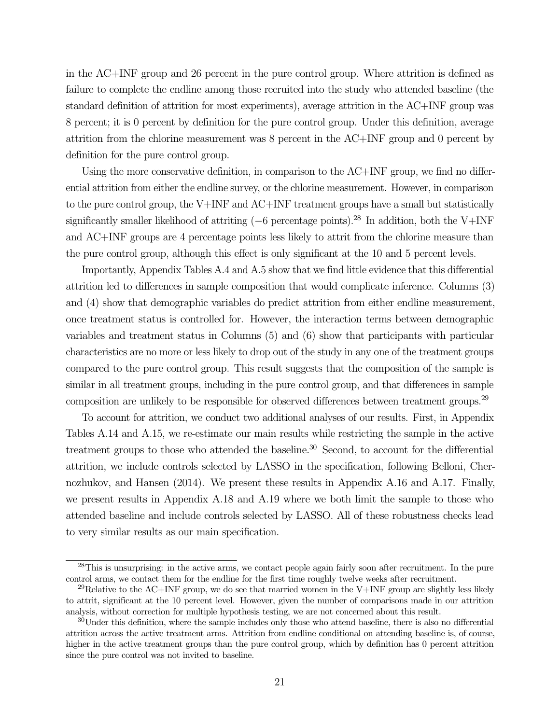in the AC+INF group and 26 percent in the pure control group. Where attrition is defined as failure to complete the endline among those recruited into the study who attended baseline (the standard definition of attrition for most experiments), average attrition in the AC+INF group was 8 percent; it is 0 percent by definition for the pure control group. Under this definition, average attrition from the chlorine measurement was 8 percent in the AC+INF group and 0 percent by definition for the pure control group.

Using the more conservative definition, in comparison to the AC+INF group, we find no differential attrition from either the endline survey, or the chlorine measurement. However, in comparison to the pure control group, the V+INF and AC+INF treatment groups have a small but statistically significantly smaller likelihood of attriting  $(-6$  percentage points).<sup>28</sup> In addition, both the V+INF and AC+INF groups are 4 percentage points less likely to attrit from the chlorine measure than the pure control group, although this effect is only significant at the 10 and 5 percent levels.

Importantly, Appendix Tables A.4 and A.5 show that we find little evidence that this differential attrition led to differences in sample composition that would complicate inference. Columns (3) and (4) show that demographic variables do predict attrition from either endline measurement, once treatment status is controlled for. However, the interaction terms between demographic variables and treatment status in Columns (5) and (6) show that participants with particular characteristics are no more or less likely to drop out of the study in any one of the treatment groups compared to the pure control group. This result suggests that the composition of the sample is similar in all treatment groups, including in the pure control group, and that differences in sample composition are unlikely to be responsible for observed differences between treatment groups.<sup>29</sup>

To account for attrition, we conduct two additional analyses of our results. First, in Appendix Tables A.14 and A.15, we re-estimate our main results while restricting the sample in the active treatment groups to those who attended the baseline.<sup>30</sup> Second, to account for the differential attrition, we include controls selected by LASSO in the specification, following Belloni, Chernozhukov, and Hansen (2014). We present these results in Appendix A.16 and A.17. Finally, we present results in Appendix A.18 and A.19 where we both limit the sample to those who attended baseline and include controls selected by LASSO. All of these robustness checks lead to very similar results as our main specification.

<sup>&</sup>lt;sup>28</sup>This is unsurprising: in the active arms, we contact people again fairly soon after recruitment. In the pure control arms, we contact them for the endline for the first time roughly twelve weeks after recruitment.

<sup>&</sup>lt;sup>29</sup>Relative to the AC+INF group, we do see that married women in the V+INF group are slightly less likely to attrit, significant at the 10 percent level. However, given the number of comparisons made in our attrition analysis, without correction for multiple hypothesis testing, we are not concerned about this result.

<sup>&</sup>lt;sup>30</sup>Under this definition, where the sample includes only those who attend baseline, there is also no differential attrition across the active treatment arms. Attrition from endline conditional on attending baseline is, of course, higher in the active treatment groups than the pure control group, which by definition has 0 percent attrition since the pure control was not invited to baseline.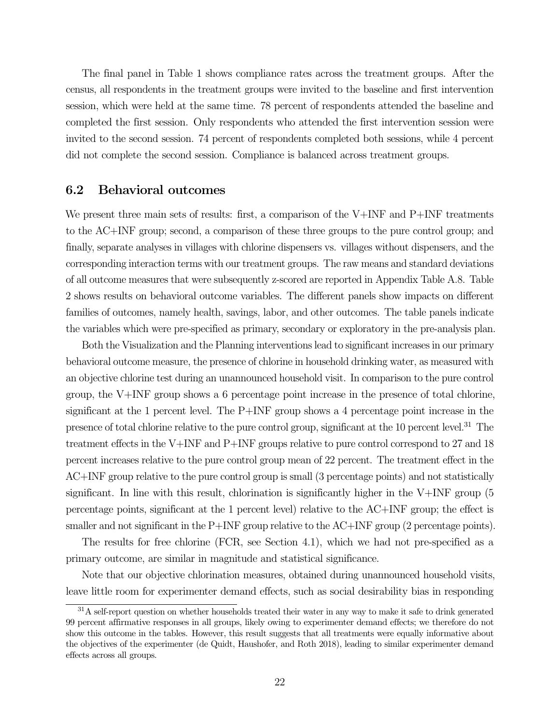The final panel in Table 1 shows compliance rates across the treatment groups. After the census, all respondents in the treatment groups were invited to the baseline and first intervention session, which were held at the same time. 78 percent of respondents attended the baseline and completed the first session. Only respondents who attended the first intervention session were invited to the second session. 74 percent of respondents completed both sessions, while 4 percent did not complete the second session. Compliance is balanced across treatment groups.

#### 6.2 Behavioral outcomes

We present three main sets of results: first, a comparison of the V+INF and P+INF treatments to the AC+INF group; second, a comparison of these three groups to the pure control group; and finally, separate analyses in villages with chlorine dispensers vs. villages without dispensers, and the corresponding interaction terms with our treatment groups. The raw means and standard deviations of all outcome measures that were subsequently z-scored are reported in Appendix Table A.8. Table 2 shows results on behavioral outcome variables. The different panels show impacts on different families of outcomes, namely health, savings, labor, and other outcomes. The table panels indicate the variables which were pre-specified as primary, secondary or exploratory in the pre-analysis plan.

Both the Visualization and the Planning interventions lead to significant increases in our primary behavioral outcome measure, the presence of chlorine in household drinking water, as measured with an objective chlorine test during an unannounced household visit. In comparison to the pure control group, the V+INF group shows a 6 percentage point increase in the presence of total chlorine, significant at the 1 percent level. The P+INF group shows a 4 percentage point increase in the presence of total chlorine relative to the pure control group, significant at the 10 percent level.31 The treatment effects in the V+INF and P+INF groups relative to pure control correspond to 27 and 18 percent increases relative to the pure control group mean of 22 percent. The treatment effect in the AC+INF group relative to the pure control group is small (3 percentage points) and not statistically significant. In line with this result, chlorination is significantly higher in the V+INF group (5 percentage points, significant at the 1 percent level) relative to the AC+INF group; the effect is smaller and not significant in the P+INF group relative to the AC+INF group (2 percentage points).

The results for free chlorine (FCR, see Section 4.1), which we had not pre-specified as a primary outcome, are similar in magnitude and statistical significance.

Note that our objective chlorination measures, obtained during unannounced household visits, leave little room for experimenter demand effects, such as social desirability bias in responding

<sup>&</sup>lt;sup>31</sup>A self-report question on whether households treated their water in any way to make it safe to drink generated 99 percent affirmative responses in all groups, likely owing to experimenter demand effects; we therefore do not show this outcome in the tables. However, this result suggests that all treatments were equally informative about the objectives of the experimenter (de Quidt, Haushofer, and Roth 2018), leading to similar experimenter demand effects across all groups.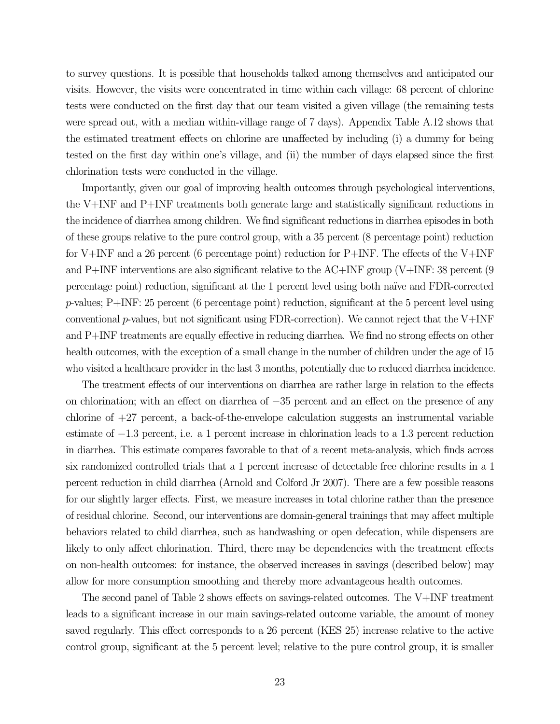to survey questions. It is possible that households talked among themselves and anticipated our visits. However, the visits were concentrated in time within each village: 68 percent of chlorine tests were conducted on the first day that our team visited a given village (the remaining tests were spread out, with a median within-village range of 7 days). Appendix Table A.12 shows that the estimated treatment effects on chlorine are unaffected by including (i) a dummy for being tested on the first day within one's village, and (ii) the number of days elapsed since the first chlorination tests were conducted in the village.

Importantly, given our goal of improving health outcomes through psychological interventions, the V+INF and P+INF treatments both generate large and statistically significant reductions in the incidence of diarrhea among children. We find significant reductions in diarrhea episodes in both of these groups relative to the pure control group, with a 35 percent (8 percentage point) reduction for V+INF and a 26 percent (6 percentage point) reduction for P+INF. The effects of the V+INF and P+INF interventions are also significant relative to the AC+INF group (V+INF: 38 percent (9 percentage point) reduction, significant at the 1 percent level using both na¨ıve and FDR-corrected  $p$ -values; P+INF: 25 percent (6 percentage point) reduction, significant at the 5 percent level using conventional  $p$ -values, but not significant using FDR-correction). We cannot reject that the V+INF and P+INF treatments are equally effective in reducing diarrhea. We find no strong effects on other health outcomes, with the exception of a small change in the number of children under the age of 15 who visited a healthcare provider in the last 3 months, potentially due to reduced diarrhea incidence.

The treatment effects of our interventions on diarrhea are rather large in relation to the effects on chlorination; with an effect on diarrhea of −35 percent and an effect on the presence of any chlorine of  $+27$  percent, a back-of-the-envelope calculation suggests an instrumental variable estimate of −1.3 percent, i.e. a 1 percent increase in chlorination leads to a 1.3 percent reduction in diarrhea. This estimate compares favorable to that of a recent meta-analysis, which finds across six randomized controlled trials that a 1 percent increase of detectable free chlorine results in a 1 percent reduction in child diarrhea (Arnold and Colford Jr 2007). There are a few possible reasons for our slightly larger effects. First, we measure increases in total chlorine rather than the presence of residual chlorine. Second, our interventions are domain-general trainings that may affect multiple behaviors related to child diarrhea, such as handwashing or open defecation, while dispensers are likely to only affect chlorination. Third, there may be dependencies with the treatment effects on non-health outcomes: for instance, the observed increases in savings (described below) may allow for more consumption smoothing and thereby more advantageous health outcomes.

The second panel of Table 2 shows effects on savings-related outcomes. The V+INF treatment leads to a significant increase in our main savings-related outcome variable, the amount of money saved regularly. This effect corresponds to a 26 percent (KES 25) increase relative to the active control group, significant at the 5 percent level; relative to the pure control group, it is smaller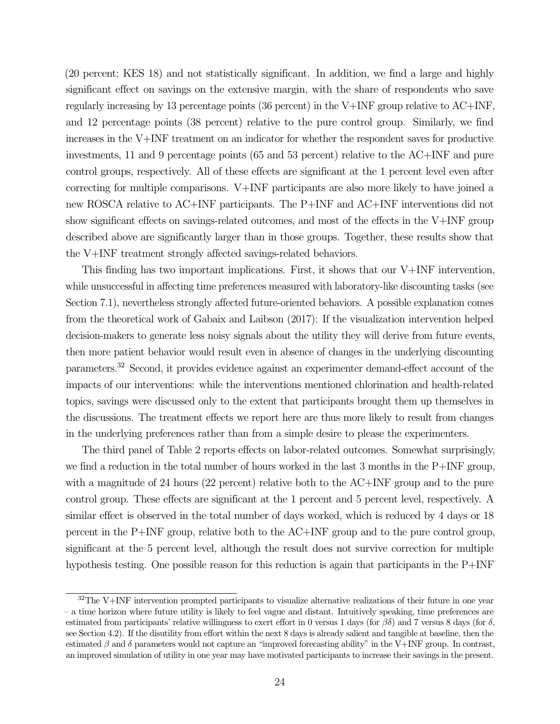(20 percent; KES 18) and not statistically significant. In addition, we find a large and highly significant effect on savings on the extensive margin, with the share of respondents who save regularly increasing by 13 percentage points (36 percent) in the V+INF group relative to AC+INF, and 12 percentage points (38 percent) relative to the pure control group. Similarly, we find increases in the V+INF treatment on an indicator for whether the respondent saves for productive investments, 11 and 9 percentage points (65 and 53 percent) relative to the AC+INF and pure control groups, respectively. All of these effects are significant at the 1 percent level even after correcting for multiple comparisons. V+INF participants are also more likely to have joined a new ROSCA relative to AC+INF participants. The P+INF and AC+INF interventions did not show significant effects on savings-related outcomes, and most of the effects in the V+INF group described above are significantly larger than in those groups. Together, these results show that the V+INF treatment strongly affected savings-related behaviors.

This finding has two important implications. First, it shows that our V+INF intervention, while unsuccessful in affecting time preferences measured with laboratory-like discounting tasks (see Section 7.1), nevertheless strongly affected future-oriented behaviors. A possible explanation comes from the theoretical work of Gabaix and Laibson (2017): If the visualization intervention helped decision-makers to generate less noisy signals about the utility they will derive from future events, then more patient behavior would result even in absence of changes in the underlying discounting parameters.32 Second, it provides evidence against an experimenter demand-effect account of the impacts of our interventions: while the interventions mentioned chlorination and health-related topics, savings were discussed only to the extent that participants brought them up themselves in the discussions. The treatment effects we report here are thus more likely to result from changes in the underlying preferences rather than from a simple desire to please the experimenters.

The third panel of Table 2 reports effects on labor-related outcomes. Somewhat surprisingly, we find a reduction in the total number of hours worked in the last 3 months in the P+INF group, with a magnitude of 24 hours (22 percent) relative both to the AC+INF group and to the pure control group. These effects are significant at the 1 percent and 5 percent level, respectively. A similar effect is observed in the total number of days worked, which is reduced by 4 days or 18 percent in the P+INF group, relative both to the AC+INF group and to the pure control group, significant at the 5 percent level, although the result does not survive correction for multiple hypothesis testing. One possible reason for this reduction is again that participants in the P+INF

 $32$ The V+INF intervention prompted participants to visualize alternative realizations of their future in one year – a time horizon where future utility is likely to feel vague and distant. Intuitively speaking, time preferences are estimated from participants' relative willingness to exert effort in 0 versus 1 days (for βδ) and 7 versus 8 days (for δ, see Section 4.2). If the disutility from effort within the next 8 days is already salient and tangible at baseline, then the estimated  $\beta$  and  $\delta$  parameters would not capture an "improved forecasting ability" in the V+INF group. In contrast, an improved simulation of utility in one year may have motivated participants to increase their savings in the present.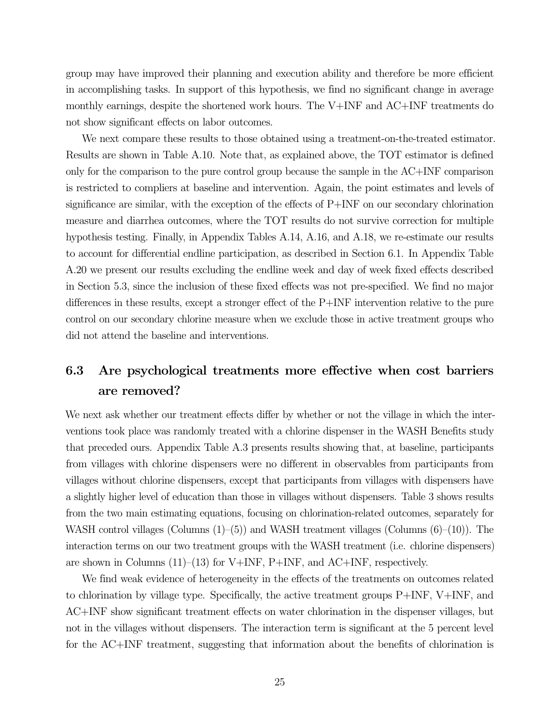group may have improved their planning and execution ability and therefore be more efficient in accomplishing tasks. In support of this hypothesis, we find no significant change in average monthly earnings, despite the shortened work hours. The V+INF and AC+INF treatments do not show significant effects on labor outcomes.

We next compare these results to those obtained using a treatment-on-the-treated estimator. Results are shown in Table A.10. Note that, as explained above, the TOT estimator is defined only for the comparison to the pure control group because the sample in the AC+INF comparison is restricted to compliers at baseline and intervention. Again, the point estimates and levels of significance are similar, with the exception of the effects of P+INF on our secondary chlorination measure and diarrhea outcomes, where the TOT results do not survive correction for multiple hypothesis testing. Finally, in Appendix Tables A.14, A.16, and A.18, we re-estimate our results to account for differential endline participation, as described in Section 6.1. In Appendix Table A.20 we present our results excluding the endline week and day of week fixed effects described in Section 5.3, since the inclusion of these fixed effects was not pre-specified. We find no major differences in these results, except a stronger effect of the P+INF intervention relative to the pure control on our secondary chlorine measure when we exclude those in active treatment groups who did not attend the baseline and interventions.

# 6.3 Are psychological treatments more effective when cost barriers are removed?

We next ask whether our treatment effects differ by whether or not the village in which the interventions took place was randomly treated with a chlorine dispenser in the WASH Benefits study that preceded ours. Appendix Table A.3 presents results showing that, at baseline, participants from villages with chlorine dispensers were no different in observables from participants from villages without chlorine dispensers, except that participants from villages with dispensers have a slightly higher level of education than those in villages without dispensers. Table 3 shows results from the two main estimating equations, focusing on chlorination-related outcomes, separately for WASH control villages (Columns (1)–(5)) and WASH treatment villages (Columns (6)–(10)). The interaction terms on our two treatment groups with the WASH treatment (i.e. chlorine dispensers) are shown in Columns  $(11)–(13)$  for V+INF, P+INF, and AC+INF, respectively.

We find weak evidence of heterogeneity in the effects of the treatments on outcomes related to chlorination by village type. Specifically, the active treatment groups  $P+INF$ ,  $V+INF$ , and AC+INF show significant treatment effects on water chlorination in the dispenser villages, but not in the villages without dispensers. The interaction term is significant at the 5 percent level for the AC+INF treatment, suggesting that information about the benefits of chlorination is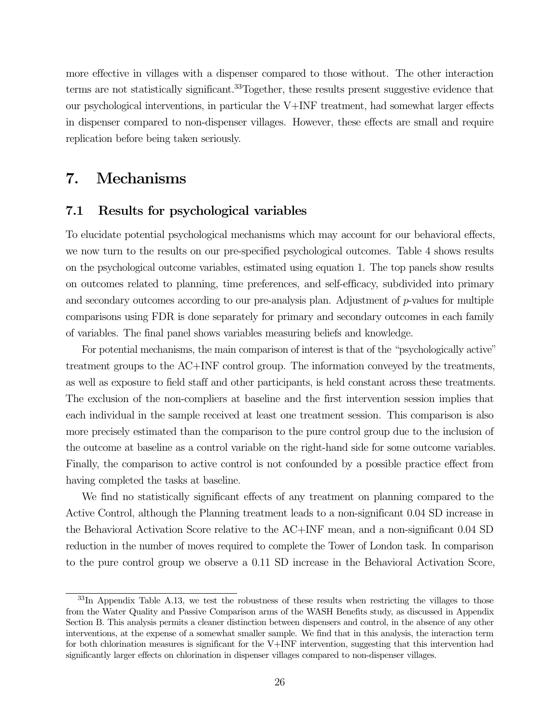more effective in villages with a dispenser compared to those without. The other interaction terms are not statistically significant.<sup>33</sup>Together, these results present suggestive evidence that our psychological interventions, in particular the V+INF treatment, had somewhat larger effects in dispenser compared to non-dispenser villages. However, these effects are small and require replication before being taken seriously.

# 7. Mechanisms

### 7.1 Results for psychological variables

To elucidate potential psychological mechanisms which may account for our behavioral effects, we now turn to the results on our pre-specified psychological outcomes. Table 4 shows results on the psychological outcome variables, estimated using equation 1. The top panels show results on outcomes related to planning, time preferences, and self-efficacy, subdivided into primary and secondary outcomes according to our pre-analysis plan. Adjustment of  $p$ -values for multiple comparisons using FDR is done separately for primary and secondary outcomes in each family of variables. The final panel shows variables measuring beliefs and knowledge.

For potential mechanisms, the main comparison of interest is that of the "psychologically active" treatment groups to the AC+INF control group. The information conveyed by the treatments, as well as exposure to field staff and other participants, is held constant across these treatments. The exclusion of the non-compliers at baseline and the first intervention session implies that each individual in the sample received at least one treatment session. This comparison is also more precisely estimated than the comparison to the pure control group due to the inclusion of the outcome at baseline as a control variable on the right-hand side for some outcome variables. Finally, the comparison to active control is not confounded by a possible practice effect from having completed the tasks at baseline.

We find no statistically significant effects of any treatment on planning compared to the Active Control, although the Planning treatment leads to a non-significant 0.04 SD increase in the Behavioral Activation Score relative to the AC+INF mean, and a non-significant 0.04 SD reduction in the number of moves required to complete the Tower of London task. In comparison to the pure control group we observe a 0.11 SD increase in the Behavioral Activation Score,

 $33\text{In}$  Appendix Table A.13, we test the robustness of these results when restricting the villages to those from the Water Quality and Passive Comparison arms of the WASH Benefits study, as discussed in Appendix Section B. This analysis permits a cleaner distinction between dispensers and control, in the absence of any other interventions, at the expense of a somewhat smaller sample. We find that in this analysis, the interaction term for both chlorination measures is significant for the V+INF intervention, suggesting that this intervention had significantly larger effects on chlorination in dispenser villages compared to non-dispenser villages.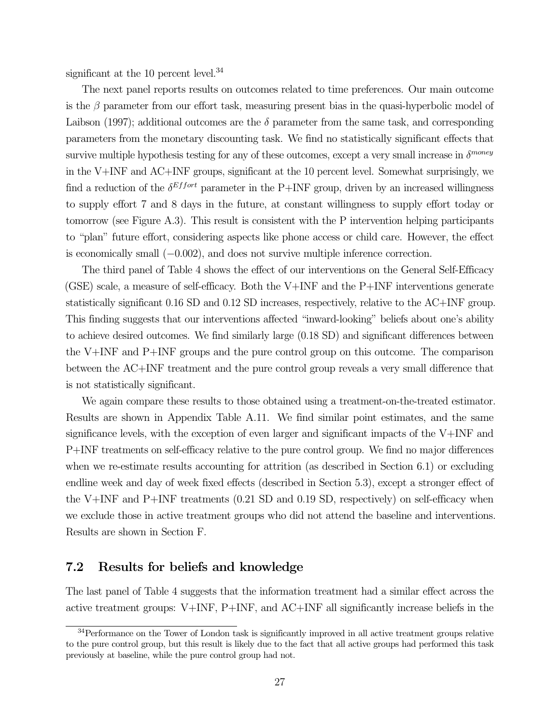significant at the 10 percent level. $34$ 

The next panel reports results on outcomes related to time preferences. Our main outcome is the  $\beta$  parameter from our effort task, measuring present bias in the quasi-hyperbolic model of Laibson (1997); additional outcomes are the  $\delta$  parameter from the same task, and corresponding parameters from the monetary discounting task. We find no statistically significant effects that survive multiple hypothesis testing for any of these outcomes, except a very small increase in  $\delta^{money}$ in the V+INF and AC+INF groups, significant at the 10 percent level. Somewhat surprisingly, we find a reduction of the  $\delta^{Effort}$  parameter in the P+INF group, driven by an increased willingness to supply effort 7 and 8 days in the future, at constant willingness to supply effort today or tomorrow (see Figure A.3). This result is consistent with the P intervention helping participants to "plan" future effort, considering aspects like phone access or child care. However, the effect is economically small (−0.002), and does not survive multiple inference correction.

The third panel of Table 4 shows the effect of our interventions on the General Self-Efficacy (GSE) scale, a measure of self-efficacy. Both the V+INF and the P+INF interventions generate statistically significant 0.16 SD and 0.12 SD increases, respectively, relative to the AC+INF group. This finding suggests that our interventions affected "inward-looking" beliefs about one's ability to achieve desired outcomes. We find similarly large (0.18 SD) and significant differences between the V+INF and P+INF groups and the pure control group on this outcome. The comparison between the AC+INF treatment and the pure control group reveals a very small difference that is not statistically significant.

We again compare these results to those obtained using a treatment-on-the-treated estimator. Results are shown in Appendix Table A.11. We find similar point estimates, and the same significance levels, with the exception of even larger and significant impacts of the V+INF and P+INF treatments on self-efficacy relative to the pure control group. We find no major differences when we re-estimate results accounting for attrition (as described in Section 6.1) or excluding endline week and day of week fixed effects (described in Section 5.3), except a stronger effect of the V+INF and P+INF treatments  $(0.21 \text{ SD and } 0.19 \text{ SD},$  respectively) on self-efficacy when we exclude those in active treatment groups who did not attend the baseline and interventions. Results are shown in Section F.

### 7.2 Results for beliefs and knowledge

The last panel of Table 4 suggests that the information treatment had a similar effect across the active treatment groups: V+INF, P+INF, and AC+INF all significantly increase beliefs in the

<sup>&</sup>lt;sup>34</sup>Performance on the Tower of London task is significantly improved in all active treatment groups relative to the pure control group, but this result is likely due to the fact that all active groups had performed this task previously at baseline, while the pure control group had not.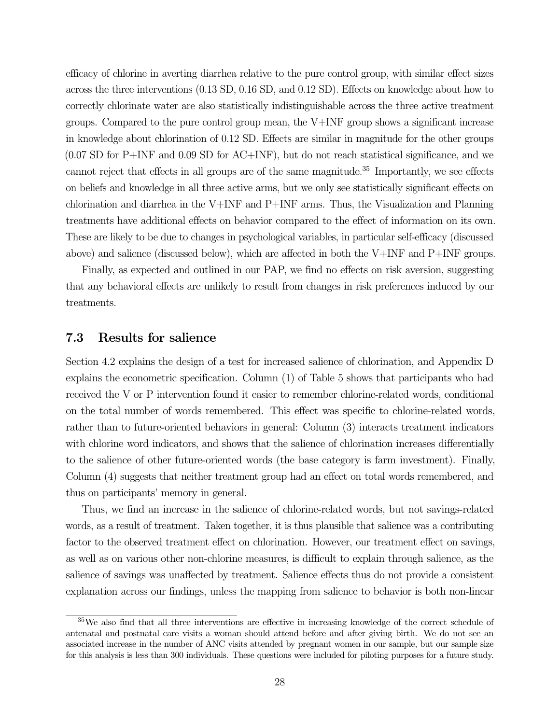efficacy of chlorine in averting diarrhea relative to the pure control group, with similar effect sizes across the three interventions (0.13 SD, 0.16 SD, and 0.12 SD). Effects on knowledge about how to correctly chlorinate water are also statistically indistinguishable across the three active treatment groups. Compared to the pure control group mean, the V+INF group shows a significant increase in knowledge about chlorination of 0.12 SD. Effects are similar in magnitude for the other groups (0.07 SD for P+INF and 0.09 SD for AC+INF), but do not reach statistical significance, and we cannot reject that effects in all groups are of the same magnitude.<sup>35</sup> Importantly, we see effects on beliefs and knowledge in all three active arms, but we only see statistically significant effects on chlorination and diarrhea in the V+INF and P+INF arms. Thus, the Visualization and Planning treatments have additional effects on behavior compared to the effect of information on its own. These are likely to be due to changes in psychological variables, in particular self-efficacy (discussed above) and salience (discussed below), which are affected in both the V+INF and P+INF groups.

Finally, as expected and outlined in our PAP, we find no effects on risk aversion, suggesting that any behavioral effects are unlikely to result from changes in risk preferences induced by our treatments.

### 7.3 Results for salience

Section 4.2 explains the design of a test for increased salience of chlorination, and Appendix D explains the econometric specification. Column (1) of Table 5 shows that participants who had received the V or P intervention found it easier to remember chlorine-related words, conditional on the total number of words remembered. This effect was specific to chlorine-related words, rather than to future-oriented behaviors in general: Column (3) interacts treatment indicators with chlorine word indicators, and shows that the salience of chlorination increases differentially to the salience of other future-oriented words (the base category is farm investment). Finally, Column (4) suggests that neither treatment group had an effect on total words remembered, and thus on participants' memory in general.

Thus, we find an increase in the salience of chlorine-related words, but not savings-related words, as a result of treatment. Taken together, it is thus plausible that salience was a contributing factor to the observed treatment effect on chlorination. However, our treatment effect on savings, as well as on various other non-chlorine measures, is difficult to explain through salience, as the salience of savings was unaffected by treatment. Salience effects thus do not provide a consistent explanation across our findings, unless the mapping from salience to behavior is both non-linear

<sup>&</sup>lt;sup>35</sup>We also find that all three interventions are effective in increasing knowledge of the correct schedule of antenatal and postnatal care visits a woman should attend before and after giving birth. We do not see an associated increase in the number of ANC visits attended by pregnant women in our sample, but our sample size for this analysis is less than 300 individuals. These questions were included for piloting purposes for a future study.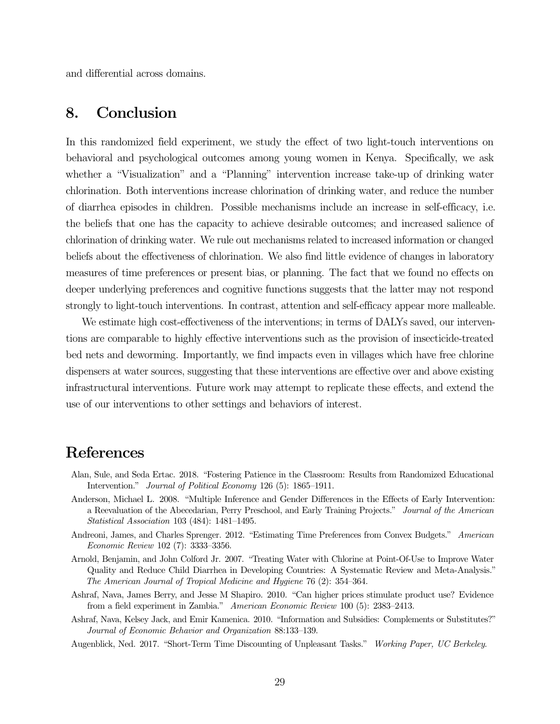and differential across domains.

# 8. Conclusion

In this randomized field experiment, we study the effect of two light-touch interventions on behavioral and psychological outcomes among young women in Kenya. Specifically, we ask whether a "Visualization" and a "Planning" intervention increase take-up of drinking water chlorination. Both interventions increase chlorination of drinking water, and reduce the number of diarrhea episodes in children. Possible mechanisms include an increase in self-efficacy, i.e. the beliefs that one has the capacity to achieve desirable outcomes; and increased salience of chlorination of drinking water. We rule out mechanisms related to increased information or changed beliefs about the effectiveness of chlorination. We also find little evidence of changes in laboratory measures of time preferences or present bias, or planning. The fact that we found no effects on deeper underlying preferences and cognitive functions suggests that the latter may not respond strongly to light-touch interventions. In contrast, attention and self-efficacy appear more malleable.

We estimate high cost-effectiveness of the interventions; in terms of DALYs saved, our interventions are comparable to highly effective interventions such as the provision of insecticide-treated bed nets and deworming. Importantly, we find impacts even in villages which have free chlorine dispensers at water sources, suggesting that these interventions are effective over and above existing infrastructural interventions. Future work may attempt to replicate these effects, and extend the use of our interventions to other settings and behaviors of interest.

## References

- Alan, Sule, and Seda Ertac. 2018. "Fostering Patience in the Classroom: Results from Randomized Educational Intervention." Journal of Political Economy 126 (5): 1865–1911.
- Anderson, Michael L. 2008. "Multiple Inference and Gender Differences in the Effects of Early Intervention: a Reevaluation of the Abecedarian, Perry Preschool, and Early Training Projects." Journal of the American Statistical Association 103 (484): 1481–1495.
- Andreoni, James, and Charles Sprenger. 2012. "Estimating Time Preferences from Convex Budgets." American Economic Review 102 (7): 3333–3356.
- Arnold, Benjamin, and John Colford Jr. 2007. "Treating Water with Chlorine at Point-Of-Use to Improve Water Quality and Reduce Child Diarrhea in Developing Countries: A Systematic Review and Meta-Analysis." The American Journal of Tropical Medicine and Hygiene 76 (2): 354–364.
- Ashraf, Nava, James Berry, and Jesse M Shapiro. 2010. "Can higher prices stimulate product use? Evidence from a field experiment in Zambia." American Economic Review 100 (5): 2383–2413.
- Ashraf, Nava, Kelsey Jack, and Emir Kamenica. 2010. "Information and Subsidies: Complements or Substitutes?" Journal of Economic Behavior and Organization 88:133–139.
- Augenblick, Ned. 2017. "Short-Term Time Discounting of Unpleasant Tasks." Working Paper, UC Berkeley.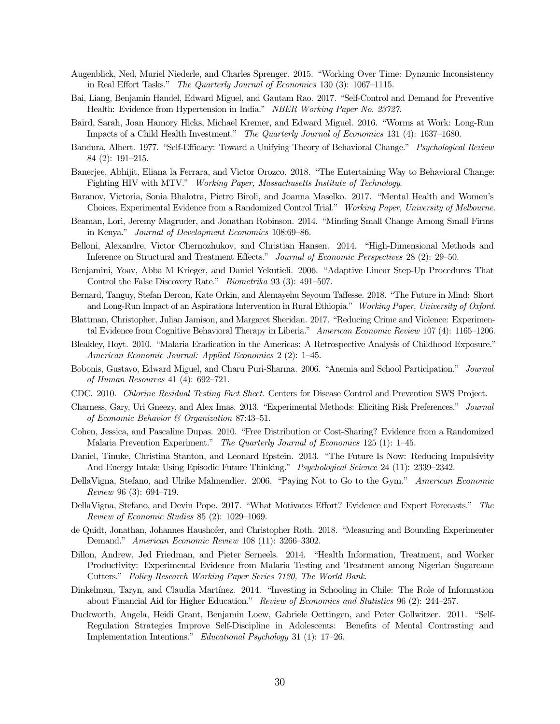- Augenblick, Ned, Muriel Niederle, and Charles Sprenger. 2015. "Working Over Time: Dynamic Inconsistency in Real Effort Tasks." The Quarterly Journal of Economics 130 (3): 1067–1115.
- Bai, Liang, Benjamin Handel, Edward Miguel, and Gautam Rao. 2017. "Self-Control and Demand for Preventive Health: Evidence from Hypertension in India." NBER Working Paper No. 23727.
- Baird, Sarah, Joan Hamory Hicks, Michael Kremer, and Edward Miguel. 2016. "Worms at Work: Long-Run Impacts of a Child Health Investment." The Quarterly Journal of Economics 131 (4): 1637–1680.
- Bandura, Albert. 1977. "Self-Efficacy: Toward a Unifying Theory of Behavioral Change." Psychological Review 84 (2): 191–215.
- Banerjee, Abhijit, Eliana la Ferrara, and Victor Orozco. 2018. "The Entertaining Way to Behavioral Change: Fighting HIV with MTV." Working Paper, Massachusetts Institute of Technology.
- Baranov, Victoria, Sonia Bhalotra, Pietro Biroli, and Joanna Maselko. 2017. "Mental Health and Women's Choices. Experimental Evidence from a Randomized Control Trial." Working Paper, University of Melbourne.
- Beaman, Lori, Jeremy Magruder, and Jonathan Robinson. 2014. "Minding Small Change Among Small Firms in Kenya." Journal of Development Economics 108:69–86.
- Belloni, Alexandre, Victor Chernozhukov, and Christian Hansen. 2014. "High-Dimensional Methods and Inference on Structural and Treatment Effects." Journal of Economic Perspectives 28 (2): 29–50.
- Benjamini, Yoav, Abba M Krieger, and Daniel Yekutieli. 2006. "Adaptive Linear Step-Up Procedures That Control the False Discovery Rate." Biometrika 93 (3): 491–507.
- Bernard, Tanguy, Stefan Dercon, Kate Orkin, and Alemayehu Seyoum Taffesse. 2018. "The Future in Mind: Short and Long-Run Impact of an Aspirations Intervention in Rural Ethiopia." Working Paper, University of Oxford.
- Blattman, Christopher, Julian Jamison, and Margaret Sheridan. 2017. "Reducing Crime and Violence: Experimental Evidence from Cognitive Behavioral Therapy in Liberia." American Economic Review 107 (4): 1165–1206.
- Bleakley, Hoyt. 2010. "Malaria Eradication in the Americas: A Retrospective Analysis of Childhood Exposure." American Economic Journal: Applied Economics 2 (2): 1–45.
- Bobonis, Gustavo, Edward Miguel, and Charu Puri-Sharma. 2006. "Anemia and School Participation." Journal of Human Resources 41 (4): 692–721.
- CDC. 2010. Chlorine Residual Testing Fact Sheet. Centers for Disease Control and Prevention SWS Project.
- Charness, Gary, Uri Gneezy, and Alex Imas. 2013. "Experimental Methods: Eliciting Risk Preferences." Journal of Economic Behavior & Organization 87:43–51.
- Cohen, Jessica, and Pascaline Dupas. 2010. "Free Distribution or Cost-Sharing? Evidence from a Randomized Malaria Prevention Experiment." The Quarterly Journal of Economics 125 (1): 1–45.
- Daniel, Tinuke, Christina Stanton, and Leonard Epstein. 2013. "The Future Is Now: Reducing Impulsivity And Energy Intake Using Episodic Future Thinking." Psychological Science 24 (11): 2339–2342.
- DellaVigna, Stefano, and Ulrike Malmendier. 2006. "Paying Not to Go to the Gym." American Economic Review 96 (3): 694–719.
- DellaVigna, Stefano, and Devin Pope. 2017. "What Motivates Effort? Evidence and Expert Forecasts." The Review of Economic Studies 85 (2): 1029–1069.
- de Quidt, Jonathan, Johannes Haushofer, and Christopher Roth. 2018. "Measuring and Bounding Experimenter Demand." American Economic Review 108 (11): 3266–3302.
- Dillon, Andrew, Jed Friedman, and Pieter Serneels. 2014. "Health Information, Treatment, and Worker Productivity: Experimental Evidence from Malaria Testing and Treatment among Nigerian Sugarcane Cutters." Policy Research Working Paper Series 7120, The World Bank.
- Dinkelman, Taryn, and Claudia Martínez. 2014. "Investing in Schooling in Chile: The Role of Information about Financial Aid for Higher Education." Review of Economics and Statistics 96 (2): 244–257.
- Duckworth, Angela, Heidi Grant, Benjamin Loew, Gabriele Oettingen, and Peter Gollwitzer. 2011. "Self-Regulation Strategies Improve Self-Discipline in Adolescents: Benefits of Mental Contrasting and Implementation Intentions." Educational Psychology 31 (1): 17–26.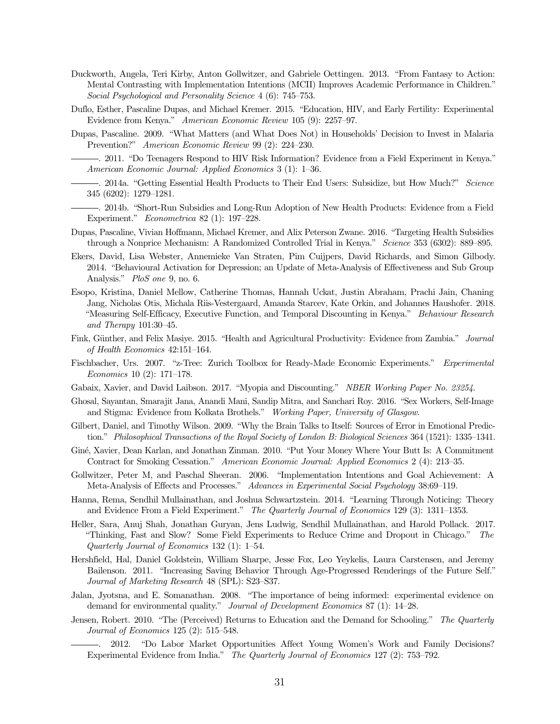- Duckworth, Angela, Teri Kirby, Anton Gollwitzer, and Gabriele Oettingen. 2013. "From Fantasy to Action: Mental Contrasting with Implementation Intentions (MCII) Improves Academic Performance in Children." Social Psychological and Personality Science 4 (6): 745–753.
- Duflo, Esther, Pascaline Dupas, and Michael Kremer. 2015. "Education, HIV, and Early Fertility: Experimental Evidence from Kenya." American Economic Review 105 (9): 2257–97.
- Dupas, Pascaline. 2009. "What Matters (and What Does Not) in Households' Decision to Invest in Malaria Prevention?" American Economic Review 99 (2): 224–230.
	- . 2011. "Do Teenagers Respond to HIV Risk Information? Evidence from a Field Experiment in Kenya." American Economic Journal: Applied Economics 3 (1): 1–36.
- . 2014a. "Getting Essential Health Products to Their End Users: Subsidize, but How Much?" Science 345 (6202): 1279–1281.
- . 2014b. "Short-Run Subsidies and Long-Run Adoption of New Health Products: Evidence from a Field Experiment." Econometrica 82 (1): 197–228.
- Dupas, Pascaline, Vivian Hoffmann, Michael Kremer, and Alix Peterson Zwane. 2016. "Targeting Health Subsidies through a Nonprice Mechanism: A Randomized Controlled Trial in Kenya." Science 353 (6302): 889–895.
- Ekers, David, Lisa Webster, Annemieke Van Straten, Pim Cuijpers, David Richards, and Simon Gilbody. 2014. "Behavioural Activation for Depression; an Update of Meta-Analysis of Effectiveness and Sub Group Analysis." PloS one 9, no. 6.
- Esopo, Kristina, Daniel Mellow, Catherine Thomas, Hannah Uckat, Justin Abraham, Prachi Jain, Chaning Jang, Nicholas Otis, Michala Riis-Vestergaard, Amanda Starcev, Kate Orkin, and Johannes Haushofer. 2018. "Measuring Self-Efficacy, Executive Function, and Temporal Discounting in Kenya." Behaviour Research and Therapy 101:30–45.
- Fink, Günther, and Felix Masiye. 2015. "Health and Agricultural Productivity: Evidence from Zambia." Journal of Health Economics 42:151–164.
- Fischbacher, Urs. 2007. "z-Tree: Zurich Toolbox for Ready-Made Economic Experiments." Experimental Economics 10 (2): 171–178.
- Gabaix, Xavier, and David Laibson. 2017. "Myopia and Discounting." NBER Working Paper No. 23254.
- Ghosal, Sayantan, Smarajit Jana, Anandi Mani, Sandip Mitra, and Sanchari Roy. 2016. "Sex Workers, Self-Image and Stigma: Evidence from Kolkata Brothels." Working Paper, University of Glasgow.
- Gilbert, Daniel, and Timothy Wilson. 2009. "Why the Brain Talks to Itself: Sources of Error in Emotional Prediction." Philosophical Transactions of the Royal Society of London B: Biological Sciences 364 (1521): 1335–1341.
- Gin´e, Xavier, Dean Karlan, and Jonathan Zinman. 2010. "Put Your Money Where Your Butt Is: A Commitment Contract for Smoking Cessation." American Economic Journal: Applied Economics 2 (4): 213–35.
- Gollwitzer, Peter M, and Paschal Sheeran. 2006. "Implementation Intentions and Goal Achievement: A Meta-Analysis of Effects and Processes." Advances in Experimental Social Psychology 38:69-119.
- Hanna, Rema, Sendhil Mullainathan, and Joshua Schwartzstein. 2014. "Learning Through Noticing: Theory and Evidence From a Field Experiment." The Quarterly Journal of Economics 129 (3): 1311–1353.
- Heller, Sara, Anuj Shah, Jonathan Guryan, Jens Ludwig, Sendhil Mullainathan, and Harold Pollack. 2017. "Thinking, Fast and Slow? Some Field Experiments to Reduce Crime and Dropout in Chicago." The Quarterly Journal of Economics 132 (1): 1–54.
- Hershfield, Hal, Daniel Goldstein, William Sharpe, Jesse Fox, Leo Yeykelis, Laura Carstensen, and Jeremy Bailenson. 2011. "Increasing Saving Behavior Through Age-Progressed Renderings of the Future Self." Journal of Marketing Research 48 (SPL): S23–S37.
- Jalan, Jyotsna, and E. Somanathan. 2008. "The importance of being informed: experimental evidence on demand for environmental quality." Journal of Development Economics 87 (1): 14–28.
- Jensen, Robert. 2010. "The (Perceived) Returns to Education and the Demand for Schooling." The Quarterly Journal of Economics 125 (2): 515–548.
	- . 2012. "Do Labor Market Opportunities Affect Young Women's Work and Family Decisions? Experimental Evidence from India." The Quarterly Journal of Economics 127 (2): 753–792.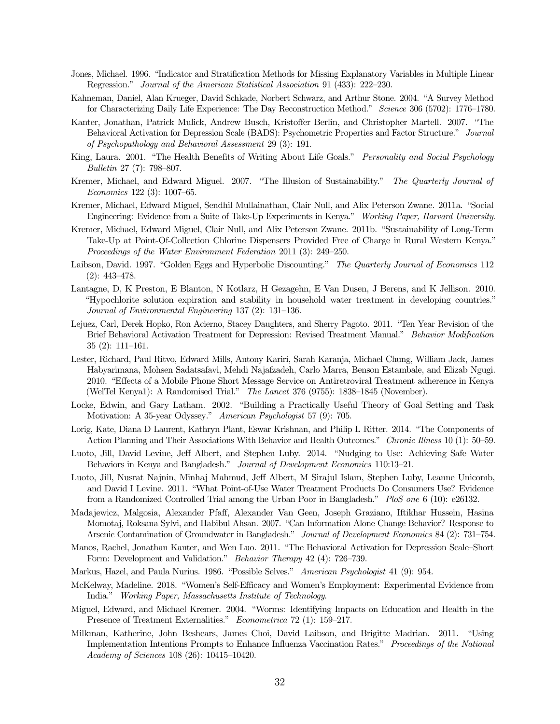- Jones, Michael. 1996. "Indicator and Stratification Methods for Missing Explanatory Variables in Multiple Linear Regression." Journal of the American Statistical Association 91 (433): 222–230.
- Kahneman, Daniel, Alan Krueger, David Schkade, Norbert Schwarz, and Arthur Stone. 2004. "A Survey Method for Characterizing Daily Life Experience: The Day Reconstruction Method." Science 306 (5702): 1776–1780.
- Kanter, Jonathan, Patrick Mulick, Andrew Busch, Kristoffer Berlin, and Christopher Martell. 2007. "The Behavioral Activation for Depression Scale (BADS): Psychometric Properties and Factor Structure." Journal of Psychopathology and Behavioral Assessment 29 (3): 191.
- King, Laura. 2001. "The Health Benefits of Writing About Life Goals." Personality and Social Psychology Bulletin 27 (7): 798–807.
- Kremer, Michael, and Edward Miguel. 2007. "The Illusion of Sustainability." The Quarterly Journal of Economics 122 (3): 1007–65.
- Kremer, Michael, Edward Miguel, Sendhil Mullainathan, Clair Null, and Alix Peterson Zwane. 2011a. "Social Engineering: Evidence from a Suite of Take-Up Experiments in Kenya." Working Paper, Harvard University.
- Kremer, Michael, Edward Miguel, Clair Null, and Alix Peterson Zwane. 2011b. "Sustainability of Long-Term Take-Up at Point-Of-Collection Chlorine Dispensers Provided Free of Charge in Rural Western Kenya." Proceedings of the Water Environment Federation 2011 (3): 249–250.
- Laibson, David. 1997. "Golden Eggs and Hyperbolic Discounting." The Quarterly Journal of Economics 112 (2): 443–478.
- Lantagne, D, K Preston, E Blanton, N Kotlarz, H Gezagehn, E Van Dusen, J Berens, and K Jellison. 2010. "Hypochlorite solution expiration and stability in household water treatment in developing countries." Journal of Environmental Engineering 137 (2): 131–136.
- Lejuez, Carl, Derek Hopko, Ron Acierno, Stacey Daughters, and Sherry Pagoto. 2011. "Ten Year Revision of the Brief Behavioral Activation Treatment for Depression: Revised Treatment Manual." Behavior Modification 35 (2): 111–161.
- Lester, Richard, Paul Ritvo, Edward Mills, Antony Kariri, Sarah Karanja, Michael Chung, William Jack, James Habyarimana, Mohsen Sadatsafavi, Mehdi Najafzadeh, Carlo Marra, Benson Estambale, and Elizab Ngugi. 2010. "Effects of a Mobile Phone Short Message Service on Antiretroviral Treatment adherence in Kenya (WelTel Kenya1): A Randomised Trial." The Lancet 376 (9755): 1838–1845 (November).
- Locke, Edwin, and Gary Latham. 2002. "Building a Practically Useful Theory of Goal Setting and Task Motivation: A 35-year Odyssey." American Psychologist 57 (9): 705.
- Lorig, Kate, Diana D Laurent, Kathryn Plant, Eswar Krishnan, and Philip L Ritter. 2014. "The Components of Action Planning and Their Associations With Behavior and Health Outcomes." Chronic Illness 10 (1): 50–59.
- Luoto, Jill, David Levine, Jeff Albert, and Stephen Luby. 2014. "Nudging to Use: Achieving Safe Water Behaviors in Kenya and Bangladesh." Journal of Development Economics 110:13–21.
- Luoto, Jill, Nusrat Najnin, Minhaj Mahmud, Jeff Albert, M Sirajul Islam, Stephen Luby, Leanne Unicomb, and David I Levine. 2011. "What Point-of-Use Water Treatment Products Do Consumers Use? Evidence from a Randomized Controlled Trial among the Urban Poor in Bangladesh." PloS one 6 (10): e26132.
- Madajewicz, Malgosia, Alexander Pfaff, Alexander Van Geen, Joseph Graziano, Iftikhar Hussein, Hasina Momotaj, Roksana Sylvi, and Habibul Ahsan. 2007. "Can Information Alone Change Behavior? Response to Arsenic Contamination of Groundwater in Bangladesh." Journal of Development Economics 84 (2): 731–754.
- Manos, Rachel, Jonathan Kanter, and Wen Luo. 2011. "The Behavioral Activation for Depression Scale–Short Form: Development and Validation." Behavior Therapy 42 (4): 726–739.
- Markus, Hazel, and Paula Nurius. 1986. "Possible Selves." American Psychologist 41 (9): 954.
- McKelway, Madeline. 2018. "Women's Self-Efficacy and Women's Employment: Experimental Evidence from India." Working Paper, Massachusetts Institute of Technology.
- Miguel, Edward, and Michael Kremer. 2004. "Worms: Identifying Impacts on Education and Health in the Presence of Treatment Externalities." Econometrica 72 (1): 159–217.
- Milkman, Katherine, John Beshears, James Choi, David Laibson, and Brigitte Madrian. 2011. "Using Implementation Intentions Prompts to Enhance Influenza Vaccination Rates." Proceedings of the National Academy of Sciences 108 (26): 10415–10420.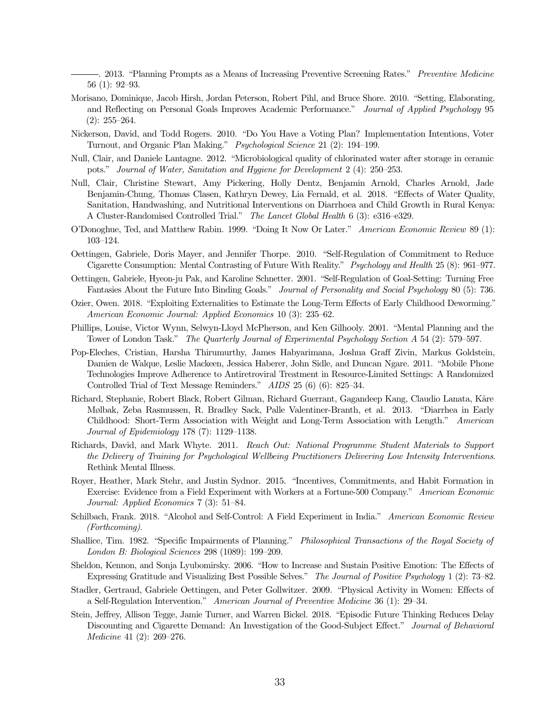. 2013. "Planning Prompts as a Means of Increasing Preventive Screening Rates." Preventive Medicine 56 (1): 92–93.

- Morisano, Dominique, Jacob Hirsh, Jordan Peterson, Robert Pihl, and Bruce Shore. 2010. "Setting, Elaborating, and Reflecting on Personal Goals Improves Academic Performance." Journal of Applied Psychology 95  $(2): 255 - 264.$
- Nickerson, David, and Todd Rogers. 2010. "Do You Have a Voting Plan? Implementation Intentions, Voter Turnout, and Organic Plan Making." Psychological Science 21 (2): 194–199.
- Null, Clair, and Daniele Lantagne. 2012. "Microbiological quality of chlorinated water after storage in ceramic pots." Journal of Water, Sanitation and Hygiene for Development 2 (4): 250–253.
- Null, Clair, Christine Stewart, Amy Pickering, Holly Dentz, Benjamin Arnold, Charles Arnold, Jade Benjamin-Chung, Thomas Clasen, Kathryn Dewey, Lia Fernald, et al. 2018. "Effects of Water Quality, Sanitation, Handwashing, and Nutritional Interventions on Diarrhoea and Child Growth in Rural Kenya: A Cluster-Randomised Controlled Trial." The Lancet Global Health 6 (3): e316–e329.
- O'Donoghue, Ted, and Matthew Rabin. 1999. "Doing It Now Or Later." American Economic Review 89 (1): 103–124.
- Oettingen, Gabriele, Doris Mayer, and Jennifer Thorpe. 2010. "Self-Regulation of Commitment to Reduce Cigarette Consumption: Mental Contrasting of Future With Reality." Psychology and Health 25 (8): 961–977.
- Oettingen, Gabriele, Hyeon-ju Pak, and Karoline Schnetter. 2001. "Self-Regulation of Goal-Setting: Turning Free Fantasies About the Future Into Binding Goals." Journal of Personality and Social Psychology 80 (5): 736.
- Ozier, Owen. 2018. "Exploiting Externalities to Estimate the Long-Term Effects of Early Childhood Deworming." American Economic Journal: Applied Economics 10 (3): 235–62.
- Phillips, Louise, Victor Wynn, Selwyn-Lloyd McPherson, and Ken Gilhooly. 2001. "Mental Planning and the Tower of London Task." The Quarterly Journal of Experimental Psychology Section A 54 (2): 579–597.
- Pop-Eleches, Cristian, Harsha Thirumurthy, James Habyarimana, Joshua Graff Zivin, Markus Goldstein, Damien de Walque, Leslie Mackeen, Jessica Haberer, John Sidle, and Duncan Ngare. 2011. "Mobile Phone Technologies Improve Adherence to Antiretroviral Treatment in Resource-Limited Settings: A Randomized Controlled Trial of Text Message Reminders." AIDS 25 (6) (6): 825–34.
- Richard, Stephanie, Robert Black, Robert Gilman, Richard Guerrant, Gagandeep Kang, Claudio Lanata, Kåre Mølbak, Zeba Rasmussen, R. Bradley Sack, Palle Valentiner-Branth, et al. 2013. "Diarrhea in Early Childhood: Short-Term Association with Weight and Long-Term Association with Length." American Journal of Epidemiology 178 (7): 1129–1138.
- Richards, David, and Mark Whyte. 2011. Reach Out: National Programme Student Materials to Support the Delivery of Training for Psychological Wellbeing Practitioners Delivering Low Intensity Interventions. Rethink Mental Illness.
- Royer, Heather, Mark Stehr, and Justin Sydnor. 2015. "Incentives, Commitments, and Habit Formation in Exercise: Evidence from a Field Experiment with Workers at a Fortune-500 Company." American Economic Journal: Applied Economics 7 (3): 51–84.
- Schilbach, Frank. 2018. "Alcohol and Self-Control: A Field Experiment in India." American Economic Review (Forthcoming).
- Shallice, Tim. 1982. "Specific Impairments of Planning." Philosophical Transactions of the Royal Society of London B: Biological Sciences 298 (1089): 199–209.
- Sheldon, Kennon, and Sonja Lyubomirsky. 2006. "How to Increase and Sustain Positive Emotion: The Effects of Expressing Gratitude and Visualizing Best Possible Selves." The Journal of Positive Psychology 1 (2): 73–82.
- Stadler, Gertraud, Gabriele Oettingen, and Peter Gollwitzer. 2009. "Physical Activity in Women: Effects of a Self-Regulation Intervention." American Journal of Preventive Medicine 36 (1): 29–34.
- Stein, Jeffrey, Allison Tegge, Jamie Turner, and Warren Bickel. 2018. "Episodic Future Thinking Reduces Delay Discounting and Cigarette Demand: An Investigation of the Good-Subject Effect." Journal of Behavioral Medicine 41 (2): 269–276.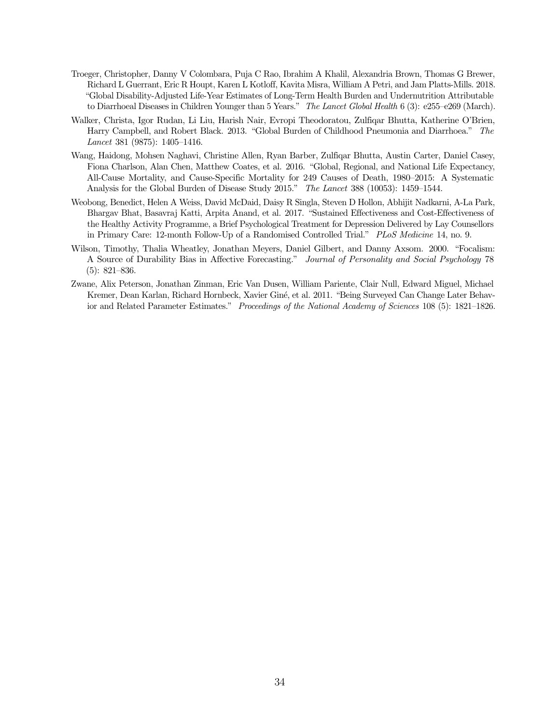- Troeger, Christopher, Danny V Colombara, Puja C Rao, Ibrahim A Khalil, Alexandria Brown, Thomas G Brewer, Richard L Guerrant, Eric R Houpt, Karen L Kotloff, Kavita Misra, William A Petri, and Jam Platts-Mills. 2018. "Global Disability-Adjusted Life-Year Estimates of Long-Term Health Burden and Undernutrition Attributable to Diarrhoeal Diseases in Children Younger than 5 Years." The Lancet Global Health 6 (3): e255–e269 (March).
- Walker, Christa, Igor Rudan, Li Liu, Harish Nair, Evropi Theodoratou, Zulfiqar Bhutta, Katherine O'Brien, Harry Campbell, and Robert Black. 2013. "Global Burden of Childhood Pneumonia and Diarrhoea." The Lancet 381 (9875): 1405–1416.
- Wang, Haidong, Mohsen Naghavi, Christine Allen, Ryan Barber, Zulfiqar Bhutta, Austin Carter, Daniel Casey, Fiona Charlson, Alan Chen, Matthew Coates, et al. 2016. "Global, Regional, and National Life Expectancy, All-Cause Mortality, and Cause-Specific Mortality for 249 Causes of Death, 1980–2015: A Systematic Analysis for the Global Burden of Disease Study 2015." The Lancet 388 (10053): 1459–1544.
- Weobong, Benedict, Helen A Weiss, David McDaid, Daisy R Singla, Steven D Hollon, Abhijit Nadkarni, A-La Park, Bhargav Bhat, Basavraj Katti, Arpita Anand, et al. 2017. "Sustained Effectiveness and Cost-Effectiveness of the Healthy Activity Programme, a Brief Psychological Treatment for Depression Delivered by Lay Counsellors in Primary Care: 12-month Follow-Up of a Randomised Controlled Trial." PLoS Medicine 14, no. 9.
- Wilson, Timothy, Thalia Wheatley, Jonathan Meyers, Daniel Gilbert, and Danny Axsom. 2000. "Focalism: A Source of Durability Bias in Affective Forecasting." Journal of Personality and Social Psychology 78 (5): 821–836.
- Zwane, Alix Peterson, Jonathan Zinman, Eric Van Dusen, William Pariente, Clair Null, Edward Miguel, Michael Kremer, Dean Karlan, Richard Hornbeck, Xavier Giné, et al. 2011. "Being Surveyed Can Change Later Behavior and Related Parameter Estimates." Proceedings of the National Academy of Sciences 108 (5): 1821–1826.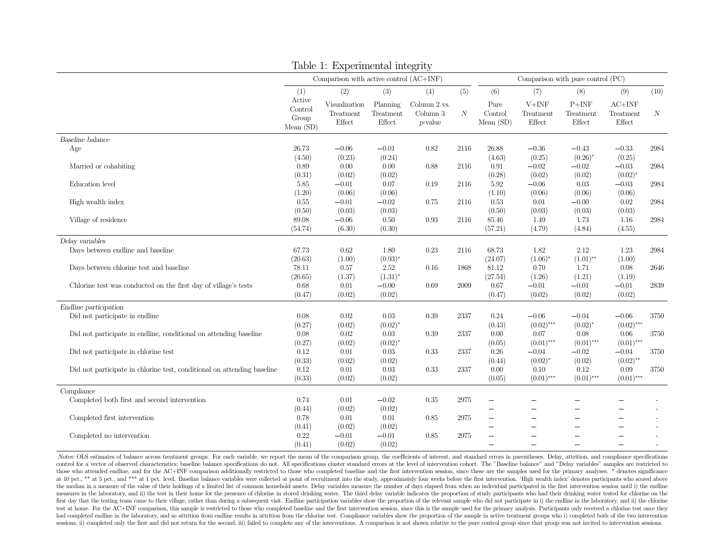|                                                                         |                                           | Table 1: Experimental integrity           |                                 |                                          |                  |                                      |                                |                                   |                                 |                  |
|-------------------------------------------------------------------------|-------------------------------------------|-------------------------------------------|---------------------------------|------------------------------------------|------------------|--------------------------------------|--------------------------------|-----------------------------------|---------------------------------|------------------|
|                                                                         |                                           | Comparison with active control $(AC+INF)$ |                                 |                                          |                  |                                      |                                | Comparison with pure control (PC) |                                 |                  |
|                                                                         | (1)                                       | (2)                                       | (3)                             | (4)                                      | (5)              | (6)                                  | (7)                            | (8)                               | (9)                             | (10)             |
|                                                                         | Active<br>Control<br>Group<br>Mean $(SD)$ | Visualization<br>Treatment<br>Effect      | Planning<br>Treatment<br>Effect | Column 2 vs.<br>Column $3$<br>$p$ -value | $\boldsymbol{N}$ | Pure<br>Control<br>Mean $(SD)$       | $V+INF$<br>Treatment<br>Effect | $P+INF$<br>Treatment<br>Effect    | $AC+INF$<br>Treatment<br>Effect | $\boldsymbol{N}$ |
| Baseline balance                                                        |                                           |                                           |                                 |                                          |                  |                                      |                                |                                   |                                 |                  |
| Age                                                                     | 26.73<br>(4.50)                           | $-0.06$<br>(0.23)                         | $-0.01$<br>(0.24)               | 0.82                                     | 2116             | 26.88<br>(4.63)                      | $-0.36$<br>(0.25)              | $-0.43$<br>$(0.26)^*$             | $-0.33$<br>(0.25)               | 2984             |
| Married or cohabiting                                                   | 0.89<br>(0.31)                            | 0.00<br>(0.02)                            | 0.00<br>(0.02)                  | 0.88                                     | 2116             | 0.91<br>(0.28)                       | $-0.02$<br>(0.02)              | $-0.02$<br>(0.02)                 | $-0.03$<br>$(0.02)^*$           | 2984             |
| Education level                                                         | 5.85<br>(1.20)                            | $-0.01$<br>(0.06)                         | 0.07<br>(0.06)                  | 0.19                                     | 2116             | 5.92<br>(1.10)                       | $-0.06$<br>(0.06)              | 0.03<br>(0.06)                    | $-0.03$<br>(0.06)               | 2984             |
| High wealth index                                                       | 0.55<br>(0.50)                            | $-0.01$<br>(0.03)                         | $-0.02$<br>(0.03)               | 0.75                                     | 2116             | 0.53<br>(0.50)                       | 0.01<br>(0.03)                 | $-0.00$<br>(0.03)                 | 0.02<br>(0.03)                  | 2984             |
| Village of residence                                                    | 89.08<br>(54.74)                          | $-0.06$<br>(6.30)                         | 0.50<br>(6.30)                  | 0.93                                     | 2116             | 85.46<br>(57.21)                     | 1.49<br>(4.79)                 | 1.73<br>(4.84)                    | 1.16<br>(4.55)                  | 2984             |
| Delay variables                                                         |                                           |                                           |                                 |                                          |                  |                                      |                                |                                   |                                 |                  |
| Days between endline and baseline                                       | 67.73<br>(20.63)                          | 0.62<br>(1.00)                            | 1.80<br>$(0.93)^{*}$            | 0.23                                     | 2116             | 68.73<br>(24.07)                     | 1.82<br>$(1.06)^*$             | 2.12<br>$(1.01)$ **               | 1.23<br>(1.00)                  | 2984             |
| Days between chlorine test and baseline                                 | 78.11<br>(26.65)                          | 0.57<br>(1.37)                            | 2.52<br>$(1.31)^*$              | 0.16                                     | 1868             | 81.12<br>(27.54)                     | 0.70<br>(1.26)                 | 1.71<br>(1.21)                    | 0.08<br>(1.19)                  | 2646             |
| Chlorine test was conducted on the first day of village's tests         | 0.68<br>(0.47)                            | 0.01<br>(0.02)                            | $-0.00$<br>(0.02)               | 0.69                                     | 2009             | 0.67<br>(0.47)                       | $-0.01$<br>(0.02)              | $-0.01$<br>(0.02)                 | $-0.01$<br>(0.02)               | 2839             |
| Endline participation                                                   |                                           |                                           |                                 |                                          |                  |                                      |                                |                                   |                                 |                  |
| Did not participate in endline                                          | 0.08<br>(0.27)                            | 0.02<br>(0.02)                            | 0.03<br>$(0.02)^{*}$            | 0.39                                     | 2337             | 0.24<br>(0.43)                       | $-0.06$<br>$(0.02)$ ***        | $-0.04$<br>$(0.02)^{*}$           | $-0.06$<br>$(0.02)$ ***         | 3750             |
| Did not participate in endline, conditional on attending baseline       | 0.08<br>(0.27)                            | 0.02<br>(0.02)                            | 0.03<br>$(0.02)^*$              | 0.39                                     | 2337             | 0.00<br>(0.05)                       | 0.07<br>$(0.01)$ ***           | 0.08<br>$(0.01)$ ***              | 0.06<br>$(0.01)$ ***            | 3750             |
| Did not participate in chlorine test                                    | 0.12<br>(0.33)                            | 0.01<br>(0.02)                            | 0.03<br>(0.02)                  | 0.33                                     | 2337             | 0.26<br>(0.44)                       | $-0.04$<br>$(0.02)^{*}$        | $-0.02$<br>(0.02)                 | $-0.04$<br>$(0.02)$ **          | 3750             |
| Did not participate in chlorine test, conditional on attending baseline | 0.12<br>(0.33)                            | 0.01<br>(0.02)                            | 0.03<br>(0.02)                  | 0.33                                     | 2337             | 0.00<br>(0.05)                       | 0.10<br>$(0.01)$ ***           | 0.12<br>$(0.01)$ ***              | 0.09<br>$(0.01)$ ***            | 3750             |
| Compliance                                                              |                                           |                                           |                                 |                                          |                  |                                      |                                |                                   |                                 |                  |
| Completed both first and second intervention                            | 0.74<br>(0.44)                            | 0.01<br>(0.02)                            | $-0.02$<br>(0.02)               | 0.35                                     | 2975             | Ξ.                                   | $\overline{\phantom{0}}$       |                                   |                                 |                  |
| Completed first intervention                                            | 0.78<br>(0.41)                            | 0.01<br>(0.02)                            | 0.01<br>(0.02)                  | 0.85                                     | 2975             | $\overline{\phantom{0}}$<br>$\equiv$ | $\overline{\phantom{a}}$       |                                   | $\overline{\phantom{a}}$        |                  |
| Completed no intervention                                               | 0.22<br>(0.41)                            | $-0.01$<br>(0.02)                         | $-0.01$<br>(0.02)               | 0.85                                     | 2975             |                                      | $\overline{\phantom{a}}$       |                                   | $\overline{\phantom{0}}$        |                  |

Notes: OLS estimates of balance across treatment groups. For each variable, we report the mean of the comparison group, the coefficients of interest, and standard errors in parentheses. Delay, attrition, and compliance spe control for a vector of observed characteristics; baseline balance specifications do not. All specifications cluster standard errors at the level of intervention cohort. The "Baseline balance" and "Delay variables" samples those who attended endline, and for the AC+INF comparison additionally restricted to those who completed baseline and the first intervention session, since these are the samples used for the primary analyses. \* denotes sig at 10 pct., \*\* at 5 pct., and \*\*\* at 1 pct. level. Baseline balance variables were collected at point of recruitment into the study, approximately four weeks before the first intervention. 'High wealth index' denotes parti the median in a measure of the value of their holdings of a limited list of common household assets. Delay variables measure the number of days elapsed from when an individual participated in the first intervention session measures in the laboratory, and ii) the test in their home for the presence of chlorine in stored drinking water. The third delay variable indicates the proportion of study participants who had their drinking water tested first day that the testing team came to their village, rather than during a subsequent visit. Endline participation variables show the proportion of the relevant sample who did not participate in i) the endline in the labo test at home. For the AC+INF comparison, this sample is restricted to those who completed baseline and the first intervention session, since this is the sample used for the primary analysis. Participants only received a ch had completed endline in the laboratory, and so attrition from endline results in attrition from the chlorine test. Compliance variables show the proportion of the sample in active treatment groups who i) completed both of sessions, ii) completed only the first and did not return for the second, iii) failed to complete any of the interventions. A comparison is not shown relative to the pure control group since that group was not invited to i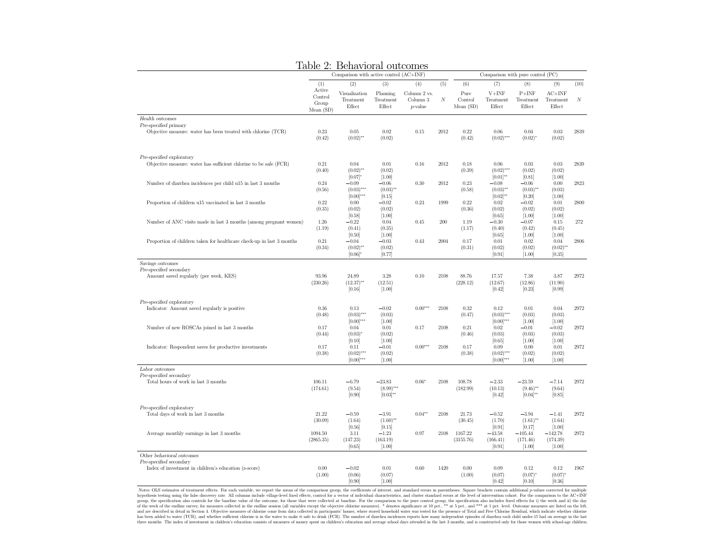|                                                                                        | ----------<br>Comparison with active control (AC+INF) |                                           |                                           |                                     |          | Comparison with pure control (PC) |                                         |                                           |                                        |                  |
|----------------------------------------------------------------------------------------|-------------------------------------------------------|-------------------------------------------|-------------------------------------------|-------------------------------------|----------|-----------------------------------|-----------------------------------------|-------------------------------------------|----------------------------------------|------------------|
|                                                                                        | (1)                                                   | (2)                                       | (3)                                       | (4)                                 | (5)      | (6)                               | (7)                                     | (8)                                       | (9)                                    | (10)             |
|                                                                                        | Active<br>Control<br>Group<br>Mean(SD)                | Visualization<br>Treatment<br>Effect      | Planning<br>Treatment<br>Effect           | Column 2 vs.<br>Column 3<br>p-value | $\cal N$ | Pure<br>Control<br>Mean(SD)       | $V+INF$<br>Treatment<br>Effect          | $P+INF$<br>Treatment<br>Effect            | $AC+INF$<br>Treatment<br>Effect        | $\boldsymbol{N}$ |
| Health outcomes                                                                        |                                                       |                                           |                                           |                                     |          |                                   |                                         |                                           |                                        |                  |
| Pre-specified primary<br>Objective measure: water has been treated with chlorine (TCR) | 0.23<br>(0.42)                                        | 0.05<br>$(0.02)$ **                       | 0.02<br>(0.02)                            | 0.15                                | 2012     | 0.22<br>(0.42)                    | 0.06<br>$(0.02)$ ***                    | 0.04<br>$(0.02)^*$                        | 0.03<br>(0.02)                         | 2839             |
| Pre-specified exploratory                                                              |                                                       |                                           |                                           |                                     |          |                                   |                                         |                                           |                                        |                  |
| Objective measure: water has sufficient chlorine to be safe (FCR)                      | 0.21<br>(0.40)                                        | 0.04<br>$(0.02)$ **<br>$[0.07]^{*}$       | 0.01<br>(0.02)<br>[1.00]                  | 0.16                                | 2012     | 0.18<br>(0.39)                    | 0.06<br>$(0.02)$ ***<br>$[0.01]^{**}$   | 0.03<br>(0.02)<br>[0.81]                  | 0.03<br>(0.02)<br>$[1.00]$             | 2839             |
| Number of diarrhea incidences per child u15 in last 3 months                           | 0.24<br>(0.56)                                        | $-0.09$<br>$(0.03)$ ***<br>$[0.00]^{***}$ | $-0.06$<br>$(0.03)$ **<br>[0.15]          | 0.30                                | 2012     | 0.23<br>(0.58)                    | $-0.08$<br>$(0.03)$ **<br>$[0.02]^{**}$ | $-0.06$<br>$(0.03)$ **<br>[0.20]          | 0.00<br>(0.03)<br>[1.00]               | 2823             |
| Proportion of children u15 vaccinated in last 3 months                                 | 0.22<br>(0.35)                                        | 0.00<br>(0.02)                            | $-0.02$<br>(0.02)                         | 0.23                                | 1999     | 0.22<br>(0.36)                    | 0.02<br>(0.02)                          | $-0.02$<br>(0.02)                         | 0.01<br>(0.02)                         | 2800             |
| Number of ANC visits made in last 3 months (among pregnant women)                      | 1.26<br>(1.19)                                        | [0.58]<br>$-0.22$<br>(0.41)<br>[0.50]     | [1.00]<br>0.04<br>(0.35)<br>$[1.00]$      | 0.45                                | 200      | 1.19<br>(1.17)                    | [0.65]<br>$-0.30$<br>(0.40)<br>[0.65]   | $[1.00]$<br>$-0.07$<br>(0.42)<br>$[1.00]$ | $[1.00]$<br>0.15<br>(0.45)<br>$[1.00]$ | 272              |
| Proportion of children taken for healthcare check-up in last 3 months                  | $0.21\,$<br>(0.34)                                    | $-0.04$<br>$(0.02)$ **<br>$[0.06]$ *      | $-0.03$<br>(0.02)<br>[0.77]               | 0.43                                | 2004     | 0.17<br>(0.31)                    | $0.01\,$<br>(0.02)<br>[0.91]            | 0.02<br>(0.02)<br>$[1.00]$                | 0.04<br>$(0.02)$ **<br>[0.35]          | 2806             |
| Savings outcomes                                                                       |                                                       |                                           |                                           |                                     |          |                                   |                                         |                                           |                                        |                  |
| Pre-specified secondary<br>Amount saved regularly (per week, KES)                      | 93.96<br>(230.26)                                     | 24.89<br>$(12.37)$ **<br>[0.16]           | 3.28<br>(12.51)<br>$[1.00]$               | 0.10                                | 2108     | 88.76<br>(228.12)                 | 17.57<br>(12.67)<br>[0.42]              | 7.38<br>(12.86)<br>[0.23]                 | 3.87<br>(11.90)<br>[0.99]              | 2972             |
| Pre-specified exploratory                                                              |                                                       |                                           |                                           |                                     |          |                                   |                                         |                                           |                                        |                  |
| Indicator: Amount saved regularly is positive                                          | 0.36<br>(0.48)                                        | 0.13<br>$(0.03)$ ***<br>$[0.00]***$       | $-0.02$<br>(0.03)<br>$[1.00]$             | $0.00***$                           | 2108     | 0.32<br>(0.47)                    | 0.12<br>$(0.03)$ ***<br>$[0.00]^{***}$  | 0.01<br>(0.03)<br>$[1.00]$                | 0.04<br>(0.03)<br>[1.00]               | 2972             |
| Number of new ROSCAs joined in last 3 months                                           | 0.17<br>(0.44)                                        | 0.04<br>$(0.03)^{*}$<br>[0.10]            | 0.01<br>(0.02)<br>$[1.00]$                | 0.17                                | 2108     | 0.21<br>(0.46)                    | 0.02<br>(0.03)<br>[0.65]                | $-0.01$<br>(0.03)<br>$[1.00]$             | $-0.02$<br>(0.03)<br>$[1.00]$          | 2972             |
| Indicator: Respondent saves for productive investments                                 | 0.17<br>(0.38)                                        | 0.11<br>$(0.02)$ ***<br>$[0.00]$ ***      | $-0.01$<br>(0.02)<br>[1.00]               | $0.00***$                           | 2108     | 0.17<br>(0.38)                    | 0.09<br>$(0.02)$ ***<br>$[0.00]$ ***    | 0.00<br>(0.02)<br>[1.00]                  | 0.01<br>(0.02)<br>$[1.00]$             | 2972             |
| Labor outcomes                                                                         |                                                       |                                           |                                           |                                     |          |                                   |                                         |                                           |                                        |                  |
| Pre-specified secondary<br>Total hours of work in last 3 months                        | 106.11<br>(174.61)                                    | $-6.79$<br>(9.54)<br>[0.90]               | $-23.83$<br>$(8.99)$ ***<br>$[0.03]^{**}$ | $0.06*$                             | 2108     | 108.78<br>(182.99)                | $-2.33$<br>(10.13)<br>[0.42]            | $-23.59$<br>$(9.46)$ **<br>$[0.04]^{**}$  | $-7.14$<br>(9.64)<br>[0.85]            | 2972             |
| Pre-specified exploratory                                                              |                                                       |                                           |                                           |                                     |          |                                   |                                         |                                           |                                        |                  |
| Total days of work in last 3 months                                                    | 21.22<br>(30.09)                                      | $-0.59$<br>(1.64)<br>[0.56]               | $-3.91$<br>$(1.60)$ **<br>[0.15]          | $0.04**$                            | 2108     | 21.73<br>(30.45)                  | $-0.52$<br>(1.70)<br>[0.91]             | $-3.94$<br>$(1.61)$ **<br>[0.17]          | $-1.41$<br>(1.64)<br>$[1.00]$          | 2972             |
| Average monthly earnings in last 3 months                                              | 1094.50<br>(2865.35)                                  | 3.11<br>(147.23)<br>[0.65]                | $-1.23$<br>(163.19)<br>$[1.00]$           | 0.97                                | 2108     | 1167.22<br>(3155.76)              | $-43.58$<br>(166.41)<br>[0.91]          | $-105.44$<br>(171.46)<br>[1.00]           | $-142.78$<br>(174.39)<br>$[1.00]$      | 2972             |
| Other behavioral outcomes                                                              |                                                       |                                           |                                           |                                     |          |                                   |                                         |                                           |                                        |                  |
| Pre-specified secondary<br>Index of investment in children's education (z-score)       | 0.00<br>(1.00)                                        | $-0.02$<br>(0.06)<br>[0.90]               | 0.01<br>(0.07)<br>$[1.00]$                | 0.60                                | 1420     | 0.00<br>(1.00)                    | 0.09<br>(0.07)<br>[0.42]                | 0.12<br>$(0.07)$ <sup>*</sup><br>[0.10]   | 0.12<br>$(0.07)^{*}$<br>[0.36]         | 1967             |

#### Table 2: Behavioral outcomes

Notes: OLS estimates of treatment effects. For each variable, we report the mean of the comparison group, the coefficients of interest, and standard errors in parentheses. Square brackets contain additional p-values correc hypothesis testing using the false discovery rate. All columns include village-level fixed effects, control for a vector of individual characteristics, and cluster standard errors at the level of intervention cohort. For t groups as used to the sease userouty rate. An countries methanous methanous conserver metal and the control group, the specification also includes fixed effects for the evel of the best in the endine survey, for measures c and are described in detail in Section 4. Objective measures of chlorine come from data collected in participants' homes, where stored household water was tested for the presence of Total and Free Chlorine Residual, which has been added to water (TCR), and whether sufficient chlorine is in the water to make it safe to drink (FCR). The number of diarrhea incidences reports how many independent episodes of diarrhea each child under-15 had on three months. The index of investment in children's education consists of measures of money spent on children's education and average school days attended in the last 3 months, and is constructed only for those women with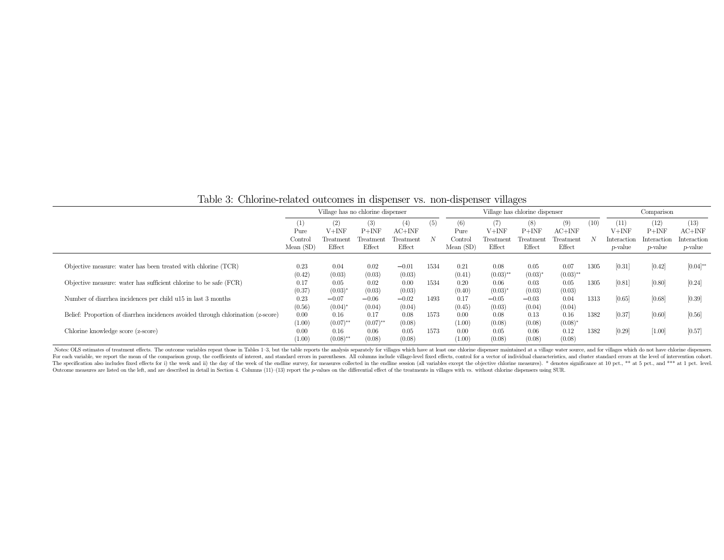|                                                                                  | Village has no chlorine dispenser     |                                       |                                       |                                        | Village has chlorine dispenser |                                                     |                                       |                                       | Comparison                                         |      |                                                 |                                                   |                                                    |
|----------------------------------------------------------------------------------|---------------------------------------|---------------------------------------|---------------------------------------|----------------------------------------|--------------------------------|-----------------------------------------------------|---------------------------------------|---------------------------------------|----------------------------------------------------|------|-------------------------------------------------|---------------------------------------------------|----------------------------------------------------|
|                                                                                  | (1)<br>Pure<br>Control<br>Mean $(SD)$ | (2)<br>$V+INF$<br>Treatment<br>Effect | (3)<br>$P+INF$<br>Treatment<br>Effect | (4)<br>$AC+INF$<br>Treatment<br>Effect | (5)                            | (6)<br>Pure<br>$\operatorname{Control}$<br>Mean(SD) | (7)<br>$V+INF$<br>Treatment<br>Effect | (8)<br>$P+INF$<br>Treatment<br>Effect | (9)<br>$AC+INF$<br>$T_{\text{reatment}}$<br>Effect | (10) | (11)<br>V+INF<br>Interaction<br><i>p</i> -value | (12)<br>$P+INF$<br>Interaction<br><i>p</i> -value | (13)<br>$AC+INF$<br>Interaction<br><i>p</i> -value |
| Objective measure: water has been treated with chlorine (TCR)                    | 0.23<br>(0.42)                        | 0.04<br>(0.03)                        | 0.02<br>(0.03)                        | $-0.01$<br>(0.03)                      | 1534                           | 0.21<br>(0.41)                                      | 0.08<br>$(0.03)$ **                   | 0.05<br>$(0.03)^{*}$                  | 0.07<br>$(0.03)$ **                                | 1305 | [0.31]                                          | [0.42]                                            | $[0.04]^{**}$                                      |
| Objective measure: water has sufficient chlorine to be safe (FCR)                | 0.17<br>(0.37)                        | 0.05<br>$(0.03)^*$                    | 0.02<br>(0.03)                        | 0.00<br>(0.03)                         | 1534                           | 0.20<br>(0.40)                                      | 0.06<br>$(0.03)^{*}$                  | 0.03<br>(0.03)                        | 0.05<br>(0.03)                                     | 1305 | [0.81]                                          | [0.80]                                            | [0.24]                                             |
| Number of diarrhea incidences per child u15 in last 3 months                     | 0.23<br>(0.56)                        | $-0.07$<br>$(0.04)^*$                 | $-0.06$<br>(0.04)                     | $-0.02$<br>(0.04)                      | 1493                           | 0.17<br>(0.45)                                      | $-0.05$<br>(0.03)                     | $-0.03$<br>(0.04)                     | 0.04<br>(0.04)                                     | 1313 | [0.65]                                          | [0.68]                                            | [0.39]                                             |
| Belief: Proportion of diarrhea incidences avoided through chlorination (z-score) | 0.00<br>(1.00)                        | 0.16<br>$(0.07)$ **                   | 0.17<br>$(0.07)$ **                   | 0.08<br>(0.08)                         | 1573                           | 0.00<br>(1.00)                                      | 0.08<br>(0.08)                        | 0.13<br>(0.08)                        | 0.16<br>$(0.08)^{*}$                               | 1382 | [0.37]                                          | [0.60]                                            | [0.56]                                             |
| Chlorine knowledge score (z-score)                                               | 0.00<br>(1.00)                        | 0.16<br>$(0.08)$ **                   | 0.06<br>(0.08)                        | 0.05<br>(0.08)                         | 1573                           | 0.00<br>(1.00)                                      | 0.05<br>(0.08)                        | 0.06<br>(0.08)                        | 0.12<br>(0.08)                                     | 1382 | [0.29]                                          | [1.00]                                            | [0.57]                                             |

Table 3: Chlorine-related outcomes in dispenser vs. non-dispenser villages

Notes: OLS estimates of treatment effects. The outcome variables repeat those in Tables 1-3, but the table reports the analysis separately for villages which have at least one chlorine dispenser maintained at a village wat For each variable, we report the mean of the comparison group, the coefficients of interest, and standard errors in parentheses. All columns include village-level fixed effects, control for a vector of individual character The specification also includes fixed effects for i) the week and ii) the day of the week of the endline survey, for measures collected in the endline session (all variables except the objective chlorine measures). \* denot Outcome measures are listed on the left, and are described in detail in Section 4. Columns (11)-(13) report the p-values on the differential effect of the treatments in villages with vs. without chlorine dispensers using S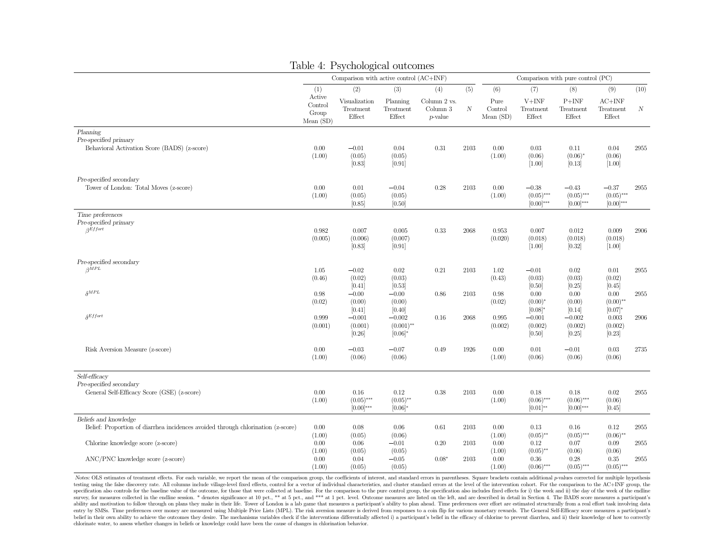|                                                                                         |                                        | Table 4: Psychological outcomes         |                                       |                                        |          |                                |                                            |                                           |                                                |          |
|-----------------------------------------------------------------------------------------|----------------------------------------|-----------------------------------------|---------------------------------------|----------------------------------------|----------|--------------------------------|--------------------------------------------|-------------------------------------------|------------------------------------------------|----------|
|                                                                                         |                                        | Comparison with active control (AC+INF) |                                       |                                        |          |                                |                                            | Comparison with pure control (PC)         |                                                |          |
|                                                                                         | (1)                                    | (2)                                     | (3)                                   | (4)                                    | (5)      | (6)                            | (7)                                        | (8)                                       | (9)                                            | (10)     |
|                                                                                         | Active<br>Control<br>Group<br>Mean(SD) | Visualization<br>Treatment<br>Effect    | Planning<br>Treatment<br>Effect       | Column 2 vs.<br>Column 3<br>$p$ -value | $\cal N$ | Pure<br>Control<br>Mean $(SD)$ | $V+INF$<br>Treatment<br>Effect             | $P+INF$<br>Treatment<br>Effect            | $AC+INF$<br>Treatment<br>Effect                | N        |
| Planning<br>Pre-specified primary<br>Behavioral Activation Score (BADS) (z-score)       | 0.00<br>(1.00)                         | $-0.01$<br>(0.05)<br>[0.83]             | 0.04<br>(0.05)<br>[0.91]              | 0.31                                   | 2103     | 0.00<br>(1.00)                 | 0.03<br>(0.06)<br>[1.00]                   | 0.11<br>$(0.06)^*$<br>[0.13]              | 0.04<br>(0.06)<br>$[1.00]$                     | 2955     |
| Pre-specified secondary<br>Tower of London: Total Moves (z-score)                       | 0.00<br>(1.00)                         | 0.01<br>(0.05)<br>[0.85]                | $-0.04$<br>(0.05)<br>[0.50]           | 0.28                                   | 2103     | 0.00<br>(1.00)                 | $-0.38$<br>$(0.05)$ ***<br>$[0.00]^{***}$  | $-0.43$<br>$(0.05)$ ***<br>$[0.00]^{***}$ | $-0.37$<br>$(0.05)$ ***<br>$[0.00]^{***}$      | 2955     |
| Time preferences<br>Pre-specified primary<br>$A$ <i>Rffort</i>                          | 0.982<br>(0.005)                       | 0.007<br>(0.006)<br>[0.83]              | 0.005<br>(0.007)<br>[0.91]            | 0.33                                   | 2068     | 0.953<br>(0.020)               | 0.007<br>(0.018)<br>$[1.00]$               | 0.012<br>(0.018)<br>[0.32]                | 0.009<br>(0.018)<br>$[1.00]$                   | 2906     |
| Pre-specified secondary<br>$\beta MPL$                                                  | 1.05<br>(0.46)                         | $-0.02$<br>(0.02)                       | 0.02<br>(0.03)                        | 0.21                                   | 2103     | 1.02<br>(0.43)                 | $-0.01$<br>(0.03)                          | 0.02<br>(0.03)                            | 0.01<br>(0.02)                                 | 2955     |
| $\delta^{MPL}$                                                                          | 0.98<br>(0.02)                         | [0.41]<br>$-0.00$<br>(0.00)<br>[0.41]   | [0.53]<br>$-0.00$<br>(0.00)<br>[0.40] | 0.86                                   | 2103     | 0.98<br>(0.02)                 | [0.50]<br>0.00<br>$(0.00)^*$<br>$[0.08]^*$ | [0.25]<br>0.00<br>(0.00)<br>[0.14]        | [0.45]<br>$0.00\,$<br>$(0.00)$ **<br>$[0.07]*$ | 2955     |
| $\delta$ Effort                                                                         | 0.999<br>(0.001)                       | $-0.001$<br>(0.001)<br>[0.26]           | $-0.002$<br>$(0.001)$ **<br>$[0.06]*$ | $0.16\,$                               | 2068     | 0.995<br>(0.002)               | $-0.001$<br>(0.002)<br>[0.50]              | $-0.002$<br>(0.002)<br>[0.25]             | 0.003<br>(0.002)<br>[0.23]                     | 2906     |
| Risk Aversion Measure (z-score)                                                         | $0.00\,$<br>(1.00)                     | $-0.03\,$<br>(0.06)                     | $-0.07$<br>(0.06)                     | 0.49                                   | 1926     | 0.00<br>(1.00)                 | $0.01\,$<br>(0.06)                         | $-0.01$<br>(0.06)                         | $\rm 0.03$<br>(0.06)                           | $2735\,$ |
| Self-efficacy<br>Pre-specified secondary<br>General Self-Efficacy Score (GSE) (z-score) | 0.00<br>(1.00)                         | 0.16<br>$(0.05)$ ***                    | 0.12<br>$(0.05)$ **                   | 0.38                                   | 2103     | 0.00<br>(1.00)                 | 0.18<br>$(0.06)$ ***                       | 0.18<br>$(0.06)$ ***                      | 0.02<br>(0.06)                                 | 2955     |
| Beliefs and knowledge                                                                   |                                        | $[0.00]^{***}$                          | $[0.06]^*$                            |                                        |          |                                | $[0.01]^{**}$                              | $[0.00]^{***}$                            | [0.45]                                         |          |
| Belief: Proportion of diarrhea incidences avoided through chlorination (z-score)        | 0.00<br>(1.00)                         | 0.08<br>(0.05)                          | 0.06<br>(0.06)                        | 0.61                                   | 2103     | 0.00<br>(1.00)                 | 0.13<br>$(0.05)$ **                        | 0.16<br>$(0.05)$ ***                      | 0.12<br>$(0.06)$ **                            | 2955     |
| Chlorine knowledge score (z-score)                                                      | 0.00<br>(1.00)                         | 0.06<br>(0.05)                          | $-0.01$<br>(0.05)                     | 0.20                                   | 2103     | 0.00<br>(1.00)                 | 0.12<br>$(0.05)$ **                        | 0.07<br>(0.06)                            | 0.09<br>(0.06)                                 | 2955     |
| ANC/PNC knowledge score (z-score)                                                       | 0.00<br>(1.00)                         | 0.04<br>(0.05)                          | $-0.05$<br>(0.05)                     | $0.08*$                                | 2103     | 0.00<br>(1.00)                 | 0.36<br>$(0.06)$ ***                       | 0.28<br>$(0.05)$ ***                      | $0.35\,$<br>$(0.05)$ ***                       | 2955     |

Notes: OLS estimates of treatment effects. For each variable, we report the mean of the comparison group, the coefficients of interest, and standard errors in parentheses. Square brackets contain additional p-values correc testing using the false discovery rate. All columns include village-level fixed effects, control for a vector of individual characteristics, and cluster standard errors at the level of the intervention cohort. For the comp specification also controls for the baseline value of the outcome, for those that were collected at baseline. For the comparison to the pure control group, the specification also includes fixed effects for i) the week and survey, for measures collected in the endline session. \* denotes significance at 10 pct., \*\* at 5 pct., and \*\*\* at 1 pct. level. Outcome measures are listed on the left, and are described in detail in Section 4. The BADS s ability and motivation to follow through on plans they make in their life. Tower of London is a lab game that measures a participant's ability to plan ahead. Time preferences over effort are estimated structurally from a r entry by SMSs. Time preferences over money are measured using Multiple Price Lists (MPL). The risk aversion measure is derived from responses to a coin flip for various monetary rewards. The General Self-Efficacy score mea belief in their own ability to achieve the outcomes they desire. The mechanisms variables check if the interventions differentially affected i) a participant's belief in the efficacy of chlorine to prevent diarrhea, and ii chlorinate water, to assess whether changes in beliefs or knowledge could have been the cause of changes in chlorination behavior.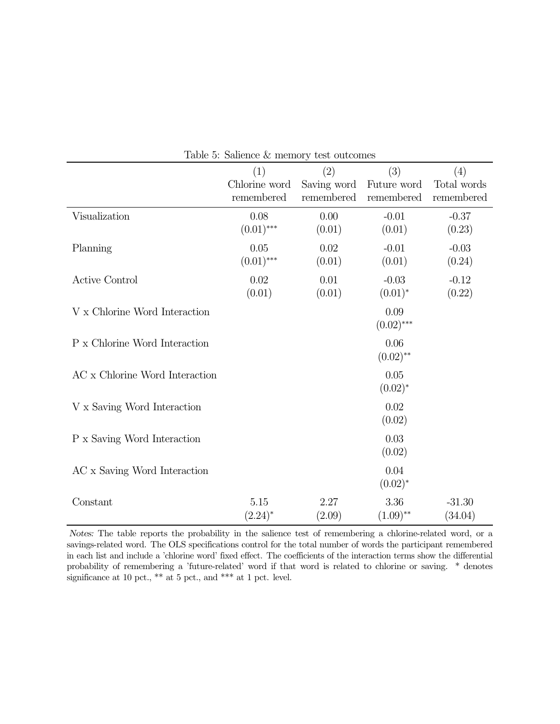|                                | (1)<br>Chlorine word<br>remembered | (2)<br>Saving word<br>remembered | (3)<br>Future word<br>remembered | (4)<br>Total words<br>remembered |
|--------------------------------|------------------------------------|----------------------------------|----------------------------------|----------------------------------|
| Visualization                  | 0.08<br>$(0.01)$ ***               | 0.00<br>(0.01)                   | $-0.01$<br>(0.01)                | $-0.37$<br>(0.23)                |
| Planning                       | 0.05<br>$(0.01)$ ***               | 0.02<br>(0.01)                   | $-0.01$<br>(0.01)                | $-0.03$<br>(0.24)                |
| <b>Active Control</b>          | $0.02\,$<br>(0.01)                 | 0.01<br>(0.01)                   | $-0.03$<br>$(0.01)^*$            | $-0.12$<br>(0.22)                |
| V x Chlorine Word Interaction  |                                    |                                  | 0.09<br>$(0.02)$ ***             |                                  |
| P x Chlorine Word Interaction  |                                    |                                  | 0.06<br>$(0.02)$ **              |                                  |
| AC x Chlorine Word Interaction |                                    |                                  | 0.05<br>$(0.02)^{*}$             |                                  |
| V x Saving Word Interaction    |                                    |                                  | 0.02<br>(0.02)                   |                                  |
| P x Saving Word Interaction    |                                    |                                  | 0.03<br>(0.02)                   |                                  |
| AC x Saving Word Interaction   |                                    |                                  | 0.04<br>$(0.02)^{*}$             |                                  |
| Constant                       | 5.15<br>$(2.24)^{*}$               | 2.27<br>(2.09)                   | 3.36<br>$(1.09)$ **              | $-31.30$<br>(34.04)              |

Table 5: Salience & memory test outcomes

Notes: The table reports the probability in the salience test of remembering a chlorine-related word, or a savings-related word. The OLS specifications control for the total number of words the participant remembered in each list and include a 'chlorine word' fixed effect. The coefficients of the interaction terms show the differential probability of remembering a 'future-related' word if that word is related to chlorine or saving. \* denotes significance at 10 pct.,  $**$  at 5 pct., and  $***$  at 1 pct. level.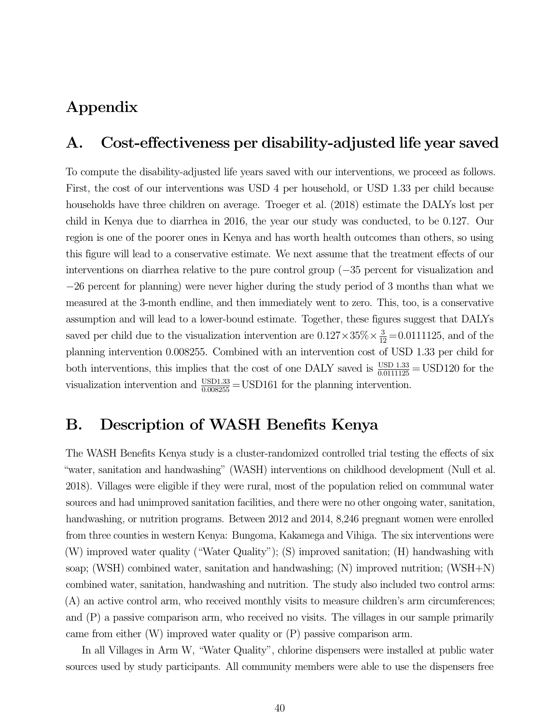# Appendix

# A. Cost-effectiveness per disability-adjusted life year saved

To compute the disability-adjusted life years saved with our interventions, we proceed as follows. First, the cost of our interventions was USD 4 per household, or USD 1.33 per child because households have three children on average. Troeger et al. (2018) estimate the DALYs lost per child in Kenya due to diarrhea in 2016, the year our study was conducted, to be 0.127. Our region is one of the poorer ones in Kenya and has worth health outcomes than others, so using this figure will lead to a conservative estimate. We next assume that the treatment effects of our interventions on diarrhea relative to the pure control group (−35 percent for visualization and −26 percent for planning) were never higher during the study period of 3 months than what we measured at the 3-month endline, and then immediately went to zero. This, too, is a conservative assumption and will lead to a lower-bound estimate. Together, these figures suggest that DALYs saved per child due to the visualization intervention are  $0.127 \times 35\% \times \frac{3}{12} = 0.0111125$ , and of the planning intervention 0.008255. Combined with an intervention cost of USD 1.33 per child for both interventions, this implies that the cost of one DALY saved is  $\frac{USD\ 1.33}{0.0111125} = USD120$  for the visualization intervention and  $\frac{\text{USD1.33}}{0.008255} = \text{USD161}$  for the planning intervention.

# B. Description of WASH Benefits Kenya

The WASH Benefits Kenya study is a cluster-randomized controlled trial testing the effects of six "water, sanitation and handwashing" (WASH) interventions on childhood development (Null et al. 2018). Villages were eligible if they were rural, most of the population relied on communal water sources and had unimproved sanitation facilities, and there were no other ongoing water, sanitation, handwashing, or nutrition programs. Between 2012 and 2014, 8,246 pregnant women were enrolled from three counties in western Kenya: Bungoma, Kakamega and Vihiga. The six interventions were (W) improved water quality ("Water Quality"); (S) improved sanitation; (H) handwashing with soap; (WSH) combined water, sanitation and handwashing; (N) improved nutrition; (WSH+N) combined water, sanitation, handwashing and nutrition. The study also included two control arms: (A) an active control arm, who received monthly visits to measure children's arm circumferences; and (P) a passive comparison arm, who received no visits. The villages in our sample primarily came from either (W) improved water quality or (P) passive comparison arm.

In all Villages in Arm W, "Water Quality", chlorine dispensers were installed at public water sources used by study participants. All community members were able to use the dispensers free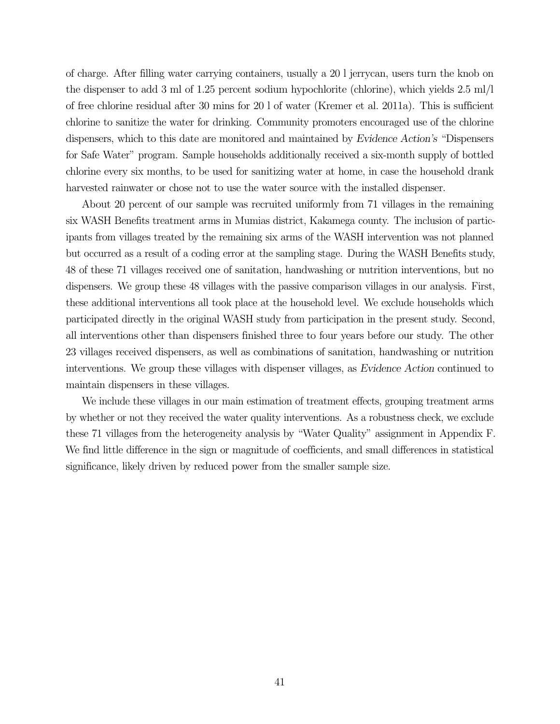of charge. After filling water carrying containers, usually a 20 l jerrycan, users turn the knob on the dispenser to add 3 ml of 1.25 percent sodium hypochlorite (chlorine), which yields 2.5 ml/l of free chlorine residual after 30 mins for 20 l of water (Kremer et al. 2011a). This is sufficient chlorine to sanitize the water for drinking. Community promoters encouraged use of the chlorine dispensers, which to this date are monitored and maintained by Evidence Action's "Dispensers for Safe Water" program. Sample households additionally received a six-month supply of bottled chlorine every six months, to be used for sanitizing water at home, in case the household drank harvested rainwater or chose not to use the water source with the installed dispenser.

About 20 percent of our sample was recruited uniformly from 71 villages in the remaining six WASH Benefits treatment arms in Mumias district, Kakamega county. The inclusion of participants from villages treated by the remaining six arms of the WASH intervention was not planned but occurred as a result of a coding error at the sampling stage. During the WASH Benefits study, 48 of these 71 villages received one of sanitation, handwashing or nutrition interventions, but no dispensers. We group these 48 villages with the passive comparison villages in our analysis. First, these additional interventions all took place at the household level. We exclude households which participated directly in the original WASH study from participation in the present study. Second, all interventions other than dispensers finished three to four years before our study. The other 23 villages received dispensers, as well as combinations of sanitation, handwashing or nutrition interventions. We group these villages with dispenser villages, as Evidence Action continued to maintain dispensers in these villages.

We include these villages in our main estimation of treatment effects, grouping treatment arms by whether or not they received the water quality interventions. As a robustness check, we exclude these 71 villages from the heterogeneity analysis by "Water Quality" assignment in Appendix F. We find little difference in the sign or magnitude of coefficients, and small differences in statistical significance, likely driven by reduced power from the smaller sample size.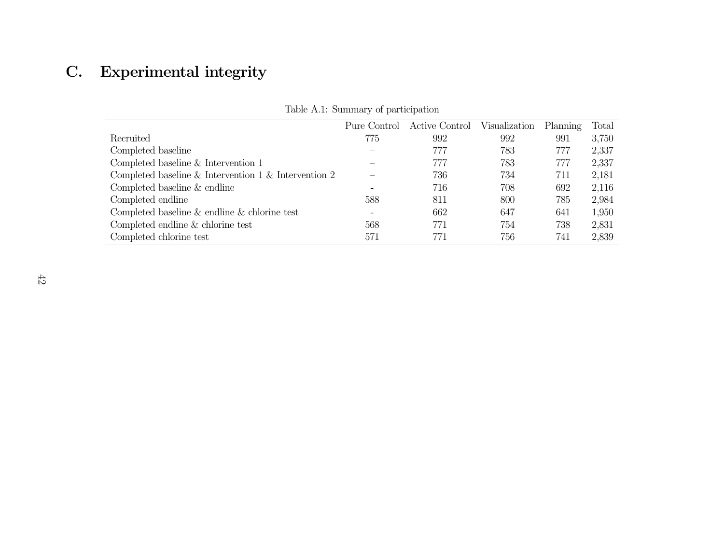# C. Experimental integrity

|                                                      | Pure Control | Active Control Visualization |     | Planning | Total |
|------------------------------------------------------|--------------|------------------------------|-----|----------|-------|
| Recruited                                            | 775          | 992                          | 992 | 991      | 3,750 |
| Completed baseline                                   |              | 777                          | 783 | 777      | 2,337 |
| Completed baseline $&$ Intervention 1                |              | 777                          | 783 | 777      | 2,337 |
| Completed baseline & Intervention 1 & Intervention 2 |              | 736                          | 734 | 711      | 2,181 |
| Completed baseline & endline                         |              | 716                          | 708 | 692      | 2,116 |
| Completed endline                                    | 588          | 811                          | 800 | 785      | 2,984 |
| Completed baseline $\&$ endline $\&$ chlorine test   |              | 662                          | 647 | 641      | 1,950 |
| Completed endline & chlorine test                    | 568          | 771                          | 754 | 738      | 2,831 |
| Completed chlorine test                              | 571          | 771                          | 756 | 741      | 2,839 |

Table A.1: Summary of participation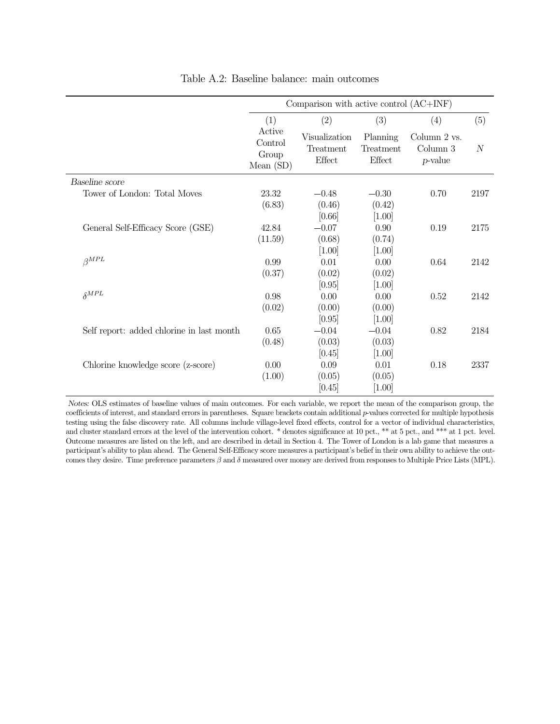| Table A.2: Baseline balance: main outcomes |                                           |                                           |                                           |                                        |                  |
|--------------------------------------------|-------------------------------------------|-------------------------------------------|-------------------------------------------|----------------------------------------|------------------|
|                                            |                                           | Comparison with active control $(AC+INF)$ |                                           |                                        |                  |
|                                            | (1)                                       | (2)                                       | (3)                                       | (4)                                    | (5)              |
|                                            | Active<br>Control<br>Group<br>Mean $(SD)$ | Visualization<br>Treatment<br>Effect      | Planning<br>Treatment<br>Effect           | Column 2 vs.<br>Column 3<br>$p$ -value | $\boldsymbol{N}$ |
| Baseline score                             |                                           |                                           |                                           |                                        |                  |
| Tower of London: Total Moves               | 23.32<br>(6.83)                           | $-0.48$<br>(0.46)<br>[0.66]               | $-0.30$<br>(0.42)<br>$[1.00]$             | 0.70                                   | 2197             |
| General Self-Efficacy Score (GSE)          | 42.84<br>(11.59)                          | $-0.07$<br>(0.68)<br>$[1.00]$             | 0.90<br>(0.74)<br>$[1.00]$                | 0.19                                   | 2175             |
| $\beta^{MPL}$                              | 0.99<br>(0.37)                            | 0.01<br>(0.02)                            | 0.00<br>(0.02)                            | 0.64                                   | 2142             |
| $\delta^{MPL}$                             | 0.98<br>(0.02)                            | $[0.95]$<br>0.00<br>(0.00)                | $[1.00]$<br>0.00<br>(0.00)                | 0.52                                   | 2142             |
| Self report: added chlorine in last month  | 0.65<br>(0.48)                            | [0.95]<br>$-0.04$<br>(0.03)<br>[0.45]     | $[1.00]$<br>$-0.04$<br>(0.03)<br>$[1.00]$ | 0.82                                   | 2184             |
| Chlorine knowledge score (z-score)         | 0.00<br>(1.00)                            | 0.09<br>(0.05)<br>[0.45]                  | 0.01<br>(0.05)<br>$[1.00]$                | 0.18                                   | 2337             |

Table A.2: Baseline balance: main outcomes

Notes: OLS estimates of baseline values of main outcomes. For each variable, we report the mean of the comparison group, the coefficients of interest, and standard errors in parentheses. Square brackets contain additional  $p$ -values corrected for multiple hypothesis testing using the false discovery rate. All columns include village-level fixed effects, control for a vector of individual characteristics, and cluster standard errors at the level of the intervention cohort. \* denotes significance at 10 pct., \*\* at 5 pct., and \*\*\* at 1 pct. level. Outcome measures are listed on the left, and are described in detail in Section 4. The Tower of London is a lab game that measures a participant's ability to plan ahead. The General Self-Efficacy score measures a participant's belief in their own ability to achieve the outcomes they desire. Time preference parameters  $\beta$  and  $\delta$  measured over money are derived from responses to Multiple Price Lists (MPL).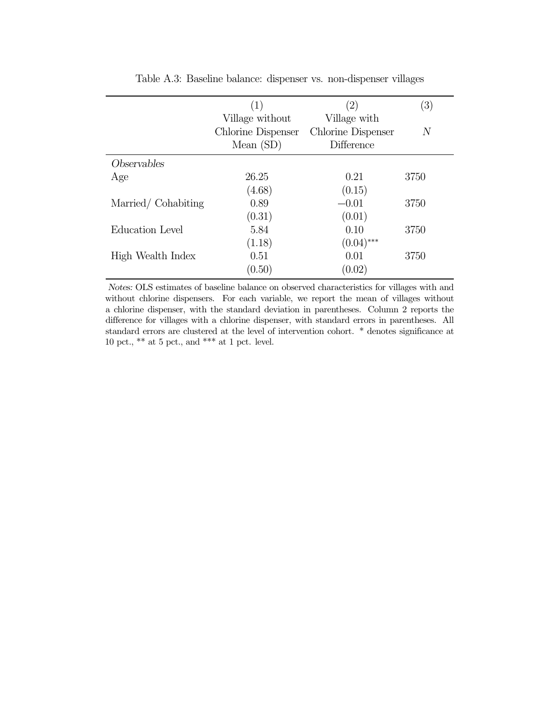| Table A.3: Baseline balance: dispenser vs. non-dispenser villages |                    |                    |                |  |  |  |  |  |  |
|-------------------------------------------------------------------|--------------------|--------------------|----------------|--|--|--|--|--|--|
|                                                                   | (1)                | (2)                | (3)            |  |  |  |  |  |  |
|                                                                   | Village without    | Village with       |                |  |  |  |  |  |  |
|                                                                   | Chlorine Dispenser | Chlorine Dispenser | $\overline{N}$ |  |  |  |  |  |  |
|                                                                   | Mean $(SD)$        | Difference         |                |  |  |  |  |  |  |
| Observables                                                       |                    |                    |                |  |  |  |  |  |  |
| Age                                                               | 26.25              | 0.21               | 3750           |  |  |  |  |  |  |
|                                                                   | (4.68)             | (0.15)             |                |  |  |  |  |  |  |
| Married/Cohabiting                                                | 0.89               | $-0.01$            | 3750           |  |  |  |  |  |  |
|                                                                   | (0.31)             | (0.01)             |                |  |  |  |  |  |  |
| Education Level                                                   | 5.84               | 0.10               | 3750           |  |  |  |  |  |  |
|                                                                   | (1.18)             | $(0.04)$ ***       |                |  |  |  |  |  |  |
| High Wealth Index                                                 | 0.51               | 0.01               | 3750           |  |  |  |  |  |  |
|                                                                   | (0.50)             | (0.02)             |                |  |  |  |  |  |  |

Notes: OLS estimates of baseline balance on observed characteristics for villages with and without chlorine dispensers. For each variable, we report the mean of villages without a chlorine dispenser, with the standard deviation in parentheses. Column 2 reports the difference for villages with a chlorine dispenser, with standard errors in parentheses. All standard errors are clustered at the level of intervention cohort. \* denotes significance at 10 pct., \*\* at 5 pct., and \*\*\* at 1 pct. level.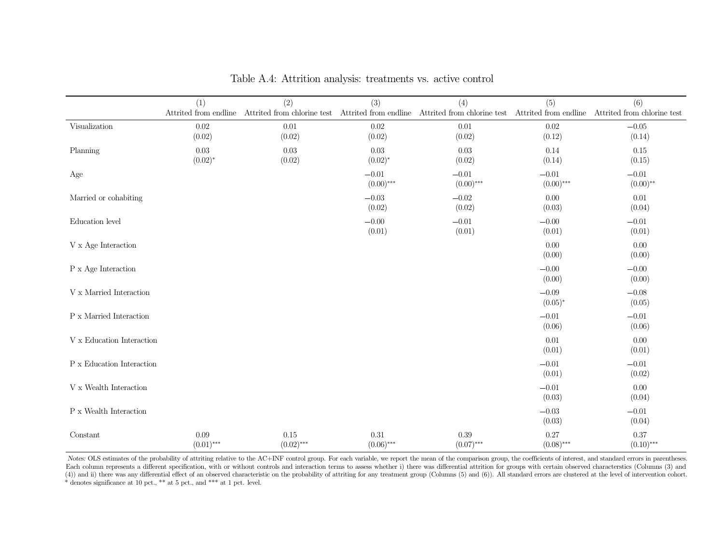|                                                       |                              | Table A.4: Attrition analysis: treatments vs. active control                         |                         |                         |                              |                                    |
|-------------------------------------------------------|------------------------------|--------------------------------------------------------------------------------------|-------------------------|-------------------------|------------------------------|------------------------------------|
|                                                       | (1)<br>Attrited from endline | (2)<br>Attrited from chlorine test Attrited from endline Attrited from chlorine test | (3)                     | (4)                     | (5)<br>Attrited from endline | (6)<br>Attrited from chlorine test |
| Visualization                                         | $0.02\,$<br>(0.02)           | $0.01\,$<br>(0.02)                                                                   | 0.02<br>(0.02)          | 0.01<br>(0.02)          | $0.02\,$<br>(0.12)           | $-0.05$<br>(0.14)                  |
| Planning                                              | $0.03\,$<br>$(0.02)^{*}$     | 0.03<br>(0.02)                                                                       | 0.03<br>$(0.02)^{*}$    | 0.03<br>(0.02)          | 0.14<br>(0.14)               | 0.15<br>(0.15)                     |
| Age                                                   |                              |                                                                                      | $-0.01$<br>$(0.00)$ *** | $-0.01$<br>$(0.00)$ *** | $-0.01$<br>$(0.00)$ ***      | $-0.01$<br>$(0.00)$ **             |
| Married or cohabiting                                 |                              |                                                                                      | $-0.03$<br>(0.02)       | $-0.02$<br>(0.02)       | 0.00<br>(0.03)               | 0.01<br>(0.04)                     |
| Education level                                       |                              |                                                                                      | $-0.00$<br>(0.01)       | $-0.01$<br>(0.01)       | $-0.00$<br>(0.01)            | $-0.01$<br>(0.01)                  |
| $V$ x Age Interaction                                 |                              |                                                                                      |                         |                         | 0.00<br>(0.00)               | 0.00<br>(0.00)                     |
| P x Age Interaction                                   |                              |                                                                                      |                         |                         | $-0.00$<br>(0.00)            | $-0.00$<br>(0.00)                  |
| $\mathbf V$ x Married Interaction                     |                              |                                                                                      |                         |                         | $-0.09$<br>$(0.05)^*$        | $-0.08$<br>(0.05)                  |
| $\mathbf P$ x Married Interaction                     |                              |                                                                                      |                         |                         | $-0.01\,$<br>(0.06)          | $-0.01$<br>(0.06)                  |
| V x Education Interaction                             |                              |                                                                                      |                         |                         | 0.01<br>(0.01)               | 0.00<br>(0.01)                     |
| $\mathbf P$ x Education Interaction                   |                              |                                                                                      |                         |                         | $-0.01$<br>(0.01)            | $-0.01$<br>(0.02)                  |
| $\ensuremath{\mathbf{V}}\xspace$ x Wealth Interaction |                              |                                                                                      |                         |                         | $-0.01$<br>(0.03)            | 0.00<br>(0.04)                     |
| $\mathbf P$ x Wealth Interaction                      |                              |                                                                                      |                         |                         | $-0.03$<br>(0.03)            | $-0.01$<br>(0.04)                  |
| Constant                                              | 0.09<br>$(0.01)$ ***         | 0.15<br>$(0.02)$ ***                                                                 | 0.31<br>$(0.06)$ ***    | 0.39<br>$(0.07)$ ***    | 0.27<br>$(0.08)$ ***         | 0.37<br>$(0.10)$ ***               |

|  |  |  |  |  | Table A.4: Attrition analysis: treatments vs. active control |
|--|--|--|--|--|--------------------------------------------------------------|
|--|--|--|--|--|--------------------------------------------------------------|

Notes: OLS estimates of the probability of attriting relative to the AC+INF control group. For each variable, we report the mean of the comparison group, the coefficients of interest, and standard errors in parentheses. Each column represents a different specification, with or without controls and interaction terms to assess whether i) there was differential attrition for groups with certain observed characterstics (Columns (3) and (4)) and ii) there was any differential effect of an observed characteristic on the probability of attriting for any treatment group (Columns (5) and (6)). All standard errors are clustered at the level of intervention coh \* denotes significance at 10 pct., \*\* at 5 pct., and \*\*\* at 1 pct. level.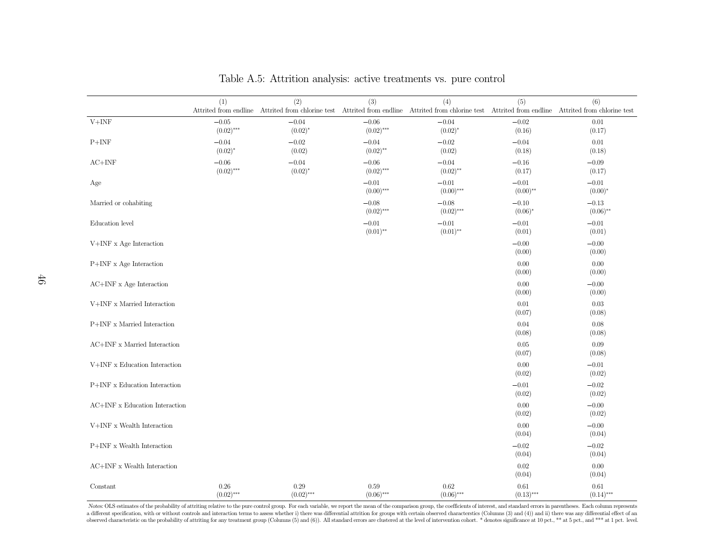|                                           |                         |                         |                         | Table A.5: Attrition analysis: active treatments vs. pure control                                                                                     |                        |                        |
|-------------------------------------------|-------------------------|-------------------------|-------------------------|-------------------------------------------------------------------------------------------------------------------------------------------------------|------------------------|------------------------|
|                                           | (1)                     | (2)                     | (3)                     | (4)                                                                                                                                                   | (5)                    | (6)                    |
|                                           |                         |                         |                         | Attrited from endline Attrited from chlorine test Attrited from endline Attrited from chlorine test Attrited from endline Attrited from chlorine test |                        |                        |
| $V+INF$                                   | $-0.05$<br>$(0.02)$ *** | $-0.04$<br>$(0.02)^{*}$ | $-0.06$<br>$(0.02)$ *** | $-0.04$<br>$(0.02)^{*}$                                                                                                                               | $-0.02$<br>(0.16)      | 0.01<br>(0.17)         |
| $P+INF$                                   | $-0.04$<br>$(0.02)^{*}$ | $-0.02$<br>(0.02)       | $-0.04$<br>$(0.02)$ **  | $-0.02$<br>(0.02)                                                                                                                                     | $-0.04$<br>(0.18)      | 0.01<br>(0.18)         |
| $AC+INF$                                  | $-0.06$<br>$(0.02)$ *** | $-0.04$<br>$(0.02)^{*}$ | $-0.06$<br>$(0.02)$ *** | $-0.04$<br>$(0.02)$ **                                                                                                                                | $-0.16$<br>(0.17)      | $-0.09$<br>(0.17)      |
| Age                                       |                         |                         | $-0.01$<br>$(0.00)$ *** | $-0.01$<br>$(0.00)$ ***                                                                                                                               | $-0.01$<br>$(0.00)$ ** | $-0.01$<br>$(0.00)*$   |
| Married or cohabiting                     |                         |                         | $-0.08$<br>$(0.02)$ *** | $-0.08$<br>$(0.02)$ ***                                                                                                                               | $-0.10$<br>$(0.06)^*$  | $-0.13$<br>$(0.06)$ ** |
| Education level                           |                         |                         | $-0.01$<br>$(0.01)$ **  | $-0.01$<br>$(0.01)$ **                                                                                                                                | $-0.01$<br>(0.01)      | $-0.01$<br>(0.01)      |
| $V+INF$ x Age Interaction                 |                         |                         |                         |                                                                                                                                                       | $-0.00$<br>(0.00)      | $-0.00$<br>(0.00)      |
| P+INF x Age Interaction                   |                         |                         |                         |                                                                                                                                                       | $0.00\,$<br>(0.00)     | 0.00<br>(0.00)         |
| $\operatorname{AC+INF}$ x Age Interaction |                         |                         |                         |                                                                                                                                                       | $0.00\,$               | $-0.00$                |
| V+INF x Married Interaction               |                         |                         |                         |                                                                                                                                                       | (0.00)<br>$0.01\,$     | (0.00)<br>0.03         |
| P+INF x Married Interaction               |                         |                         |                         |                                                                                                                                                       | (0.07)<br>0.04         | (0.08)<br>0.08         |
| AC+INF x Married Interaction              |                         |                         |                         |                                                                                                                                                       | (0.08)<br>0.05         | (0.08)<br>0.09         |
| $\mathit{V+INF}$ x Education Interaction  |                         |                         |                         |                                                                                                                                                       | (0.07)<br>0.00         | (0.08)<br>$-0.01$      |
| P+INF x Education Interaction             |                         |                         |                         |                                                                                                                                                       | (0.02)<br>$-0.01$      | (0.02)<br>$-0.02$      |
| AC+INF x Education Interaction            |                         |                         |                         |                                                                                                                                                       | (0.02)<br>0.00         | (0.02)<br>$-0.00$      |
| V+INF x Wealth Interaction                |                         |                         |                         |                                                                                                                                                       | (0.02)<br>0.00         | (0.02)<br>$-0.00$      |
| P+INF x Wealth Interaction                |                         |                         |                         |                                                                                                                                                       | (0.04)<br>$-0.02$      | (0.04)<br>$-0.02$      |
|                                           |                         |                         |                         |                                                                                                                                                       | (0.04)                 | (0.04)                 |
| AC+INF x Wealth Interaction               |                         |                         |                         |                                                                                                                                                       | $0.02\,$<br>(0.04)     | 0.00<br>(0.04)         |
| Constant                                  | 0.26<br>$(0.02)$ ***    | 0.29<br>$(0.02)$ ***    | 0.59<br>$(0.06)$ ***    | 0.62<br>$(0.06)$ ***                                                                                                                                  | 0.61<br>$(0.13)$ ***   | 0.61<br>$(0.14)$ ***   |

Table A.5: Attrition analysis: active treatments vs. pure control

Notes: OLS estimates of the probability of attriting relative to the pure control group. For each variable, we report the mean of the comparison group, the coefficients of interest, and standard errors in parentheses. Each a different specification, with or without controls and interaction terms to assess whether i) there was differential attrition for groups with certain observed characterstics (Columns (3) and (4)) and ii) there was any di observed characteristic on the probability of attriting for any treatment group (Columns (5) and (6)). All standard errors are clustered at the level of intervention cohort. \* denotes significance at 10 pct., \*\* at 5 pct.,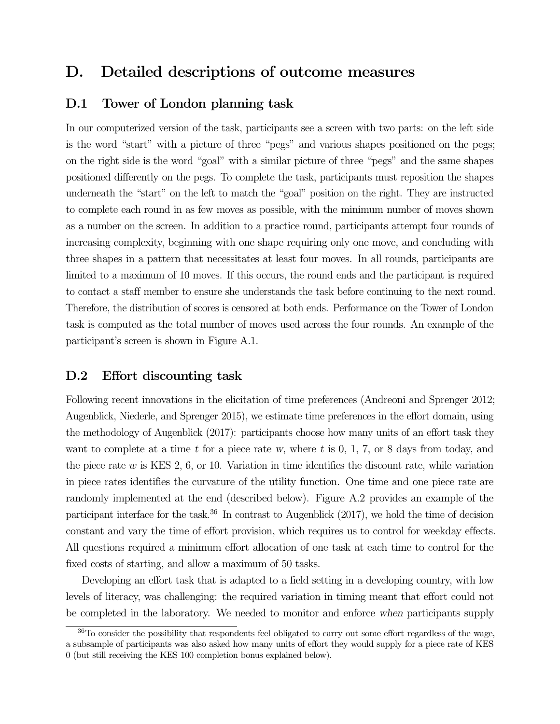# D. Detailed descriptions of outcome measures

## D.1 Tower of London planning task

In our computerized version of the task, participants see a screen with two parts: on the left side is the word "start" with a picture of three "pegs" and various shapes positioned on the pegs; on the right side is the word "goal" with a similar picture of three "pegs" and the same shapes positioned differently on the pegs. To complete the task, participants must reposition the shapes underneath the "start" on the left to match the "goal" position on the right. They are instructed to complete each round in as few moves as possible, with the minimum number of moves shown as a number on the screen. In addition to a practice round, participants attempt four rounds of increasing complexity, beginning with one shape requiring only one move, and concluding with three shapes in a pattern that necessitates at least four moves. In all rounds, participants are limited to a maximum of 10 moves. If this occurs, the round ends and the participant is required to contact a staff member to ensure she understands the task before continuing to the next round. Therefore, the distribution of scores is censored at both ends. Performance on the Tower of London task is computed as the total number of moves used across the four rounds. An example of the participant's screen is shown in Figure A.1.

# D.2 Effort discounting task

Following recent innovations in the elicitation of time preferences (Andreoni and Sprenger 2012; Augenblick, Niederle, and Sprenger 2015), we estimate time preferences in the effort domain, using the methodology of Augenblick (2017): participants choose how many units of an effort task they want to complete at a time t for a piece rate w, where t is  $0, 1, 7$ , or 8 days from today, and the piece rate  $w$  is KES 2, 6, or 10. Variation in time identifies the discount rate, while variation in piece rates identifies the curvature of the utility function. One time and one piece rate are randomly implemented at the end (described below). Figure A.2 provides an example of the participant interface for the task.<sup>36</sup> In contrast to Augenblick  $(2017)$ , we hold the time of decision constant and vary the time of effort provision, which requires us to control for weekday effects. All questions required a minimum effort allocation of one task at each time to control for the fixed costs of starting, and allow a maximum of 50 tasks.

Developing an effort task that is adapted to a field setting in a developing country, with low levels of literacy, was challenging: the required variation in timing meant that effort could not be completed in the laboratory. We needed to monitor and enforce when participants supply

<sup>&</sup>lt;sup>36</sup>To consider the possibility that respondents feel obligated to carry out some effort regardless of the wage, a subsample of participants was also asked how many units of effort they would supply for a piece rate of KES 0 (but still receiving the KES 100 completion bonus explained below).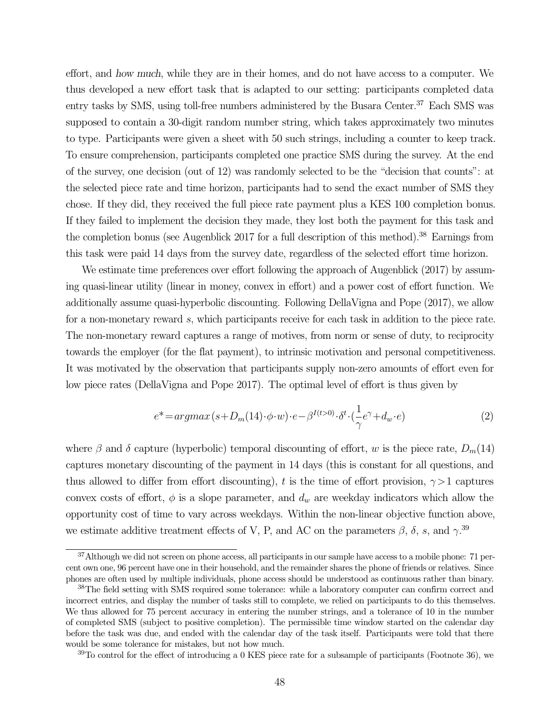effort, and how much, while they are in their homes, and do not have access to a computer. We thus developed a new effort task that is adapted to our setting: participants completed data entry tasks by SMS, using toll-free numbers administered by the Busara Center.<sup>37</sup> Each SMS was supposed to contain a 30-digit random number string, which takes approximately two minutes to type. Participants were given a sheet with 50 such strings, including a counter to keep track. To ensure comprehension, participants completed one practice SMS during the survey. At the end of the survey, one decision (out of 12) was randomly selected to be the "decision that counts": at the selected piece rate and time horizon, participants had to send the exact number of SMS they chose. If they did, they received the full piece rate payment plus a KES 100 completion bonus. If they failed to implement the decision they made, they lost both the payment for this task and the completion bonus (see Augenblick 2017 for a full description of this method).<sup>38</sup> Earnings from this task were paid 14 days from the survey date, regardless of the selected effort time horizon.

We estimate time preferences over effort following the approach of Augenblick (2017) by assuming quasi-linear utility (linear in money, convex in effort) and a power cost of effort function. We additionally assume quasi-hyperbolic discounting. Following DellaVigna and Pope (2017), we allow for a non-monetary reward s, which participants receive for each task in addition to the piece rate. The non-monetary reward captures a range of motives, from norm or sense of duty, to reciprocity towards the employer (for the flat payment), to intrinsic motivation and personal competitiveness. It was motivated by the observation that participants supply non-zero amounts of effort even for low piece rates (DellaVigna and Pope 2017). The optimal level of effort is thus given by

$$
e^* = argmax(s + D_m(14) \cdot \phi \cdot w) \cdot e - \beta^{I(t>0)} \cdot \delta^t \cdot (\frac{1}{\gamma} e^{\gamma} + d_w \cdot e)
$$
 (2)

where  $\beta$  and  $\delta$  capture (hyperbolic) temporal discounting of effort, w is the piece rate,  $D_m(14)$ captures monetary discounting of the payment in 14 days (this is constant for all questions, and thus allowed to differ from effort discounting), t is the time of effort provision,  $\gamma > 1$  captures convex costs of effort,  $\phi$  is a slope parameter, and  $d_w$  are weekday indicators which allow the opportunity cost of time to vary across weekdays. Within the non-linear objective function above, we estimate additive treatment effects of V, P, and AC on the parameters  $\beta$ ,  $\delta$ , s, and  $\gamma$ .<sup>39</sup>

<sup>&</sup>lt;sup>37</sup>Although we did not screen on phone access, all participants in our sample have access to a mobile phone: 71 percent own one, 96 percent have one in their household, and the remainder shares the phone of friends or relatives. Since phones are often used by multiple individuals, phone access should be understood as continuous rather than binary.

<sup>&</sup>lt;sup>38</sup>The field setting with SMS required some tolerance: while a laboratory computer can confirm correct and incorrect entries, and display the number of tasks still to complete, we relied on participants to do this themselves. We thus allowed for 75 percent accuracy in entering the number strings, and a tolerance of 10 in the number of completed SMS (subject to positive completion). The permissible time window started on the calendar day before the task was due, and ended with the calendar day of the task itself. Participants were told that there would be some tolerance for mistakes, but not how much.

 $39$ To control for the effect of introducing a 0 KES piece rate for a subsample of participants (Footnote 36), we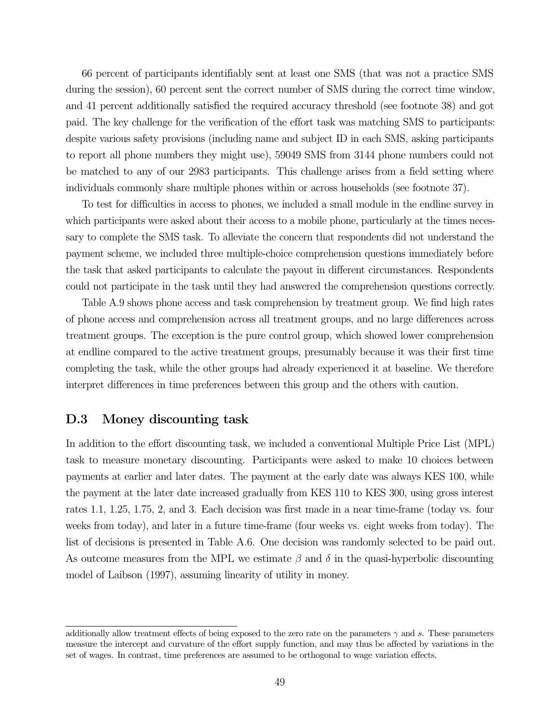66 percent of participants identifiably sent at least one SMS (that was not a practice SMS during the session), 60 percent sent the correct number of SMS during the correct time window, and 41 percent additionally satisfied the required accuracy threshold (see footnote 38) and got paid. The key challenge for the verification of the effort task was matching SMS to participants: despite various safety provisions (including name and subject ID in each SMS, asking participants to report all phone numbers they might use), 59049 SMS from 3144 phone numbers could not be matched to any of our 2983 participants. This challenge arises from a field setting where individuals commonly share multiple phones within or across households (see footnote 37).

To test for difficulties in access to phones, we included a small module in the endline survey in which participants were asked about their access to a mobile phone, particularly at the times necessary to complete the SMS task. To alleviate the concern that respondents did not understand the payment scheme, we included three multiple-choice comprehension questions immediately before the task that asked participants to calculate the payout in different circumstances. Respondents could not participate in the task until they had answered the comprehension questions correctly.

Table A.9 shows phone access and task comprehension by treatment group. We find high rates of phone access and comprehension across all treatment groups, and no large differences across treatment groups. The exception is the pure control group, which showed lower comprehension at endline compared to the active treatment groups, presumably because it was their first time completing the task, while the other groups had already experienced it at baseline. We therefore interpret differences in time preferences between this group and the others with caution.

## D.3 Money discounting task

In addition to the effort discounting task, we included a conventional Multiple Price List (MPL) task to measure monetary discounting. Participants were asked to make 10 choices between payments at earlier and later dates. The payment at the early date was always KES 100, while the payment at the later date increased gradually from KES 110 to KES 300, using gross interest rates 1.1, 1.25, 1.75, 2, and 3. Each decision was first made in a near time-frame (today vs. four weeks from today), and later in a future time-frame (four weeks vs. eight weeks from today). The list of decisions is presented in Table A.6. One decision was randomly selected to be paid out. As outcome measures from the MPL we estimate  $\beta$  and  $\delta$  in the quasi-hyperbolic discounting model of Laibson (1997), assuming linearity of utility in money.

additionally allow treatment effects of being exposed to the zero rate on the parameters  $\gamma$  and s. These parameters measure the intercept and curvature of the effort supply function, and may thus be affected by variations in the set of wages. In contrast, time preferences are assumed to be orthogonal to wage variation effects.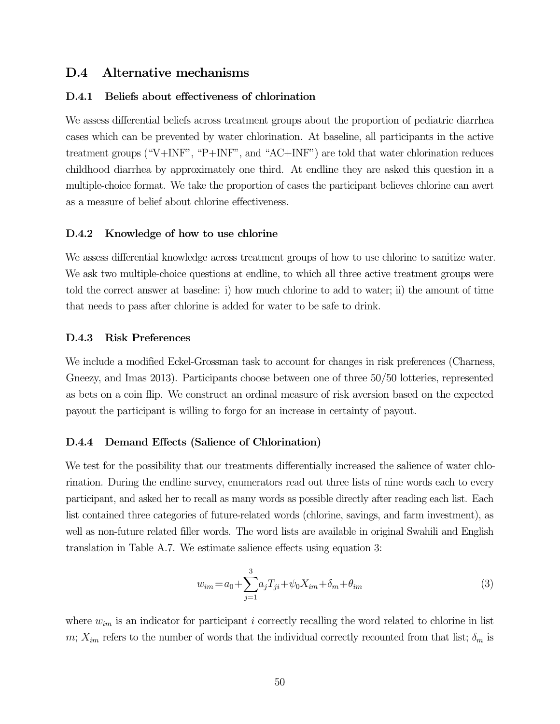### D.4 Alternative mechanisms

#### D.4.1 Beliefs about effectiveness of chlorination

We assess differential beliefs across treatment groups about the proportion of pediatric diarrhea cases which can be prevented by water chlorination. At baseline, all participants in the active treatment groups ("V+INF", "P+INF", and "AC+INF") are told that water chlorination reduces childhood diarrhea by approximately one third. At endline they are asked this question in a multiple-choice format. We take the proportion of cases the participant believes chlorine can avert as a measure of belief about chlorine effectiveness.

#### D.4.2 Knowledge of how to use chlorine

We assess differential knowledge across treatment groups of how to use chlorine to sanitize water. We ask two multiple-choice questions at endline, to which all three active treatment groups were told the correct answer at baseline: i) how much chlorine to add to water; ii) the amount of time that needs to pass after chlorine is added for water to be safe to drink.

#### D.4.3 Risk Preferences

We include a modified Eckel-Grossman task to account for changes in risk preferences (Charness, Gneezy, and Imas 2013). Participants choose between one of three 50/50 lotteries, represented as bets on a coin flip. We construct an ordinal measure of risk aversion based on the expected payout the participant is willing to forgo for an increase in certainty of payout.

#### D.4.4 Demand Effects (Salience of Chlorination)

We test for the possibility that our treatments differentially increased the salience of water chlorination. During the endline survey, enumerators read out three lists of nine words each to every participant, and asked her to recall as many words as possible directly after reading each list. Each list contained three categories of future-related words (chlorine, savings, and farm investment), as well as non-future related filler words. The word lists are available in original Swahili and English translation in Table A.7. We estimate salience effects using equation 3:

$$
w_{im} = a_0 + \sum_{j=1}^{3} a_j T_{ji} + \psi_0 X_{im} + \delta_m + \theta_{im}
$$
 (3)

where  $w_{im}$  is an indicator for participant i correctly recalling the word related to chlorine in list m;  $X_{im}$  refers to the number of words that the individual correctly recounted from that list;  $\delta_m$  is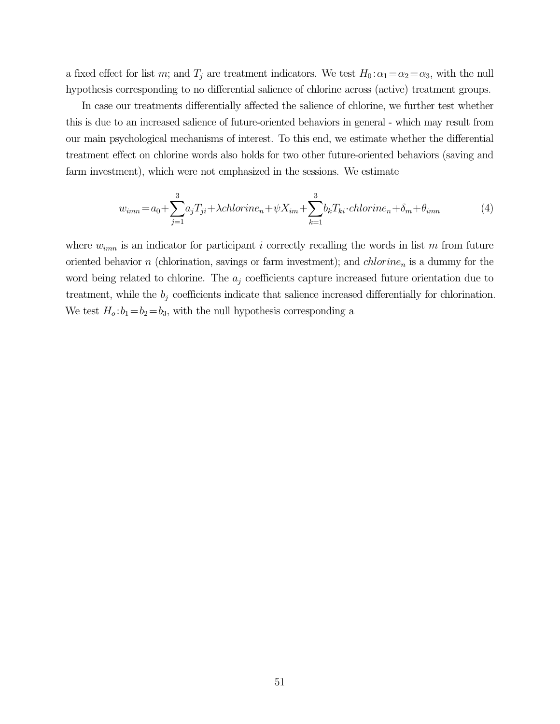a fixed effect for list m; and  $T_j$  are treatment indicators. We test  $H_0$ :  $\alpha_1 = \alpha_2 = \alpha_3$ , with the null hypothesis corresponding to no differential salience of chlorine across (active) treatment groups.

In case our treatments differentially affected the salience of chlorine, we further test whether this is due to an increased salience of future-oriented behaviors in general - which may result from our main psychological mechanisms of interest. To this end, we estimate whether the differential treatment effect on chlorine words also holds for two other future-oriented behaviors (saving and farm investment), which were not emphasized in the sessions. We estimate

$$
w_{imn} = a_0 + \sum_{j=1}^{3} a_j T_{ji} + \lambda chlorine_n + \psi X_{im} + \sum_{k=1}^{3} b_k T_{ki} \cdot chlorine_n + \delta_m + \theta_{imn}
$$
(4)

where  $w_{imn}$  is an indicator for participant i correctly recalling the words in list m from future oriented behavior n (chlorination, savings or farm investment); and  $chlorine_n$  is a dummy for the word being related to chlorine. The  $a_i$  coefficients capture increased future orientation due to treatment, while the  $b_j$  coefficients indicate that salience increased differentially for chlorination. We test  $H_o: b_1=b_2=b_3$ , with the null hypothesis corresponding a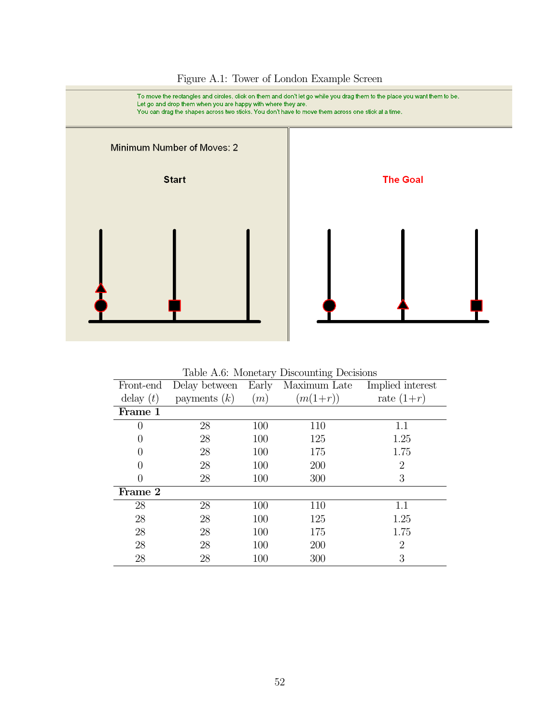

Figure A.1: Tower of London Example Screen

Table A.6: Monetary Discounting Decisions

| Front-end        | Delay between  | Early | Maximum Late | Implied interest |
|------------------|----------------|-------|--------------|------------------|
| delay $(t)$      | payments $(k)$ | (m)   | $(m(1+r))$   | rate $(1+r)$     |
| Frame 1          |                |       |              |                  |
| 0                | 28             | 100   | 110          | 1.1              |
| $\left( \right)$ | 28             | 100   | 125          | 1.25             |
| 0                | 28             | 100   | 175          | 1.75             |
| 0                | 28             | 100   | 200          | $\overline{2}$   |
| 0                | 28             | 100   | 300          | 3                |
| Frame 2          |                |       |              |                  |
| 28               | 28             | 100   | 110          | 1.1              |
| 28               | 28             | 100   | 125          | 1.25             |
| 28               | 28             | 100   | 175          | 1.75             |
| 28               | 28             | 100   | 200          | $\overline{2}$   |
| 28               | 28             | 100   | 300          | 3                |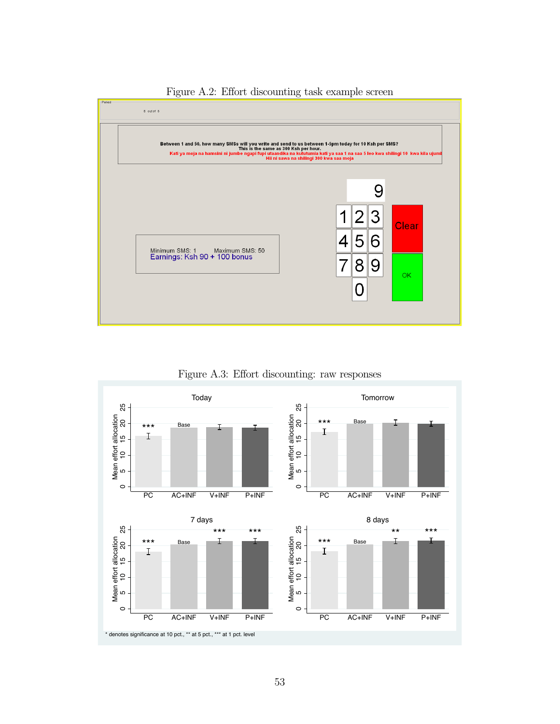



Figure A.3: Effort discounting: raw responses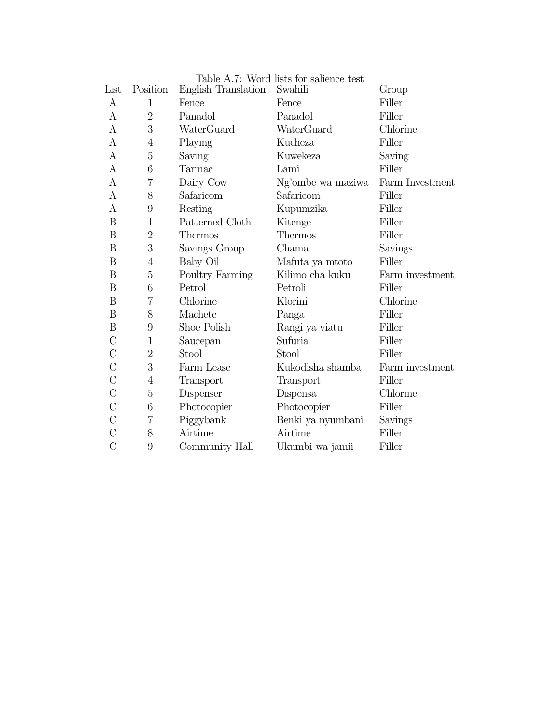| List           | Position         | <b>English Translation</b> | Swahili           | Group           |
|----------------|------------------|----------------------------|-------------------|-----------------|
| А              | $\mathbf{1}$     | Fence                      | Fence             | Filler          |
| A              | $\overline{2}$   | Panadol                    | Panadol           | Filler          |
| A              | 3                | WaterGuard                 | WaterGuard        | Chlorine        |
| $\mathbf{A}$   | 4                | Playing                    | Kucheza           | Filler          |
| А              | $\overline{5}$   | Saving                     | Kuwekeza          | Saving          |
| А              | 6                | Tarmac                     | Lami              | Filler          |
| А              | $\overline{7}$   | Dairy Cow                  | Ng'ombe wa maziwa | Farm Investment |
| A              | 8                | Safaricom                  | Safaricom         | Filler          |
| А              | 9                | Resting                    | Kupumzika         | Filler          |
| B              | 1                | Patterned Cloth            | Kitenge           | Filler          |
| B              | $\overline{2}$   | Thermos                    | <b>Thermos</b>    | Filler          |
| B              | 3                | Savings Group              | Chama             | Savings         |
| B              | $\overline{4}$   | Baby Oil                   | Mafuta ya mtoto   | Filler          |
| B              | 5                | Poultry Farming            | Kilimo cha kuku   | Farm investment |
| B              | 6                | Petrol                     | Petroli           | Filler          |
| B              | $\overline{7}$   | Chlorine                   | Klorini           | Chlorine        |
| B              | 8                | Machete                    | Panga             | Filler          |
| B              | $\boldsymbol{9}$ | Shoe Polish                | Rangi ya viatu    | Filler          |
| $\rm C$        | $\mathbf{1}$     | Saucepan                   | Sufuria           | Filler          |
| $\rm C$        | $\overline{2}$   | Stool                      | Stool             | Filler          |
| $\rm C$        | 3                | Farm Lease                 | Kukodisha shamba  | Farm investment |
| $\rm C$        | 4                | Transport                  | Transport         | Filler          |
| $\rm C$        | 5                | Dispenser                  | Dispensa          | Chlorine        |
| $\rm C$        | 6                | Photocopier                | Photocopier       | Filler          |
| C              | 7                | Piggybank                  | Benki ya nyumbani | Savings         |
| $\rm C$        | 8                | Airtime                    | Airtime           | Filler          |
| $\overline{C}$ | 9                | Community Hall             | Ukumbi wa jamii   | Filler          |

Table A.7: Word lists for salience test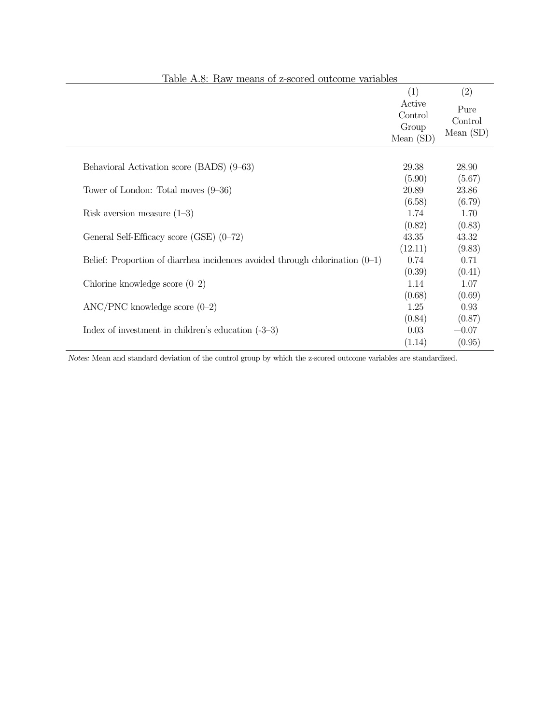| Table A.S. IVAN means of z-scored outcome variables                            |                                                  |                                       |
|--------------------------------------------------------------------------------|--------------------------------------------------|---------------------------------------|
|                                                                                | (1)<br>Active<br>Control<br>Group<br>Mean $(SD)$ | (2)<br>Pure<br>Control<br>Mean $(SD)$ |
| Behavioral Activation score (BADS) (9–63)                                      | 29.38<br>(5.90)                                  | 28.90<br>(5.67)                       |
| Tower of London: Total moves $(9-36)$                                          | 20.89                                            | 23.86                                 |
| Risk aversion measure $(1-3)$                                                  | (6.58)<br>1.74                                   | (6.79)<br>1.70                        |
| General Self-Efficacy score (GSE) $(0-72)$                                     | (0.82)<br>43.35                                  | (0.83)<br>43.32                       |
|                                                                                | (12.11)                                          | (9.83)                                |
| Belief: Proportion of diarrhea incidences avoided through chlorination $(0-1)$ | 0.74                                             | 0.71                                  |
| Chlorine knowledge score $(0-2)$                                               | (0.39)<br>1.14                                   | (0.41)<br>1.07                        |
|                                                                                | (0.68)                                           | (0.69)                                |
| $\text{ANC/PNC}$ knowledge score $(0-2)$                                       | 1.25<br>(0.84)                                   | 0.93<br>(0.87)                        |
| Index of investment in children's education $(-3-3)$                           | 0.03                                             | $-0.07$                               |
|                                                                                | (1.14)                                           | (0.95)                                |

Notes: Mean and standard deviation of the control group by which the z-scored outcome variables are standardized.

# Table A.8: Raw means of z-scored outcome variables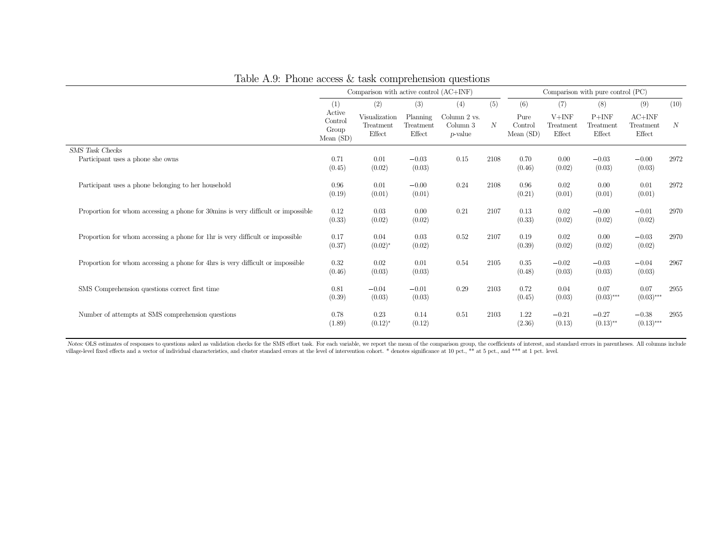|                                                                                  |                                           | Comparison with active control (AC+INF) |                                 |                                             |                  |                             | Comparison with pure control (PC) |                                |                                 |                  |
|----------------------------------------------------------------------------------|-------------------------------------------|-----------------------------------------|---------------------------------|---------------------------------------------|------------------|-----------------------------|-----------------------------------|--------------------------------|---------------------------------|------------------|
|                                                                                  | (1)                                       | (2)                                     | (3)                             | (4)                                         | (5)              | (6)                         | (7)                               | (8)                            | (9)                             | (10)             |
|                                                                                  | Active<br>Control<br>Group<br>Mean $(SD)$ | Visualization<br>Treatment<br>Effect    | Planning<br>Treatment<br>Effect | Column 2 vs.<br>Column 3<br><i>p</i> -value | $\boldsymbol{N}$ | Pure<br>Control<br>Mean(SD) | $V+INF$<br>Treatment<br>Effect    | $P+INF$<br>Treatment<br>Effect | $AC+INF$<br>Treatment<br>Effect | $\boldsymbol{N}$ |
| <b>SMS</b> Task Checks                                                           |                                           |                                         |                                 |                                             |                  |                             |                                   |                                |                                 |                  |
| Participant uses a phone she owns                                                | 0.71<br>(0.45)                            | 0.01<br>(0.02)                          | $-0.03$<br>(0.03)               | 0.15                                        | 2108             | 0.70<br>(0.46)              | 0.00<br>(0.02)                    | $-0.03$<br>(0.03)              | $-0.00$<br>(0.03)               | 2972             |
| Participant uses a phone belonging to her household                              | 0.96<br>(0.19)                            | 0.01<br>(0.01)                          | $-0.00$<br>(0.01)               | 0.24                                        | 2108             | 0.96<br>(0.21)              | 0.02<br>(0.01)                    | 0.00<br>(0.01)                 | 0.01<br>(0.01)                  | 2972             |
| Proportion for whom accessing a phone for 30mins is very difficult or impossible | 0.12<br>(0.33)                            | 0.03<br>(0.02)                          | 0.00<br>(0.02)                  | 0.21                                        | 2107             | 0.13<br>(0.33)              | 0.02<br>(0.02)                    | $-0.00$<br>(0.02)              | $-0.01$<br>(0.02)               | 2970             |
| Proportion for whom accessing a phone for 1hr is very difficult or impossible    | 0.17<br>(0.37)                            | 0.04<br>$(0.02)^{*}$                    | 0.03<br>(0.02)                  | 0.52                                        | 2107             | 0.19<br>(0.39)              | 0.02<br>(0.02)                    | 0.00<br>(0.02)                 | $-0.03$<br>(0.02)               | 2970             |
| Proportion for whom accessing a phone for 4hrs is very difficult or impossible   | 0.32<br>(0.46)                            | 0.02<br>(0.03)                          | 0.01<br>(0.03)                  | 0.54                                        | 2105             | 0.35<br>(0.48)              | $-0.02$<br>(0.03)                 | $-0.03$<br>(0.03)              | $-0.04$<br>(0.03)               | 2967             |
| SMS Comprehension questions correct first time                                   | 0.81<br>(0.39)                            | $-0.04$<br>(0.03)                       | $-0.01$<br>(0.03)               | 0.29                                        | 2103             | 0.72<br>(0.45)              | 0.04<br>(0.03)                    | 0.07<br>$(0.03)$ ***           | 0.07<br>$(0.03)$ ***            | 2955             |
| Number of attempts at SMS comprehension questions                                | 0.78<br>(1.89)                            | 0.23<br>$(0.12)^{*}$                    | 0.14<br>(0.12)                  | 0.51                                        | 2103             | 1.22<br>(2.36)              | $-0.21$<br>(0.13)                 | $-0.27$<br>$(0.13)$ **         | $-0.38$<br>$(0.13)$ ***         | 2955             |

Table A.9: Phone access  $&$  task comprehension questions

Notes: OLS estimates of responses to questions asked as validation checks for the SMS effort task. For each variable, we report the mean of the comparison group, the coefficients of interest, and standard errors in parenth village-level fixed effects and a vector of individual characteristics, and cluster standard errors at the level of intervention cohort. \* denotes significance at 10 pct., \*\* at 5 pct., and \*\*\* at 1 pct. level.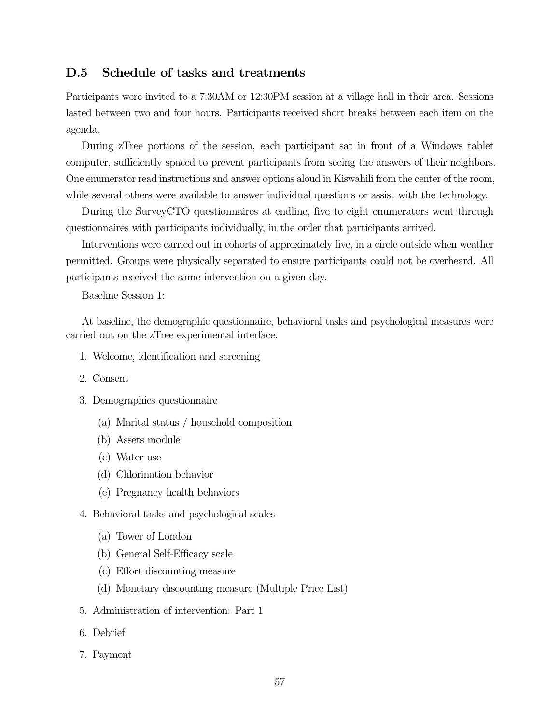## D.5 Schedule of tasks and treatments

Participants were invited to a 7:30AM or 12:30PM session at a village hall in their area. Sessions lasted between two and four hours. Participants received short breaks between each item on the agenda.

During zTree portions of the session, each participant sat in front of a Windows tablet computer, sufficiently spaced to prevent participants from seeing the answers of their neighbors. One enumerator read instructions and answer options aloud in Kiswahili from the center of the room, while several others were available to answer individual questions or assist with the technology.

During the SurveyCTO questionnaires at endline, five to eight enumerators went through questionnaires with participants individually, in the order that participants arrived.

Interventions were carried out in cohorts of approximately five, in a circle outside when weather permitted. Groups were physically separated to ensure participants could not be overheard. All participants received the same intervention on a given day.

Baseline Session 1:

At baseline, the demographic questionnaire, behavioral tasks and psychological measures were carried out on the zTree experimental interface.

- 1. Welcome, identification and screening
- 2. Consent
- 3. Demographics questionnaire
	- (a) Marital status / household composition
	- (b) Assets module
	- (c) Water use
	- (d) Chlorination behavior
	- (e) Pregnancy health behaviors
- 4. Behavioral tasks and psychological scales
	- (a) Tower of London
	- (b) General Self-Efficacy scale
	- (c) Effort discounting measure
	- (d) Monetary discounting measure (Multiple Price List)
- 5. Administration of intervention: Part 1
- 6. Debrief
- 7. Payment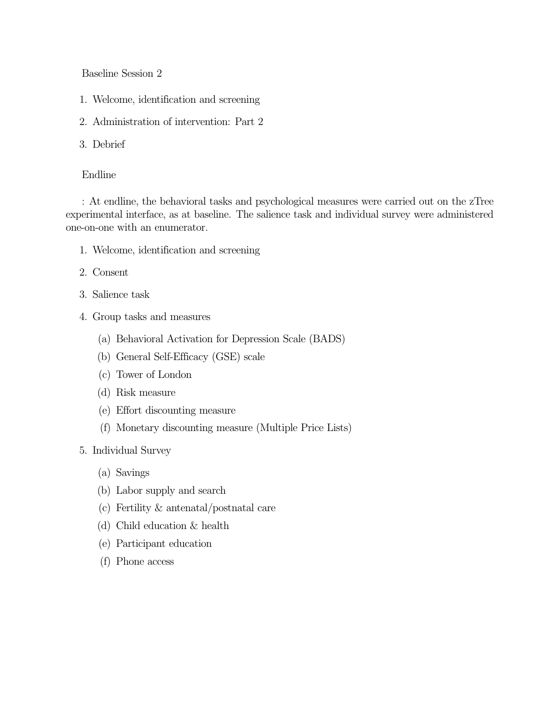Baseline Session 2

- 1. Welcome, identification and screening
- 2. Administration of intervention: Part 2
- 3. Debrief

### Endline

: At endline, the behavioral tasks and psychological measures were carried out on the zTree experimental interface, as at baseline. The salience task and individual survey were administered one-on-one with an enumerator.

- 1. Welcome, identification and screening
- 2. Consent
- 3. Salience task
- 4. Group tasks and measures
	- (a) Behavioral Activation for Depression Scale (BADS)
	- (b) General Self-Efficacy (GSE) scale
	- (c) Tower of London
	- (d) Risk measure
	- (e) Effort discounting measure
	- (f) Monetary discounting measure (Multiple Price Lists)
- 5. Individual Survey
	- (a) Savings
	- (b) Labor supply and search
	- (c) Fertility & antenatal/postnatal care
	- (d) Child education & health
	- (e) Participant education
	- (f) Phone access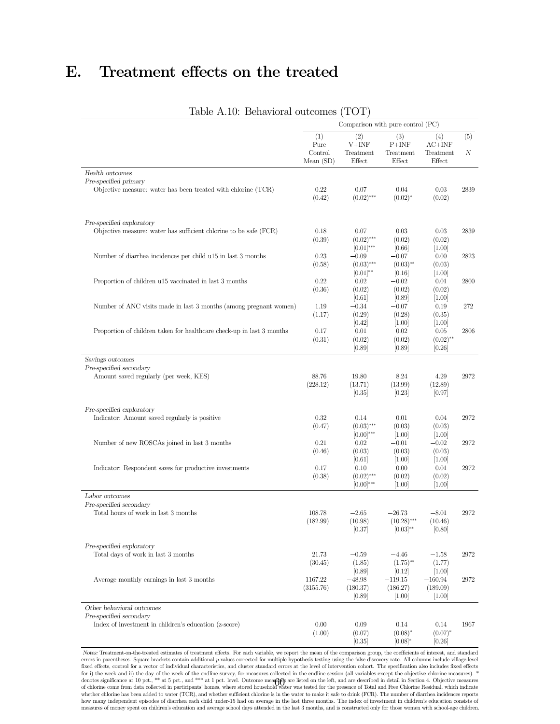# E. Treatment effects on the treated

|                                                                       |                        | Comparison with pure control (PC) |                                |                      |      |
|-----------------------------------------------------------------------|------------------------|-----------------------------------|--------------------------------|----------------------|------|
|                                                                       | (1)                    | (2)                               | (3)                            | (4)                  | (5)  |
|                                                                       | Pure                   | $V+INF$                           | $P+INF$                        | $AC+INF$             |      |
|                                                                       | Control<br>Mean $(SD)$ | Treatment<br>Effect               | Treatment<br>Effect            | Treatment<br>Effect  | Ν    |
| Health outcomes                                                       |                        |                                   |                                |                      |      |
| Pre-specified primary                                                 |                        |                                   |                                |                      |      |
| Objective measure: water has been treated with chlorine (TCR)         | 0.22<br>(0.42)         | 0.07<br>$(0.02)$ ***              | 0.04<br>$(0.02)^{*}$           | 0.03<br>(0.02)       | 2839 |
| Pre-specified exploratory                                             |                        |                                   |                                |                      |      |
| Objective measure: water has sufficient chlorine to be safe $(FCR)$   | 0.18                   | 0.07                              | 0.03                           | 0.03                 | 2839 |
|                                                                       | (0.39)                 | $(0.02)$ ***                      | (0.02)                         | (0.02)               |      |
|                                                                       |                        | $[0.01]^{***}$                    | [0.66]                         | $[1.00]$             |      |
| Number of diarrhea incidences per child u15 in last 3 months          | 0.23                   | $-0.09$                           | $-0.07$                        | 0.00                 | 2823 |
|                                                                       | (0.58)                 | $(0.03)$ ***                      | $(0.03)$ **                    | (0.03)               |      |
|                                                                       | 0.22                   | $[0.01]^{**}$                     | [0.16]                         | $[1.00]$             |      |
| Proportion of children u15 vaccinated in last 3 months                | (0.36)                 | 0.02<br>(0.02)                    | $-0.02$<br>(0.02)              | 0.01<br>(0.02)       | 2800 |
|                                                                       |                        | [0.61]                            | [0.89]                         | $[1.00]$             |      |
| Number of ANC visits made in last 3 months (among pregnant women)     | 1.19                   | $-0.34$                           | $-0.07$                        | 0.19                 | 272  |
|                                                                       | (1.17)                 | (0.29)                            | (0.28)                         | (0.35)               |      |
|                                                                       |                        | [0.42]                            | $[1.00]$                       | $[1.00]$             |      |
| Proportion of children taken for healthcare check-up in last 3 months | 0.17                   | 0.01                              | 0.02                           | 0.05                 | 2806 |
|                                                                       | (0.31)                 | (0.02)                            | (0.02)                         | $(0.02)$ **          |      |
|                                                                       |                        | [0.89]                            | [0.89]                         | [0.26]               |      |
| Savings outcomes                                                      |                        |                                   |                                |                      |      |
| Pre-specified secondary                                               |                        |                                   |                                |                      |      |
| Amount saved regularly (per week, KES)                                | 88.76                  | 19.80                             | 8.24                           | 4.29                 | 2972 |
|                                                                       | (228.12)               | (13.71)                           | (13.99)                        | (12.89)              |      |
|                                                                       |                        | [0.35]                            | $[0.23]$                       | [0.97]               |      |
| Pre-specified exploratory                                             |                        |                                   |                                |                      |      |
| Indicator: Amount saved regularly is positive                         | 0.32                   | 0.14                              | 0.01                           | 0.04                 | 2972 |
|                                                                       | (0.47)                 | $(0.03)$ ***                      | (0.03)                         | (0.03)               |      |
|                                                                       |                        | $[0.00]^{***}$                    | $[1.00]$                       | $[1.00]$             |      |
| Number of new ROSCAs joined in last 3 months                          | 0.21                   | 0.02                              | $-0.01$                        | $-0.02$              | 2972 |
|                                                                       | (0.46)                 | (0.03)                            | (0.03)                         | (0.03)               |      |
|                                                                       |                        | [0.61]                            | $[1.00]$                       | $[1.00]$             |      |
| Indicator: Respondent saves for productive investments                | 0.17                   | 0.10                              | 0.00                           | 0.01                 | 2972 |
|                                                                       | (0.38)                 | $(0.02)$ ***                      | (0.02)                         | (0.02)               |      |
|                                                                       |                        | $[0.00]^{***}$                    | $[1.00]$                       | [1.00]               |      |
| Labor outcomes                                                        |                        |                                   |                                |                      |      |
| Pre-specified secondary                                               |                        |                                   |                                |                      |      |
| Total hours of work in last 3 months                                  | 108.78                 | $-2.65$                           | $-26.73$                       | $-8.01$              | 2972 |
|                                                                       | (182.99)               | (10.98)<br>[0.37]                 | $(10.28)$ ***<br>$[0.03]^{**}$ | (10.46)<br>[0.80]    |      |
|                                                                       |                        |                                   |                                |                      |      |
| Pre-specified exploratory                                             |                        |                                   |                                |                      |      |
| Total days of work in last 3 months                                   | 21.73                  | $-0.59$                           | $-4.46$                        | $-1.58$              | 2972 |
|                                                                       | (30.45)                | (1.85)                            | $(1.75)$ <sup>**</sup>         | (1.77)               |      |
|                                                                       |                        | [0.89]                            | [0.12]                         | $[1.00]$             |      |
| Average monthly earnings in last 3 months                             | 1167.22                | $-48.98$                          | $-119.15$                      | $-160.94$            | 2972 |
|                                                                       | (3155.76)              | (180.37)<br>[0.89]                | (186.27)<br>$[1.00]$           | (189.09)<br>$[1.00]$ |      |
| Other behavioral outcomes                                             |                        |                                   |                                |                      |      |
| Pre-specified secondary                                               |                        |                                   |                                |                      |      |
| Index of investment in children's education (z-score)                 | 0.00                   | 0.09                              | 0.14                           | 0.14                 | 1967 |
|                                                                       | (1.00)                 | (0.07)                            | $(0.08)^*$                     | $(0.07)^{*}$         |      |
|                                                                       |                        | [0.35]                            | $[0.08]*$                      | [0.26]               |      |

Table A.10: Behavioral outcomes (TOT)

Notes: Treatment-on-the-treated estimates of treatment effects. For each variable, we report the mean of the comparison group, the coefficients of interest, and standard errors in parentheses. Square brackets contain addi for i) the week and ii) the day of the week of the endline survey, for measures collected in the endline session (all variables except the objective chlorine measures). \* denotes significance at 10 pct., \*\* at 5 pct., and 60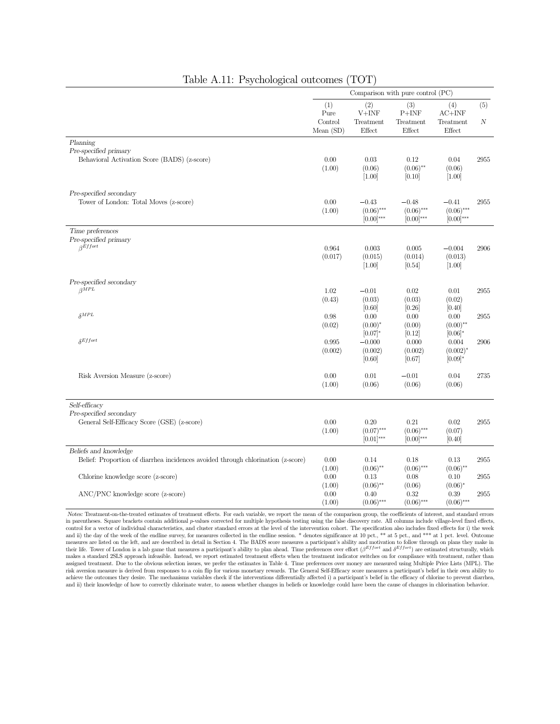|                                                                                                           |                                       |                                             | Comparison with pure control (PC)         |                                                            |          |
|-----------------------------------------------------------------------------------------------------------|---------------------------------------|---------------------------------------------|-------------------------------------------|------------------------------------------------------------|----------|
|                                                                                                           | (1)<br>Pure<br>Control<br>Mean $(SD)$ | (2)<br>$V+INF$<br>Treatment<br>Effect       | (3)<br>$P+INF$<br>Treatment<br>Effect     | (4)<br>$AC+INF$<br>Treatment<br>Effect                     | (5)<br>N |
| Planning<br>Pre-specified primary<br>Behavioral Activation Score (BADS) (z-score)                         | 0.00<br>(1.00)                        | $0.03\,$<br>(0.06)<br>[1.00]                | 0.12<br>$(0.06)$ **<br>[0.10]             | 0.04<br>(0.06)<br>$[1.00]$                                 | 2955     |
| Pre-specified secondary<br>Tower of London: Total Moves (z-score)                                         | 0.00<br>(1.00)                        | $-0.43$<br>$(0.06)$ ***<br>$[0.00]^{***}$   | $-0.48$<br>$(0.06)$ ***<br>$[0.00]^{***}$ | $-0.41$<br>$(0.06)$ ***<br>$[0.00]^{***}$                  | 2955     |
| Time preferences<br>Pre-specified primary<br>$\beta$ Effort                                               | 0.964<br>(0.017)                      | 0.003<br>(0.015)<br>$[1.00]$                | 0.005<br>(0.014)<br>[0.54]                | $-0.004$<br>(0.013)<br>$[1.00]$                            | 2906     |
| Pre-specified secondary<br>$\beta^{MPL}$                                                                  | 1.02<br>(0.43)                        | $-0.01$<br>(0.03)                           | 0.02<br>(0.03)                            | $0.01\,$<br>(0.02)                                         | 2955     |
| $\delta^{MPL}$                                                                                            | 0.98<br>(0.02)                        | [0.60]<br>0.00<br>$(0.00)^*$                | [0.26]<br>0.00<br>(0.00)                  | [0.40]<br>0.00<br>$(0.00)$ **                              | 2955     |
| $\delta$ Effort                                                                                           | 0.995<br>(0.002)                      | $[0.07]$ *<br>$-0.000$<br>(0.002)<br>[0.60] | [0.12]<br>0.000<br>(0.002)<br>[0.67]      | $[0.06]$ <sup>*</sup><br>0.004<br>$(0.002)^*$<br>$[0.09]*$ | 2906     |
| Risk Aversion Measure (z-score)                                                                           | 0.00<br>(1.00)                        | 0.01<br>(0.06)                              | $-0.01$<br>(0.06)                         | 0.04<br>(0.06)                                             | 2735     |
| Self-efficacy<br>Pre-specified secondary<br>General Self-Efficacy Score (GSE) (z-score)                   | 0.00<br>(1.00)                        | 0.20<br>$(0.07)$ ***<br>$[0.01]$ ***        | 0.21<br>$(0.06)$ ***<br>$[0.00]^{***}$    | 0.02<br>(0.07)<br>[0.40]                                   | 2955     |
| Beliefs and knowledge<br>Belief: Proportion of diarrhea incidences avoided through chlorination (z-score) | 0.00                                  | 0.14                                        | 0.18                                      | 0.13                                                       | 2955     |
| Chlorine knowledge score (z-score)                                                                        | (1.00)<br>0.00<br>(1.00)              | $(0.06)$ **<br>0.13<br>$(0.06)$ **          | $(0.06)$ ***<br>0.08<br>(0.06)            | $(0.06)$ **<br>0.10<br>$(0.06)^*$                          | 2955     |
| ANC/PNC knowledge score (z-score)                                                                         | $0.00\,$<br>(1.00)                    | 0.40<br>$(0.06)$ ***                        | 0.32<br>$(0.06)$ ***                      | 0.39<br>$(0.06)$ ***                                       | 2955     |

#### Table A.11: Psychological outcomes (TOT)

Notes: Treatment-on-the-treated estimates of treatment effects. For each variable, we report the mean of the comparison group, the coefficients of interest, and standard errors in parentheses. Square brackets contain additional <sup>p</sup>-values corrected for multiple hypothesis testing using the false discovery rate. All columns include village-level fixed effects, control for a vector of individual characteristics, and cluster standard errors at the level of the intervention cohort. The specification also includes fixed effects for i) the week and ii) the day of the week of the endline survey, for measures collected in the endline session. \* denotes significance at 10 pct., \*\* at 5 pct., and \*\*\* at 1 pct. level. Outcome measures are listed on the left, and are described in detail in Section 4. The BADS score measures a participant's ability and motivation to follow through on plans they make in their life. Tower of London is a lab game t makes a standard 2SLS approach infeasible. Instead, we report estimated treatment effects when the treatment indicator switches on for compliance with treatment, rather than assigned treatment. Due to the obvious selection issues, we prefer the estimates in Table 4. Time preferences over money are measured using Multiple Price Lists (MPL). The risk aversion measure is derived from responses to and ii) their knowledge of how to correctly chlorinate water, to assess whether changes in beliefs or knowledge could have been the cause of changes in chlorination behavior.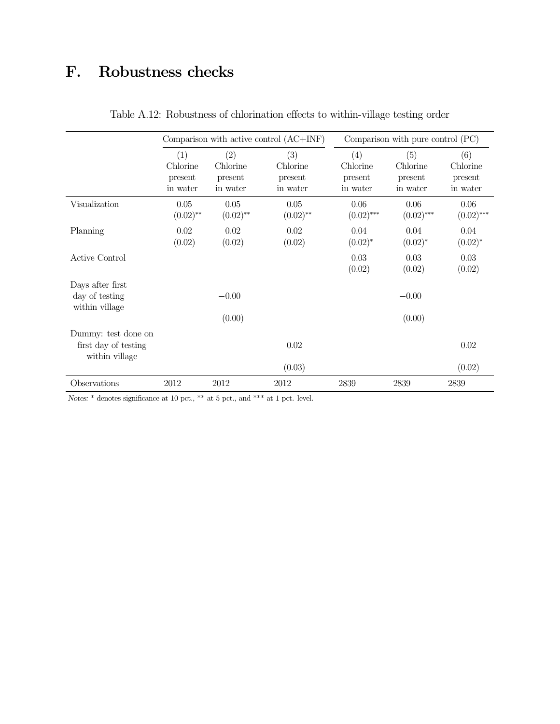# F. Robustness checks

|                                                               |                                        |                                        | Comparison with active control $(AC+INF)$ |                                        | Comparison with pure control (PC)      |                                        |
|---------------------------------------------------------------|----------------------------------------|----------------------------------------|-------------------------------------------|----------------------------------------|----------------------------------------|----------------------------------------|
|                                                               | (1)<br>Chlorine<br>present<br>in water | (2)<br>Chlorine<br>present<br>in water | (3)<br>Chlorine<br>present<br>in water    | (4)<br>Chlorine<br>present<br>in water | (5)<br>Chlorine<br>present<br>in water | (6)<br>Chlorine<br>present<br>in water |
| Visualization                                                 | 0.05<br>$(0.02)$ **                    | 0.05<br>$(0.02)$ **                    | 0.05<br>$(0.02)$ **                       | 0.06<br>$(0.02)$ ***                   | 0.06<br>$(0.02)$ ***                   | 0.06<br>$(0.02)$ ***                   |
| Planning                                                      | 0.02<br>(0.02)                         | 0.02<br>(0.02)                         | 0.02<br>(0.02)                            | 0.04<br>$(0.02)^*$                     | 0.04<br>$(0.02)^*$                     | 0.04<br>$(0.02)^{*}$                   |
| Active Control                                                |                                        |                                        |                                           | 0.03<br>(0.02)                         | 0.03<br>(0.02)                         | 0.03<br>(0.02)                         |
| Days after first<br>day of testing<br>within village          |                                        | $-0.00$<br>(0.00)                      |                                           |                                        | $-0.00$<br>(0.00)                      |                                        |
| Dummy: test done on<br>first day of testing<br>within village |                                        |                                        | 0.02<br>(0.03)                            |                                        |                                        | 0.02<br>(0.02)                         |
| Observations                                                  | 2012                                   | 2012                                   | 2012                                      | 2839                                   | 2839                                   | 2839                                   |

Table A.12: Robustness of chlorination effects to within-village testing order

Notes:  $\hspace{0.1mm}^*$  denotes significance at 10 pct.,  $\hspace{0.1mm}^{\ast\ast}$  at 5 pct., and  $\hspace{0.1mm}^{\ast\ast\ast}$  at 1 pct. level.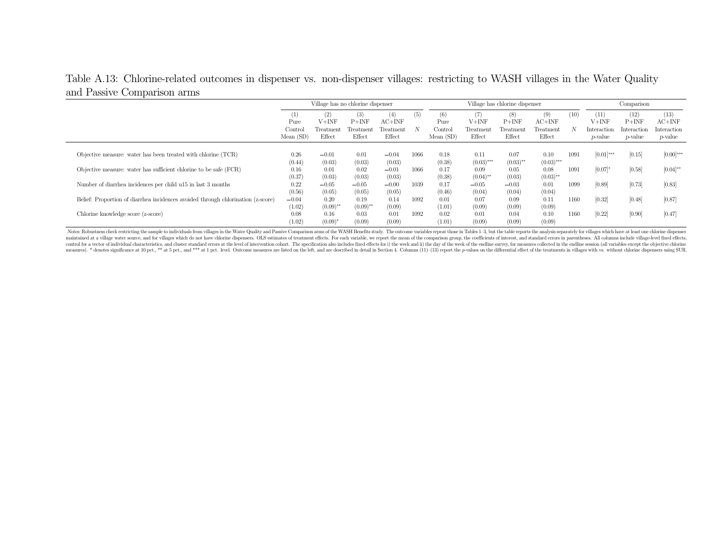# Table A.13: Chlorine-related outcomes in dispenser vs. non-dispenser villages: restricting to WASH villages in the Water Quality and Passive Comparison arms

|                                                                                  | Village has no chlorine dispenser           |                                    |                                               |                                        |          |                                    | Village has chlorine dispenser        | Comparison                            |                                        |           |                                                   |                                                   |                                                  |
|----------------------------------------------------------------------------------|---------------------------------------------|------------------------------------|-----------------------------------------------|----------------------------------------|----------|------------------------------------|---------------------------------------|---------------------------------------|----------------------------------------|-----------|---------------------------------------------------|---------------------------------------------------|--------------------------------------------------|
|                                                                                  | (1)<br>Pure<br>$_{\rm Control}$<br>Mean(SD) | (2)<br>V+INF<br>Treatmen<br>Effect | (3)<br>$P+INF$<br>$\Gamma$ reatment<br>Effect | (4)<br>$AC+INF$<br>Treatment<br>Effect | (5)<br>N | (6)<br>Pure<br>Control<br>Mean(SD) | (7)<br>$V+INF$<br>Treatment<br>Effect | (8)<br>$P+INF$<br>Treatment<br>Effect | (9)<br>$AC+INF$<br>Treatment<br>Effect | (10)<br>N | (11)<br>$V+IMF$<br>Interaction<br><i>p</i> -value | (12)<br>$P+INF$<br>Interaction<br><i>p</i> -value | (13)<br>AC+INF<br>Interaction<br><i>p</i> -value |
| Objective measure: water has been treated with chlorine (TCR)                    | 0.26<br>(0.44)                              | $-0.01$<br>(0.03)                  | 0.01<br>(0.03)                                | $-0.04$<br>(0.03)                      | 1066     | 0.18<br>(0.38)                     | 0.11<br>$(0.03)$ ***                  | 0.07<br>$(0.03)$ **                   | 0.10<br>$(0.03)$ ***                   | 1091      | $[0.01]$ ***                                      | [0.15]                                            | $[0.00]$ ***                                     |
| Objective measure: water has sufficient chlorine to be safe (FCR)                | 0.16<br>(0.37)                              | 0.01<br>(0.03)                     | 0.02<br>(0.03)                                | $-0.01$<br>(0.03)                      | 1066     | 0.17<br>(0.38)                     | 0.09<br>$(0.04)$ **                   | 0.05<br>(0.03)                        | 0.08<br>$(0.03)$ **                    | 1091      | [0.07]                                            | [0.58]                                            | $[0.04]^{**}$                                    |
| Number of diarrhea incidences per child u15 in last 3 months                     | 0.22<br>(0.56)                              | $-0.05$<br>(0.05)                  | $-0.05$<br>(0.05)                             | $-0.00$<br>(0.05)                      | 1039     | 0.17<br>(0.46)                     | $-0.05$<br>(0.04)                     | $-0.03$<br>(0.04)                     | 0.01<br>(0.04)                         | 1099      | [0.89]                                            | [0.73]                                            | [0.83]                                           |
| Belief: Proportion of diarrhea incidences avoided through chlorination (z-score) | $-0.04$<br>(1.02)                           | 0.20<br>$(0.09)$ **                | 0.19<br>$(0.09)$ **                           | 0.14<br>(0.09)                         | 1092     | 0.01<br>(1.01)                     | 0.07<br>(0.09)                        | 0.09<br>(0.09)                        | 0.11<br>(0.09)                         | 1160      | [0.32]                                            | [0.48]                                            | [0.87]                                           |
| Chlorine knowledge score (z-score)                                               | 0.08<br>(1.02)                              | 0.16<br>$(0.09)^*$                 | 0.03<br>(0.09)                                | 0.01<br>(0.09)                         | 1092     | 0.02<br>(1.01)                     | 0.01<br>(0.09)                        | 0.04<br>(0.09)                        | 0.10<br>(0.09)                         | 1160      | [0.22]                                            | [0.90]                                            | [0.47]                                           |

Notes: Robustness check restricting the sample to individuals from villages in the Water Quality and Passive Comparison arms of the WASH Benefits study. The outcome variables repeat those in Tables 1-3, but the table repor control for a vector of individual characteristics, and cluster standard errors at the level of intervention cohort. The specification also includes fixed effects for i) the week and ii) the day of the week of the eval ine measures). \* denotes significance at 10 pct., \*\* at 5 pct., and \*\*\* at 1 pct. level. Outcome measures are listed on the left, and are described in detail in Section 4. Columns (11)-(13) report the p-values on the differen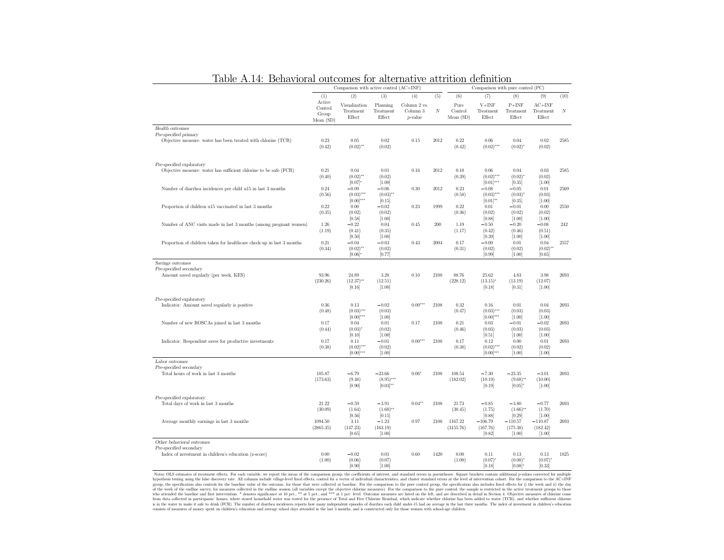| ochaviolai outcomes ioi aitemative attribut                                            |                                        | Comparison with active control (AC+INF)        |                                           |                                     |          |                             | ucmmond<br>Comparison with pure control (PC)   |                                           |                                             |                  |
|----------------------------------------------------------------------------------------|----------------------------------------|------------------------------------------------|-------------------------------------------|-------------------------------------|----------|-----------------------------|------------------------------------------------|-------------------------------------------|---------------------------------------------|------------------|
|                                                                                        | (1)                                    | (2)                                            | (3)                                       | (4)                                 | (5)      | (6)                         | (7)                                            | (8)                                       | (9)                                         | (10)             |
|                                                                                        | Active<br>Control<br>Group<br>Mean(SD) | Visualization<br>Treatment<br>Effect           | Planning<br>Treatment<br>Effect           | Column 2 vs.<br>Column 3<br>p-value | $\cal N$ | Pure<br>Control<br>Mean(SD) | $V+INF$<br>Treatment<br>Effect                 | $P+INF$<br>Treatment<br>Effect            | $AC+INF$<br>Treatment<br>Effect             | $\boldsymbol{N}$ |
| Health outcomes                                                                        |                                        |                                                |                                           |                                     |          |                             |                                                |                                           |                                             |                  |
| Pre-specified primary<br>Objective measure: water has been treated with chlorine (TCR) | 0.23<br>(0.42)                         | 0.05<br>$(0.02)$ **                            | 0.02<br>(0.02)                            | 0.15                                | 2012     | 0.22<br>(0.42)              | 0.06<br>$(0.02)$ ***                           | 0.04<br>$(0.02)^{*}$                      | 0.02<br>(0.02)                              | 2585             |
| Pre-specified exploratory                                                              |                                        |                                                |                                           |                                     |          |                             |                                                |                                           |                                             |                  |
| Objective measure: water has sufficient chlorine to be safe (FCR)                      | 0.21<br>(0.40)                         | 0.04<br>$(0.02)$ **<br>$[0.07]$ *              | 0.01<br>(0.02)<br>[1.00]                  | 0.16                                | 2012     | 0.18<br>(0.39)              | 0.06<br>$(0.02)$ ***<br>$[0.01]$ ***           | 0.04<br>$(0.02)^{*}$<br>[0.35]            | 0.03<br>(0.02)<br>[1.00]                    | 2585             |
| Number of diarrhea incidences per child u15 in last 3 months                           | 0.24<br>(0.56)                         | $-0.09$<br>$(0.03)$ ***<br>$[0.00]$ ***        | $-0.06$<br>$(0.03)$ **<br>[0.15]          | 0.30                                | 2012     | 0.23<br>(0.58)              | $-0.08$<br>$(0.03)$ ***<br>$[0.01]^{**}$       | $-0.05$<br>(0.03)<br>[0.35]               | 0.01<br>(0.03)<br>[1.00]                    | 2569             |
| Proportion of children u15 vaccinated in last 3 months                                 | 0.22<br>(0.35)                         | 0.00<br>(0.02)<br>[0.58]                       | $-0.02$<br>(0.02)<br>[1.00]               | 0.23                                | 1999     | 0.22<br>(0.36)              | 0.01<br>(0.02)<br>[0.88]                       | $-0.01$<br>(0.02)<br>[1.00]               | 0.00<br>(0.02)<br>[1.00]                    | 2550             |
| Number of ANC visits made in last 3 months (among pregnant women)                      | 1.26<br>(1.19)                         | $-0.22$<br>(0.41)<br>[0.50]                    | 0.04<br>(0.35)<br>[1.00]                  | 0.45                                | 200      | 1.19<br>(1.17)              | $-0.50$<br>(0.42)<br>[0.39]                    | $-0.20$<br>(0.46)<br>[1.00]               | $-0.08$<br>(0.51)<br>[1.00]                 | 242              |
| Proportion of children taken for healthcare check-up in last 3 months                  | 0.21<br>(0.34)                         | $-0.04$<br>$(0.02)$ **<br>$[0.06]$ *           | $-0.03$<br>(0.02)<br>[0.77]               | 0.43                                | 2004     | 0.17<br>(0.31)              | $-0.00$<br>(0.02)<br>[0.99]                    | 0.01<br>(0.02)<br>[1.00]                  | 0.04<br>$(0.02)$ **<br>[0.65]               | 2557             |
| Savings outcomes                                                                       |                                        |                                                |                                           |                                     |          |                             |                                                |                                           |                                             |                  |
| Pre-specified secondary<br>Amount saved regularly (per week, KES)                      | 93.96<br>(230.26)                      | 24.89<br>$(12.37)$ **<br>[0.16]                | 3.28<br>(12.51)<br>[1.00]                 | 0.10                                | 2108     | 88.76<br>(228.12)           | 25.62<br>(13.15)<br>[0.18]                     | 4.83<br>(13.19)<br>[0.31]                 | 3.98<br>(12.07)<br>[1.00]                   | 2693             |
| Pre-specified exploratory<br>Indicator: Amount saved regularly is positive             | 0.36<br>(0.48)                         | 0.13<br>$(0.03)$ ***                           | $-0.02$<br>(0.03)                         | $0.00***$                           | 2108     | 0.32<br>(0.47)              | 0.16<br>$(0.03)$ ***                           | 0.01<br>(0.03)                            | 0.04<br>(0.03)                              | 2693             |
| Number of new ROSCAs joined in last 3 months                                           | 0.17<br>(0.44)                         | $[0.00]$ ***<br>0.04<br>$(0.03)^{*}$           | [1.00]<br>0.01<br>(0.02)                  | 0.17                                | 2108     | 0.21<br>(0.46)              | $[0.00]$ ***<br>0.03<br>(0.03)                 | [1.00]<br>$-0.01$<br>(0.03)               | [1.00]<br>$-0.02$<br>(0.03)                 | 2693             |
| Indicator: Respondent saves for productive investments                                 | 0.17<br>(0.38)                         | [0.10]<br>0.11<br>$(0.02)$ ***<br>$[0.00]$ *** | [1.00]<br>$-0.01$<br>(0.02)<br>[1.00]     | $0.00***$                           | 2108     | 0.17<br>(0.38)              | [0.51]<br>0.12<br>$(0.02)$ ***<br>$[0.00]$ *** | [1.00]<br>0.00<br>(0.02)<br>[1.00]        | [1.00]<br>0.01<br>(0.02)<br>[1.00]          | 2693             |
| Labor outcomes                                                                         |                                        |                                                |                                           |                                     |          |                             |                                                |                                           |                                             |                  |
| Pre-specified secondary<br>Total hours of work in last 3 months                        | 105.87<br>(173.63)                     | $-6.79$<br>(9.48)<br>[0.90]                    | $-23.66$<br>$(8.95)$ ***<br>$[0.03]^{**}$ | $0.06*$                             | 2108     | 108.54<br>(182.02)          | $-7.30$<br>(10.19)<br>[0.19]                   | $-23.35$<br>$(9.68)$ **<br>$[0.05]$ *     | $-3.01$<br>(10.00)<br>$[1.00]$              | 2693             |
| Pre-specified exploratory<br>Total days of work in last 3 months                       | 21.22<br>(30.09)                       | $-0.59$<br>(1.64)                              | $-3.91$<br>$(1.60)$ **                    | $0.04**$                            | 2108     | 21.73<br>(30.45)            | $-0.85$<br>(1.75)                              | $-3.80$<br>$(1.66)$ **                    | $-0.77$<br>(1.70)                           | 2693             |
| Average monthly earnings in last 3 months                                              | 1094.50<br>(2865.35)                   | [0.56]<br>3.11<br>(147.23)<br>[0.65]           | [0.15]<br>$-1.23$<br>(163.19)<br>[1.00]   | 0.97                                | 2108     | 1167.22<br>(3155.76)        | [0.88]<br>$-106.79$<br>(167.76)<br>[0.82]      | [0.29]<br>$-110.57$<br>(175.38)<br>[1.00] | $[1.00]$<br>$-110.87$<br>(182.42)<br>[1.00] | 2693             |
| Other behavioral outcomes                                                              |                                        |                                                |                                           |                                     |          |                             |                                                |                                           |                                             |                  |
| Pre-specified secondary<br>Index of investment in children's education (z-score)       | 0.00<br>(1.00)                         | $-0.02$<br>(0.06)<br>in onl                    | 0.01<br>(0.07)<br>[1.00]                  | 0.60                                | 1420     | 0.00<br>(1.00)              | 0.11<br>$(0.07)^*$<br>[0.18]                   | 0.13<br>$(0.08)^*$<br>$[0.08]$ *          | 0.13<br>$(0.07)^*$<br>[0.33]                | 1825             |

|  | Table A.14: Behavioral outcomes for alternative attrition definition |  |  |  |  |  |  |
|--|----------------------------------------------------------------------|--|--|--|--|--|--|
|--|----------------------------------------------------------------------|--|--|--|--|--|--|

 $[1.00] \begin{pmatrix} (1.00) & (1.00) & (1.00) & (1.00) & (1.00) & (1.00) & (1.00) & (1.00) & (1.00) & (1.00) & (1.00) & (1.00) & (1.00) & (1.00) & (1.00) & (1.00) & (1.00) & (1.00) & (1.00) & (1.00) & (1.00) & (1.00) & (1.00) & (1.00) & (1.00) & (1.00) & (1.00) & (1.00) & (1.00) & (1.00$ consists of measures of money spent on children's education and average school days attended in the last 3 months, and is constructed only for those women with school-age children.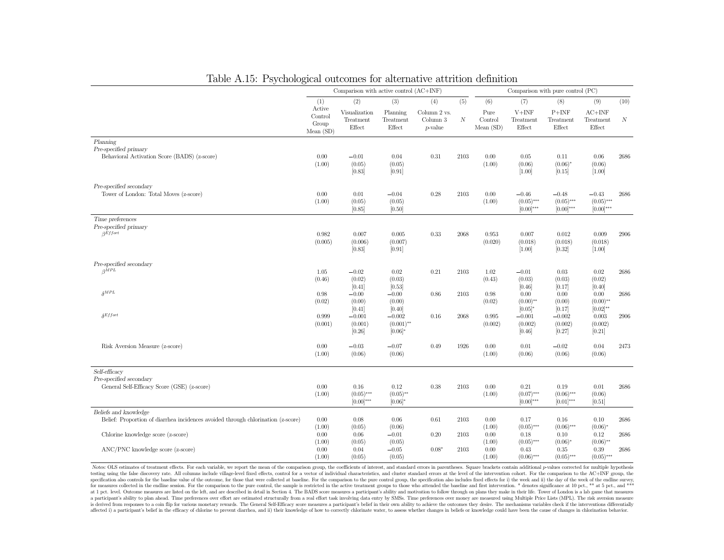| Table A.15: Psychological outcomes for alternative attrition definition                                   |                                               | Comparison with active control $(AC+INF)$   |                                        |                                               |                         |                                     |                                            | Comparison with pure control (PC)         |                                                |           |
|-----------------------------------------------------------------------------------------------------------|-----------------------------------------------|---------------------------------------------|----------------------------------------|-----------------------------------------------|-------------------------|-------------------------------------|--------------------------------------------|-------------------------------------------|------------------------------------------------|-----------|
|                                                                                                           |                                               |                                             |                                        |                                               |                         |                                     |                                            |                                           |                                                |           |
|                                                                                                           | (1)<br>Active<br>Control<br>Group<br>Mean(SD) | (2)<br>Visualization<br>Treatment<br>Effect | (3)<br>Planning<br>Treatment<br>Effect | (4)<br>Column 2 vs.<br>Column 3<br>$p$ -value | (5)<br>$\boldsymbol{N}$ | (6)<br>Pure<br>Control<br>Mean (SD) | (7)<br>$V+INF$<br>Treatment<br>Effect      | (8)<br>$P+INF$<br>Treatment<br>Effect     | (9)<br>$AC+INF$<br>Treatment<br>Effect         | (10)<br>N |
| Planning<br>Pre-specified primary<br>Behavioral Activation Score (BADS) (z-score)                         | 0.00<br>(1.00)                                | $-0.01$<br>(0.05)<br>[0.83]                 | 0.04<br>(0.05)<br>[0.91]               | 0.31                                          | 2103                    | 0.00<br>(1.00)                      | 0.05<br>(0.06)<br>$[1.00]$                 | 0.11<br>$(0.06)^{*}$<br>[0.15]            | 0.06<br>(0.06)<br>$[1.00]$                     | 2686      |
| Pre-specified secondary<br>Tower of London: Total Moves (z-score)                                         | 0.00<br>(1.00)                                | $0.01\,$<br>(0.05)<br>[0.85]                | $-0.04$<br>(0.05)<br>[0.50]            | 0.28                                          | 2103                    | 0.00<br>(1.00)                      | $-0.46$<br>$(0.05)$ ***<br>$[0.00]$ ***    | $-0.48$<br>$(0.05)$ ***<br>$[0.00]^{***}$ | $-0.43$<br>$(0.05)$ ***<br>$[0.00]^{***}$      | 2686      |
| Time preferences<br>Pre-specified primary<br>$\beta$ Effort                                               | 0.982<br>(0.005)                              | 0.007<br>(0.006)<br>[0.83]                  | 0.005<br>(0.007)<br>[0.91]             | 0.33                                          | 2068                    | 0.953<br>(0.020)                    | 0.007<br>(0.018)<br>[1.00]                 | 0.012<br>(0.018)<br>$[0.32]$              | 0.009<br>(0.018)<br>$[1.00]$                   | 2906      |
| Pre-specified secondary<br>$\beta^{MPL}$                                                                  | 1.05<br>(0.46)                                | $-0.02$<br>(0.02)                           | 0.02<br>(0.03)                         | 0.21                                          | 2103                    | 1.02<br>(0.43)                      | $-0.01$<br>(0.03)                          | 0.03<br>(0.03)<br>[0.17]                  | 0.02<br>(0.02)                                 | 2686      |
| $\delta^{MPL}$                                                                                            | 0.98<br>(0.02)                                | [0.41]<br>$-0.00$<br>(0.00)<br>[0.41]       | [0.53]<br>$-0.00$<br>(0.00)<br>[0.40]  | 0.86                                          | 2103                    | 0.98<br>(0.02)                      | [0.46]<br>0.00<br>$(0.00)$ **<br>$[0.05]*$ | 0.00<br>(0.00)<br>[0.17]                  | [0.40]<br>0.00<br>$(0.00)$ **<br>$[0.02]^{**}$ | 2686      |
| $\delta$ Effort                                                                                           | 0.999<br>(0.001)                              | $-0.001$<br>(0.001)<br>[0.26]               | $-0.002$<br>$(0.001)$ **<br>$[0.06]$ * | 0.16                                          | 2068                    | 0.995<br>(0.002)                    | $-0.001$<br>(0.002)<br>[0.46]              | $-0.002$<br>(0.002)<br>[0.27]             | 0.003<br>(0.002)<br>[0.21]                     | 2906      |
| Risk Aversion Measure (z-score)                                                                           | 0.00<br>(1.00)                                | $-0.03$<br>(0.06)                           | $-0.07$<br>(0.06)                      | 0.49                                          | 1926                    | 0.00<br>(1.00)                      | 0.01<br>(0.06)                             | $-0.02$<br>(0.06)                         | 0.04<br>(0.06)                                 | 2473      |
| Self-efficacy<br>Pre-specified secondary<br>General Self-Efficacy Score (GSE) (z-score)                   | 0.00<br>(1.00)                                | 0.16<br>$(0.05)$ ***<br>$[0.00]^{***}$      | 0.12<br>$(0.05)$ **<br>$[0.06]*$       | 0.38                                          | 2103                    | 0.00<br>(1.00)                      | 0.21<br>$(0.07)$ ***<br>$[0.00]$ ***       | 0.19<br>$(0.06)$ ***<br>$[0.01]***$       | 0.01<br>(0.06)<br>[0.51]                       | 2686      |
| Beliefs and knowledge<br>Belief: Proportion of diarrhea incidences avoided through chlorination (z-score) | 0.00<br>(1.00)                                | 0.08<br>(0.05)                              | 0.06<br>(0.06)                         | 0.61                                          | 2103                    | 0.00<br>(1.00)                      | 0.17<br>$(0.05)$ ***                       | 0.16<br>$(0.06)$ ***                      | $0.10\,$<br>$(0.06)^{*}$                       | 2686      |
| Chlorine knowledge score (z-score)                                                                        | 0.00<br>(1.00)                                | 0.06<br>(0.05)                              | $-0.01$<br>(0.05)                      | 0.20                                          | 2103                    | 0.00<br>(1.00)                      | 0.18<br>$(0.05)$ ***                       | 0.10<br>$(0.06)^*$                        | 0.12<br>$(0.06)$ **                            | 2686      |
| ANC/PNC knowledge score (z-score)                                                                         | 0.00<br>(1.00)                                | 0.04<br>(0.05)                              | $-0.05$<br>(0.05)                      | $0.08*$                                       | 2103                    | 0.00<br>(1.00)                      | 0.43<br>$(0.06)$ ***                       | 0.35<br>$(0.05)$ ***                      | 0.39<br>$(0.05)$ ***                           | 2686      |

### Table A.15: Psychological outcomes for alternative attrition definition

Notes: OLS estimates of treatment effects. For each variable, we report the mean of the comparison group, the coefficients of interest, and standard errors in parentheses. Square brackets contain additional p-values correc testing using the false discovery rate. All columns include village-level fixed effects, control for a vector of individual characteristics, and cluster standard errors at the level of the intervention cohort. For the comp specification also controls for the baseline value of the outcome, for those that were collected at baseline. For the comparison to the pure control group, the specification also includes fixed effects for i) the week and for measures collected in the endline session. For the comparison to the pure control, the sample is restricted in the active treatment groups to those who attended the baseline and first intervention. \* denotes significan at 1 pct. level. Outcome measures are listed on the left, and are described in detail in Section 4. The BADS score measures a participant's ability and motivation to follow through on plans they make in their life. Tower o a participant's ability to plan ahead. Time preferences over effort are estimated structurally from a real effort task involving data entry by SMSs. Time preferences over money are measured using Multiple Price Lists (MPL) is derived from responses to a coin flip for various monetary rewards. The General Self-Efficacy score measures a participant's belief in their own ability to achieve the outcomes they desire. The mechanisms variables chec affected i) a participant's belief in the efficacy of chlorine to prevent diarrhea, and ii) their knowledge of how to correctly chlorinate water, to assess whether changes in beliefs or knowledge could have been the cause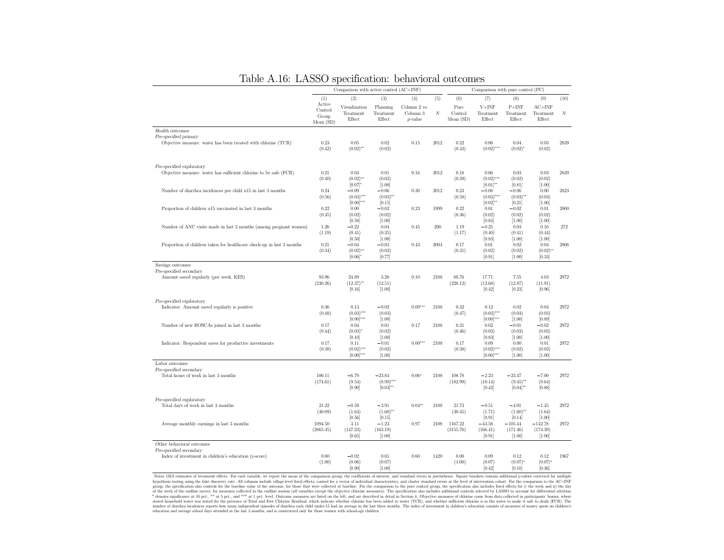|                                                                                        | Comparison with active control (AC+INF) |                                                |                                           |                                             |      |                             | Comparison with pure control (PC)              |                                           |                                           |      |
|----------------------------------------------------------------------------------------|-----------------------------------------|------------------------------------------------|-------------------------------------------|---------------------------------------------|------|-----------------------------|------------------------------------------------|-------------------------------------------|-------------------------------------------|------|
|                                                                                        | (1)                                     | (2)                                            | (3)                                       | (4)                                         | (5)  | (6)                         | (7)                                            | (8)                                       | (9)                                       | (10) |
|                                                                                        | Active<br>Control<br>Group<br>Mean(SD)  | Visualization<br>Treatment<br>Effect           | Planning<br>Treatment<br>Effect           | Column 2 vs.<br>Column 3<br><i>p</i> -value | N    | Pure<br>Control<br>Mean(SD) | $V + INF$<br>Treatment<br>Effect               | $P+INF$<br>Treatment<br>Effect            | $AC+INF$<br>Treatment<br>Effect           | N    |
| Health outcomes                                                                        |                                         |                                                |                                           |                                             |      |                             |                                                |                                           |                                           |      |
| Pre-specified primary<br>Objective measure: water has been treated with chlorine (TCR) | 0.23<br>(0.42)                          | 0.05<br>$(0.02)$ **                            | 0.02<br>(0.02)                            | 0.15                                        | 2012 | 0.22<br>(0.42)              | 0.06<br>$(0.02)$ ***                           | 0.04<br>$(0.02)^{*}$                      | 0.03<br>(0.02)                            | 2839 |
| Pre-specified exploratory                                                              |                                         |                                                |                                           |                                             |      |                             |                                                |                                           |                                           |      |
| Objective measure: water has sufficient chlorine to be safe (FCR)                      | 0.21<br>(0.40)                          | 0.04<br>$(0.02)$ **<br>$[0.07]$ *              | 0.01<br>(0.02)<br>[1.00]                  | 0.16                                        | 2012 | 0.18<br>(0.39)              | 0.06<br>$(0.02)$ ***<br>$[0.01]^{**}$          | 0.03<br>(0.02)<br>[0.81]                  | 0.03<br>(0.02)<br>[1.00]                  | 2839 |
| Number of diarrhea incidences per child u15 in last 3 months                           | 0.24<br>(0.56)                          | $-0.09$<br>$(0.03)$ ***<br>$[0.00]$ ***        | $-0.06$<br>$(0.03)$ **<br>[0.15]          | 0.30                                        | 2012 | 0.23<br>(0.58)              | $-0.08$<br>$(0.03)$ ***<br>$[0.02]^{**}$       | $-0.06$<br>$(0.03)$ **<br>[0.21]          | 0.00<br>(0.03)<br>[1.00]                  | 2823 |
| Proportion of children u15 vaccinated in last 3 months                                 | 0.22<br>(0.35)                          | 0.00<br>(0.02)<br>[0.58]                       | $-0.02$<br>(0.02)<br>[1.00]               | 0.23                                        | 1999 | 0.22<br>(0.36)              | 0.01<br>(0.02)<br>[0.83]                       | $-0.02$<br>(0.02)<br>[1.00]               | 0.01<br>(0.02)<br>[1.00]                  | 2800 |
| Number of ANC visits made in last 3 months (among pregnant women)                      | 1.26<br>(1.19)                          | $-0.22$<br>(0.41)<br>[0.50]                    | 0.04<br>(0.35)<br>[1.00]                  | 0.45                                        | 200  | 1.19<br>(1.17)              | $-0.25$<br>(0.40)<br>[0.83]                    | 0.03<br>(0.41)<br>[1.00]                  | 0.16<br>(0.44)<br>[1.00]                  | 272  |
| Proportion of children taken for healthcare check-up in last 3 months                  | 0.21<br>(0.34)                          | $-0.04$<br>$(0.02)$ **<br>$[0.06]$ *           | $-0.03$<br>(0.02)<br>[0.77]               | 0.43                                        | 2004 | 0.17<br>(0.31)              | 0.01<br>(0.02)<br>[0.91]                       | 0.02<br>(0.02)<br>[1.00]                  | 0.04<br>$(0.02)$ **<br>[0.33]             | 2806 |
| Savings outcomes                                                                       |                                         |                                                |                                           |                                             |      |                             |                                                |                                           |                                           |      |
| Pre-specified secondary<br>Amount saved regularly (per week, KES)                      | 93.96<br>(230.26)                       | 24.89<br>$(12.37)$ **<br>[0.16]                | 3.28<br>(12.51)<br>[1.00]                 | 0.10                                        | 2108 | 88.76<br>(228.12)           | 17.71<br>(12.68)<br>[0.42]                     | 7.55<br>(12.87)<br>$[0.23]$               | 4.03<br>(11.91)<br>[0.96]                 | 2972 |
| Pre-specified exploratory<br>Indicator: Amount saved regularly is positive             | 0.36<br>(0.48)                          | 0.13<br>$(0.03)$ ***                           | $-0.02$<br>(0.03)                         | $0.00***$                                   | 2108 | 0.32<br>(0.47)              | 0.12<br>$(0.03)$ ***                           | 0.02<br>(0.03)                            | 0.04<br>(0.03)                            | 2972 |
| Number of new ROSCAs joined in last 3 months                                           | 0.17<br>(0.44)                          | $[0.00]$ ***<br>0.04<br>$(0.03)^{*}$           | [1.00]<br>0.01<br>(0.02)                  | 0.17                                        | 2108 | 0.21<br>(0.46)              | $[0.00]$ ***<br>0.02<br>(0.03)                 | $[1.00]$<br>$-0.01$<br>(0.03)             | [0.89]<br>$-0.02$<br>(0.03)               | 2972 |
| Indicator: Respondent saves for productive investments                                 | 0.17<br>(0.38)                          | [0.10]<br>0.11<br>$(0.02)$ ***<br>$[0.00]$ *** | [1.00]<br>$-0.01$<br>(0.02)<br>[1.00]     | $0.00***$                                   | 2108 | 0.17<br>(0.38)              | [0.83]<br>0.09<br>$(0.02)$ ***<br>$[0.00]$ *** | [1.00]<br>0.00<br>(0.02)<br>[1.00]        | [1.00]<br>0.01<br>(0.02)<br>[1.00]        | 2972 |
| Labor outcomes<br>Pre-specified secondary<br>Total hours of work in last 3 months      | 106.11<br>(174.61)                      | $-6.79$<br>(9.54)<br>[0.90]                    | $-23.83$<br>$(8.99)$ ***<br>$[0.03]^{**}$ | $0.06*$                                     | 2108 | 108.78<br>(182.99)          | $-2.23$<br>(10.14)<br>[0.42]                   | $-23.47$<br>$(9.45)$ **<br>$[0.04]^{**}$  | $-7.00$<br>(9.64)<br>[0.88]               | 2972 |
| Pre-specified exploratory<br>Total days of work in last 3 months                       | 21.22<br>(30.09)                        | $-0.59$<br>(1.64)                              | $-3.91$<br>$(1.60)$ **                    | $0.04**$                                    | 2108 | 21.73<br>(30.45)            | $-0.51$<br>(1.71)                              | $-4.01$<br>$(1.60)$ **                    | $-1.45$<br>(1.64)                         | 2972 |
| Average monthly earnings in last 3 months                                              | 1094.50<br>(2865.35)                    | [0.56]<br>3.11<br>(147.23)<br>[0.65]           | [0.15]<br>$-1.23$<br>(163.19)<br>[1.00]   | 0.97                                        | 2108 | 1167.22<br>(3155.76)        | [0.91]<br>$-43.58$<br>(166.41)<br>[0.91]       | [0.14]<br>$-105.44$<br>(171.46)<br>[1.00] | [1.00]<br>$-142.78$<br>(174.39)<br>[1.00] | 2972 |
| Other behavioral outcomes                                                              |                                         |                                                |                                           |                                             |      |                             |                                                |                                           |                                           |      |
| Pre-specified secondary<br>Index of investment in children's education (z-score)       | 0.00<br>(1.00)                          | $-0.02$<br>(0.06)<br>[0.90]                    | 0.01<br>(0.07)<br>[1.00]                  | 0.60                                        | 1420 | 0.00<br>(1.00)              | 0.09<br>(0.07)<br>[0.42]                       | 0.12<br>$(0.07)$ <sup>*</sup><br>[0.10]   | 0.12<br>$(0.07)^*$<br>[0.36]              | 1967 |

Notes OLS estimates of treatment effects. For each variable, we report the mean of the comparison group, the coefficients of interest, and standard errors in parentheses. Square brackets contain additional *p*-values corr education and average school days attended in the last 3 months, and is constructed only for those women with school-age children.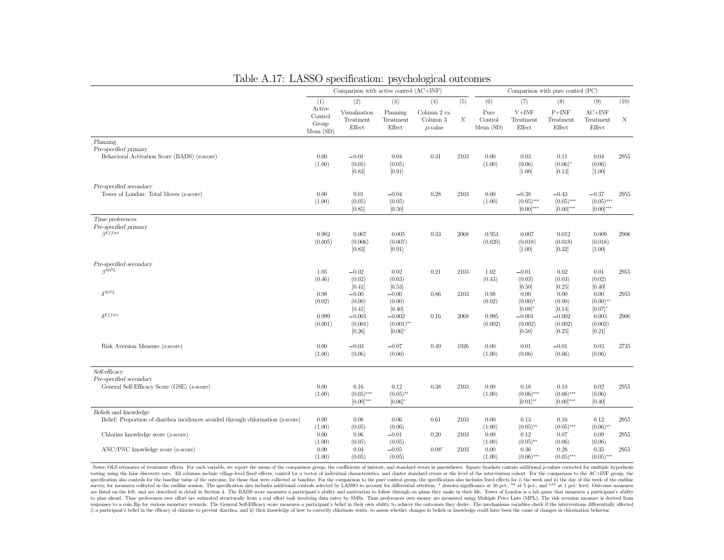| Table A.17: LASSO specification: psychological outcomes                                                   |                                         |                                         |                                        |                                        |                  |                                |                                         |                                           |                                           |                  |
|-----------------------------------------------------------------------------------------------------------|-----------------------------------------|-----------------------------------------|----------------------------------------|----------------------------------------|------------------|--------------------------------|-----------------------------------------|-------------------------------------------|-------------------------------------------|------------------|
|                                                                                                           |                                         | Comparison with active control (AC+INF) |                                        |                                        |                  |                                |                                         | Comparison with pure control (PC)         |                                           |                  |
|                                                                                                           | (1)                                     | (2)                                     | (3)                                    | (4)                                    | (5)              | (6)                            | (7)                                     | (8)                                       | (9)                                       | (10)             |
|                                                                                                           | Active<br>Control<br>Group<br>Mean (SD) | Visualization<br>Treatment<br>Effect    | Planning<br>Treatment<br>Effect        | Column 2 vs.<br>Column 3<br>$p$ -value | $\boldsymbol{N}$ | Pure<br>Control<br>Mean $(SD)$ | $V+INF$<br>Treatment<br>Effect          | $P+INF$<br>Treatment<br>Effect            | $AC+INF$<br>Treatment<br>Effect           | $\boldsymbol{N}$ |
| Planning<br>Pre-specified primary<br>Behavioral Activation Score (BADS) (z-score)                         | 0.00<br>(1.00)                          | $-0.01$<br>(0.05)<br>[0.83]             | 0.04<br>(0.05)<br>[0.91]               | 0.31                                   | 2103             | 0.00<br>(1.00)                 | 0.03<br>(0.06)<br>[1.00]                | 0.11<br>$(0.06)^{*}$<br>[0.13]            | 0.04<br>(0.06)<br>$[1.00]$                | 2955             |
| Pre-specified secondary<br>Tower of London: Total Moves (z-score)                                         | 0.00<br>(1.00)                          | 0.01<br>(0.05)<br>[0.85]                | $-0.04$<br>(0.05)<br>[0.50]            | 0.28                                   | 2103             | 0.00<br>(1.00)                 | $-0.38$<br>$(0.05)$ ***<br>$[0.00]$ *** | $-0.43$<br>$(0.05)$ ***<br>$[0.00]^{***}$ | $-0.37$<br>$(0.05)$ ***<br>$[0.00]^{***}$ | 2955             |
| Time preferences<br>Pre-specified primary<br>$\beta$ <i>Effort</i>                                        | 0.982<br>(0.005)                        | 0.007<br>(0.006)<br>[0.83]              | 0.005<br>(0.007)<br>[0.91]             | 0.33                                   | 2068             | 0.953<br>(0.020)               | 0.007<br>(0.018)<br>$[1.00]$            | 0.012<br>(0.018)<br>[0.32]                | 0.009<br>(0.018)<br>$[1.00]$              | 2906             |
| Pre-specified secondary<br>$\beta^{\bar{M}PL}$                                                            | 1.05<br>(0.46)                          | $-0.02$<br>(0.02)<br>[0.41]             | 0.02<br>(0.03)<br>[0.53]               | 0.21                                   | 2103             | 1.02<br>(0.43)                 | $-0.01$<br>(0.03)<br>[0.50]             | 0.02<br>(0.03)<br>[0.25]                  | 0.01<br>(0.02)<br>[0.40]                  | 2955             |
| $\delta^{MPL}$                                                                                            | 0.98<br>(0.02)                          | $-0.00$<br>(0.00)<br>[0.41]             | $-0.00$<br>(0.00)<br>[0.40]            | 0.86                                   | 2103             | 0.98<br>(0.02)                 | 0.00<br>$(0.00)^*$<br>$[0.08]*$         | 0.00<br>(0.00)<br>[0.14]                  | 0.00<br>$(0.00)$ **<br>$[0.07]*$          | 2955             |
| $\delta$ Effort                                                                                           | 0.999<br>(0.001)                        | $-0.001$<br>(0.001)<br>[0.26]           | $-0.002$<br>$(0.001)$ **<br>$[0.06]$ * | 0.16                                   | 2068             | 0.995<br>(0.002)               | $-0.001$<br>(0.002)<br>[0.50]           | $-0.002$<br>(0.002)<br>[0.25]             | 0.003<br>(0.002)<br>[0.21]                | 2906             |
| Risk Aversion Measure (z-score)                                                                           | 0.00<br>(1.00)                          | $-0.03$<br>(0.06)                       | $-0.07$<br>(0.06)                      | 0.49                                   | 1926             | 0.00<br>(1.00)                 | 0.01<br>(0.06)                          | $-0.01$<br>(0.06)                         | 0.03<br>(0.06)                            | 2735             |
| Self-efficacy<br>Pre-specified secondary<br>General Self-Efficacy Score (GSE) (z-score)                   | 0.00<br>(1.00)                          | 0.16<br>$(0.05)$ ***<br>$[0.00]$ ***    | 0.12<br>$(0.05)$ **<br>$[0.06]*$       | 0.38                                   | 2103             | 0.00<br>(1.00)                 | 0.18<br>$(0.06)$ ***<br>$[0.01]^{**}$   | 0.18<br>$(0.06)$ ***<br>$[0.00]^{***}$    | 0.02<br>(0.06)<br>[0.40]                  | 2955             |
| Beliefs and knowledge<br>Belief: Proportion of diarrhea incidences avoided through chlorination (z-score) | 0.00<br>(1.00)                          | 0.08<br>(0.05)                          | 0.06<br>(0.06)                         | 0.61                                   | 2103             | 0.00<br>(1.00)                 | 0.13<br>$(0.05)$ **                     | 0.16<br>$(0.05)$ ***                      | 0.12<br>$(0.06)$ **                       | 2955             |
| Chlorine knowledge score (z-score)                                                                        | $0.00\,$<br>(1.00)                      | 0.06<br>(0.05)                          | $-0.01$<br>(0.05)                      | 0.20                                   | 2103             | 0.00<br>(1.00)                 | 0.12<br>$(0.05)$ **                     | 0.07<br>(0.06)                            | 0.09<br>(0.06)                            | 2955             |
| ANC/PNC knowledge score (z-score)                                                                         | 0.00<br>(1.00)                          | 0.04<br>(0.05)                          | $-0.05$<br>(0.05)                      | $0.08*$                                | 2103             | 0.00<br>(1.00)                 | 0.36<br>$(0.06)$ ***                    | 0.28<br>$(0.05)$ ***                      | 0.35<br>$(0.05)$ ***                      | 2955             |

### Table A.17: LASSO specification: psychological outcomes

Notes: OLS estimates of treatment effects. For each variable, we report the mean of the comparison group, the coefficients of interest, and standard errors in parentheses. Square brackets contain additional p-values correc testing using the false discovery rate. All columns include village-level fixed effects, control for a vector of individual characteristics, and cluster standard errors at the level of the intervention cohort. For the comp specification also controls for the baseline value of the outcome, for those that were collected at baseline. For the comparison to the pure control group, the specification also includes fixed effects for i) the week and survey, for measures collected in the endline session. The specification also includes additional controls selected by LASSO to account for differential attrition. \* denotes significance at 10 pct., \*\* at 5 pct., and \*\*\* a are listed on the left, and are described in detail in Section 4. The BADS score measures a participant's ability and motivation to follow through on plans they make in their life. Tower of London is a lab game that measur to plan ahead. Time preferences over effort are estimated structurally from a real effort task involving data entry by SMSs. Time preferences over money are measured using Multiple Price Lists (MPL). The risk aversion meas responses to a coin flip for various monetary rewards. The General Self-Efficacy score measures a participant's belief in their own ability to achieve the outcomes they desire. The mechanisms variables check if the interve reported in the efficiency of chloring to prevent diarrhea, and ii) their knowledge of how to correctly chlorinate water, to assess whether changes in beliefs or knowledge could have been the cause of changes in chlorinati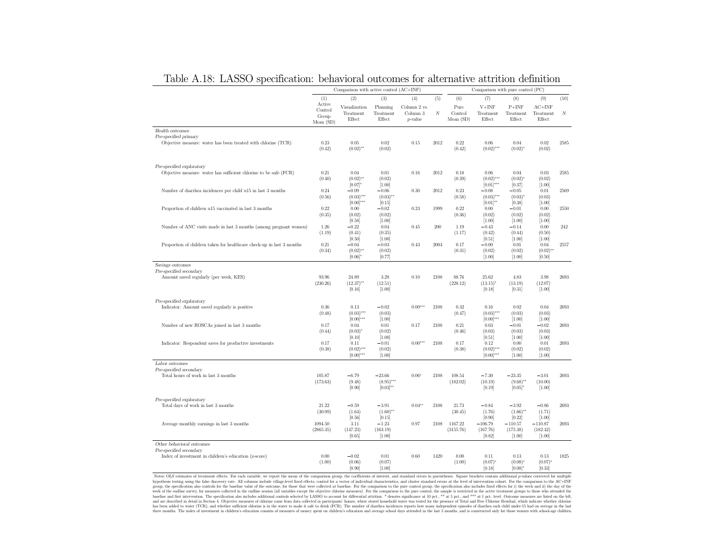|                                                                                        | Comparison with active control (AC+INF)   |                                                |                                           |                                             |      | Comparison with pure control (PC) |                                                |                                           |                                             |      |  |
|----------------------------------------------------------------------------------------|-------------------------------------------|------------------------------------------------|-------------------------------------------|---------------------------------------------|------|-----------------------------------|------------------------------------------------|-------------------------------------------|---------------------------------------------|------|--|
|                                                                                        | (1)                                       | (2)                                            | (3)                                       | (4)                                         | (5)  | (6)                               | (7)                                            | (8)                                       | (9)                                         | (10) |  |
|                                                                                        | Active<br>Control<br>Group<br>Mean $(SD)$ | Visualization<br>Treatment<br>Effect           | Planning<br>Treatment<br>Effect           | Column 2 vs.<br>Column 3<br><i>p</i> -value | N    | Pure<br>Control<br>Mean(SD)       | $V + INF$<br>Treatment<br>Effect               | $P+INF$<br>Treatment<br>Effect            | $AC+INF$<br>Treatment<br>Effect             | N    |  |
| Health outcomes                                                                        |                                           |                                                |                                           |                                             |      |                                   |                                                |                                           |                                             |      |  |
| Pre-specified primary<br>Objective measure: water has been treated with chlorine (TCR) | 0.23<br>(0.42)                            | 0.05<br>$(0.02)$ **                            | 0.02<br>(0.02)                            | 0.15                                        | 2012 | 0.22<br>(0.42)                    | 0.06<br>$(0.02)$ ***                           | 0.04<br>$(0.02)^{*}$                      | 0.02<br>(0.02)                              | 2585 |  |
| Pre-specified exploratory                                                              |                                           |                                                |                                           |                                             |      |                                   |                                                |                                           |                                             |      |  |
| Objective measure: water has sufficient chlorine to be safe (FCR)                      | 0.21<br>(0.40)                            | 0.04<br>$(0.02)$ **<br>$[0.07]$ *              | 0.01<br>(0.02)<br>[1.00]                  | 0.16                                        | 2012 | 0.18<br>(0.39)                    | 0.06<br>$(0.02)$ ***<br>$[0.01]$ ***           | 0.04<br>$(0.02)^{*}$<br>[0.37]            | 0.03<br>(0.02)<br>[1.00]                    | 2585 |  |
| Number of diarrhea incidences per child u15 in last 3 months                           | 0.24<br>(0.56)                            | $-0.09$<br>$(0.03)$ ***<br>$[0.00]$ ***        | $-0.06$<br>$(0.03)$ **<br>[0.15]          | 0.30                                        | 2012 | 0.23<br>(0.58)                    | $-0.08$<br>$(0.03)$ ***<br>$[0.01]^{**}$       | $-0.05$<br>(0.03)<br>[0.38]               | 0.01<br>(0.03)<br>[1.00]                    | 2569 |  |
| Proportion of children u15 vaccinated in last 3 months                                 | 0.22<br>(0.35)                            | 0.00<br>(0.02)<br>[0.58]                       | $-0.02$<br>(0.02)<br>$[1.00]$             | 0.23                                        | 1999 | 0.22<br>(0.36)                    | 0.00<br>(0.02)<br>[1.00]                       | $-0.01$<br>(0.02)<br>[1.00]               | 0.00<br>(0.02)<br>[1.00]                    | 2550 |  |
| Number of ANC visits made in last 3 months (among pregnant women)                      | 1.26<br>(1.19)                            | $-0.22$<br>(0.41)                              | 0.04<br>(0.35)                            | 0.45                                        | 200  | 1.19<br>(1.17)                    | $-0.43$<br>(0.42)                              | $-0.14$<br>(0.44)                         | 0.00<br>(0.50)                              | 242  |  |
| Proportion of children taken for healthcare check-up in last 3 months                  | 0.21<br>(0.34)                            | [0.50]<br>$-0.04$<br>$(0.02)$ **<br>$[0.06]$ * | $[1.00]$<br>$-0.03$<br>(0.02)<br>[0.77]   | 0.43                                        | 2004 | 0.17<br>(0.31)                    | [0.51]<br>$-0.00$<br>(0.02)<br>[1.00]          | [1.00]<br>0.01<br>(0.02)<br>[1.00]        | [1.00]<br>0.04<br>$(0.02)$ **<br>[0.50]     | 2557 |  |
| Savings outcomes                                                                       |                                           |                                                |                                           |                                             |      |                                   |                                                |                                           |                                             |      |  |
| Pre-specified secondary<br>Amount saved regularly (per week, KES)                      | 93.96<br>(230.26)                         | 24.89<br>$(12.37)$ **<br>[0.16]                | 3.28<br>(12.51)<br>[1.00]                 | 0.10                                        | 2108 | 88.76<br>(228.12)                 | 25.62<br>$(13.15)^{*}$<br>[0.18]               | 4.83<br>(13.19)<br>[0.31]                 | 3.98<br>(12.07)<br>[1.00]                   | 2693 |  |
| Pre-specified exploratory<br>Indicator: Amount saved regularly is positive             | 0.36<br>(0.48)                            | 0.13<br>$(0.03)$ ***                           | $-0.02$<br>(0.03)                         | $0.00***$                                   | 2108 | 0.32<br>(0.47)                    | 0.16<br>$(0.03)$ ***                           | 0.02<br>(0.03)                            | 0.04<br>(0.03)                              | 2693 |  |
| Number of new ROSCAs joined in last 3 months                                           | 0.17<br>(0.44)                            | $[0.00]$ ***<br>0.04<br>$(0.03)^{*}$           | [1.00]<br>0.01<br>(0.02)                  | 0.17                                        | 2108 | 0.21<br>(0.46)                    | $[0.00]$ ***<br>0.03<br>(0.03)                 | [1.00]<br>$-0.01$<br>(0.03)               | [1.00]<br>$-0.02$<br>(0.03)                 | 2693 |  |
| Indicator: Respondent saves for productive investments                                 | 0.17<br>(0.38)                            | [0.10]<br>0.11<br>$(0.02)$ ***<br>$[0.00]$ *** | [1.00]<br>$-0.01$<br>(0.02)<br>[1.00]     | $0.00***$                                   | 2108 | 0.17<br>(0.38)                    | [0.51]<br>0.12<br>$(0.02)$ ***<br>$[0.00]$ *** | [1.00]<br>0.00<br>(0.02)<br>[1.00]        | [1.00]<br>0.01<br>(0.02)<br>[1.00]          | 2693 |  |
| Labor outcomes                                                                         |                                           |                                                |                                           |                                             |      |                                   |                                                |                                           |                                             |      |  |
| Pre-specified secondary<br>Total hours of work in last 3 months                        | 105.87<br>(173.63)                        | $-6.79$<br>(9.48)<br>[0.90]                    | $-23.66$<br>$(8.95)$ ***<br>$[0.03]^{**}$ | $0.06*$                                     | 2108 | 108.54<br>(182.02)                | $-7.30$<br>(10.19)<br>[0.19]                   | $-23.35$<br>$(9.68)$ **<br>$[0.05]$ *     | $-3.01$<br>(10.00)<br>[1.00]                | 2693 |  |
| Pre-specified exploratory<br>Total days of work in last 3 months                       | 21.22<br>(30.09)                          | $-0.59$<br>(1.64)                              | $-3.91$<br>$(1.60)$ **                    | $0.04**$                                    | 2108 | 21.73<br>(30.45)                  | $-0.84$<br>(1.76)                              | $-3.92$<br>$(1.66)$ **                    | $-0.86$<br>(1.71)                           | 2693 |  |
| Average monthly earnings in last 3 months                                              | 1094.50<br>(2865.35)                      | [0.56]<br>3.11<br>(147.23)<br>[0.65]           | [0.15]<br>$-1.23$<br>(163.19)<br>[1.00]   | 0.97                                        | 2108 | 1167.22<br>(3155.76)              | [0.90]<br>$-106.79$<br>(167.76)<br>[0.82]      | [0.22]<br>$-110.57$<br>(175.38)<br>[1.00] | $[1.00]$<br>$-110.87$<br>(182.42)<br>[1.00] | 2693 |  |
| Other behavioral outcomes                                                              |                                           |                                                |                                           |                                             |      |                                   |                                                |                                           |                                             |      |  |
| Pre-specified secondary<br>Index of investment in children's education (z-score)       | 0.00<br>(1.00)                            | $-0.02$<br>(0.06)<br>in onl                    | 0.01<br>(0.07)<br>[1.00]                  | 0.60                                        | 1420 | 0.00<br>(1.00)                    | 0.11<br>$(0.07)^*$<br>[0.18]                   | 0.13<br>$(0.08)^*$<br>$[0.08]$ *          | 0.13<br>$(0.07)^*$<br>[0.33]                | 1825 |  |

Table A.18: LASSO specification: behavioral outcomes for alternative attrition definition

 $(1.00) \underbrace{(0.06)}_{[0.000]}\underbrace{(0.00)}_{[1.00]}\underbrace{(0.08)}_{[1.00]}\underbrace{(0.08)}_{[0.08]}\underbrace{(0.08)}_{[0.08]}\underbrace{(0.08)}_{[0.08]}\underbrace{(0.08)}_{[0.08]}\underbrace{(0.08)}_{[0.08]}\underbrace{(0.08)}_{[0.08]}\underbrace{(0.08)}_{[0.08]}\underbrace{(0.08)}_{[0.08]}\underbrace{(0.08)}_{[0.08]}\underbrace{(0.08)}_{[0.08]}\underbrace{(0$ three months. The index of investment in children's education consists of measures of money spent on children's education and average school days attended in the last 3 months, and is constructed only for those women with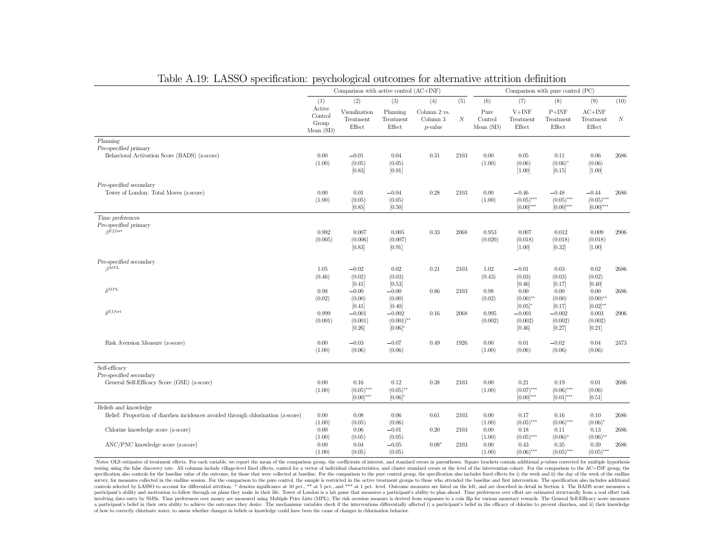| Table A.19: LASSO specification: psychological outcomes for afternative attrition definition              |                                        |                                            |                                        |                                             |                  |                             |                                             |                                         |                                                |                  |
|-----------------------------------------------------------------------------------------------------------|----------------------------------------|--------------------------------------------|----------------------------------------|---------------------------------------------|------------------|-----------------------------|---------------------------------------------|-----------------------------------------|------------------------------------------------|------------------|
|                                                                                                           |                                        | Comparison with active control (AC+INF)    |                                        |                                             |                  |                             |                                             | Comparison with pure control (PC)       |                                                |                  |
|                                                                                                           | (1)                                    | (2)                                        | (3)                                    | (4)                                         | (5)              | (6)                         | (7)                                         | (8)                                     | (9)                                            | (10)             |
|                                                                                                           | Active<br>Control<br>Group<br>Mean(SD) | Visualization<br>Treatment<br>Effect       | Planning<br>Treatment<br>Effect        | Column 2 vs.<br>Column 3<br><i>p</i> -value | $\boldsymbol{N}$ | Pure<br>Control<br>Mean(SD) | $V+INF$<br>Treatment<br>Effect              | $P+INF$<br>Treatment<br>Effect          | $AC+INF$<br>Treatment<br>Effect                | $\boldsymbol{N}$ |
| Planning<br>Pre-specified primary<br>Behavioral Activation Score (BADS) (z-score)                         | 0.00<br>(1.00)                         | $-0.01$<br>(0.05)<br>[0.83]                | 0.04<br>(0.05)<br>[0.91]               | 0.31                                        | 2103             | 0.00<br>(1.00)              | $0.05\,$<br>(0.06)<br>$[1.00]$              | 0.11<br>$(0.06)^{*}$<br>[0.15]          | 0.06<br>(0.06)<br>[1.00]                       | 2686             |
| Pre-specified secondary<br>Tower of London: Total Moves (z-score)                                         | 0.00<br>(1.00)                         | 0.01<br>(0.05)<br>[0.85]                   | $-0.04$<br>(0.05)<br>[0.50]            | 0.28                                        | 2103             | 0.00<br>(1.00)              | $-0.46$<br>$(0.05)$ ***<br>$[0.00]***$      | $-0.48$<br>$(0.05)$ ***<br>$[0.00]$ *** | $-0.44$<br>$(0.05)$ ***<br>$[0.00]$ ***        | 2686             |
| Time preferences<br>Pre-specified primary<br>$\beta$ Effort                                               | 0.982<br>(0.005)                       | 0.007<br>(0.006)<br>[0.83]                 | 0.005<br>(0.007)<br>[0.91]             | 0.33                                        | 2068             | 0.953<br>(0.020)            | 0.007<br>(0.018)<br>[1.00]                  | 0.012<br>(0.018)<br>[0.32]              | 0.009<br>(0.018)<br>$[1.00]$                   | 2906             |
| Pre-specified secondary<br>$\overline{\beta}$ <i>MPL</i>                                                  | 1.05<br>(0.46)                         | $-0.02$<br>(0.02)                          | 0.02<br>(0.03)                         | 0.21                                        | 2103             | 1.02<br>(0.43)              | $-0.01$<br>(0.03)                           | 0.03<br>(0.03)                          | 0.02<br>(0.02)                                 | 2686             |
| $\delta^{MPL}$                                                                                            | 0.98<br>(0.02)                         | [0.41]<br>$-0.00$<br>(0.00)<br>[0.41]      | [0.53]<br>$-0.00$<br>(0.00)<br>[0.40]  | 0.86                                        | 2103             | 0.98<br>(0.02)              | [0.46]<br>0.00<br>$(0.00)$ **<br>$[0.05]$ * | [0.17]<br>0.00<br>(0.00)<br>[0.17]      | [0.40]<br>0.00<br>$(0.00)$ **<br>$[0.02]^{**}$ | 2686             |
| $\delta$ Effort                                                                                           | 0.999<br>(0.001)                       | $-0.001$<br>(0.001)<br>[0.26]              | $-0.002$<br>$(0.001)$ **<br>$[0.06]$ * | 0.16                                        | 2068             | 0.995<br>(0.002)            | $-0.001$<br>(0.002)<br>[0.46]               | $-0.002$<br>(0.002)<br>[0.27]           | 0.003<br>(0.002)<br>$[0.21]$                   | $\,2906$         |
| Risk Aversion Measure (z-score)                                                                           | 0.00<br>(1.00)                         | $-0.03$<br>(0.06)                          | $-0.07$<br>(0.06)                      | 0.49                                        | 1926             | 0.00<br>(1.00)              | 0.01<br>(0.06)                              | $-0.02$<br>(0.06)                       | 0.04<br>(0.06)                                 | 2473             |
| Self-efficacy<br>Pre-specified secondary<br>General Self-Efficacy Score (GSE) (z-score)                   | 0.00<br>(1.00)                         | $0.16\,$<br>$(0.05)$ ***<br>$[0.00]^{***}$ | 0.12<br>$(0.05)$ **<br>$[0.06]$ *      | 0.38                                        | $2103\,$         | 0.00<br>(1.00)              | 0.21<br>$(0.07)$ ***<br>$[0.00]^{***}$      | 0.19<br>$(0.06)$ ***<br>$[0.01]^{***}$  | 0.01<br>(0.06)<br>[0.51]                       | 2686             |
| Beliefs and knowledge<br>Belief: Proportion of diarrhea incidences avoided through chlorination (z-score) | 0.00<br>(1.00)                         | 0.08<br>(0.05)                             | 0.06<br>(0.06)                         | 0.61                                        | 2103             | 0.00<br>(1.00)              | 0.17<br>$(0.05)$ ***                        | 0.16<br>$(0.06)$ ***                    | 0.10<br>$(0.06)^{*}$                           | 2686             |
| Chlorine knowledge score (z-score)<br>ANC/PNC knowledge score (z-score)                                   | 0.00<br>(1.00)<br>0.00                 | 0.06<br>(0.05)<br>0.04                     | $-0.01$<br>(0.05)<br>$-0.05$           | 0.20<br>$0.08*$                             | 2103<br>2103     | 0.00<br>(1.00)<br>0.00      | 0.18<br>$(0.05)$ ***<br>0.43                | 0.11<br>$(0.06)^*$<br>0.35              | 0.13<br>$(0.06)$ **<br>0.39                    | 2686<br>2686     |
|                                                                                                           | (1.00)                                 | (0.05)                                     | (0.05)                                 |                                             |                  | (1.00)                      | $(0.06)$ ***                                | $(0.05)$ ***                            | $(0.05)$ ***                                   |                  |

#### Table A.19: LASSO specification: psychological outcomes for alternative attrition definition

Notes: OLS estimates of treatment effects. For each variable, we report the mean of the comparison group, the coefficients of interest, and standard errors in parentheses. Square brackets contain additional p-values correc testing using the false discovery rate. All columns include village-level fixed effects, control for a vector of individual characteristics, and cluster standard errors at the level of the intervention cohort. For the comp specification also controls for the baseline value of the outcome, for those that were collected at baseline. For the comparison to the pure control group, the specification also includes fixed effects for i) the week and survey, for measures collected in the endline session. For the comparison to the pure control, the sample is restricted in the active treatment groups to those who attended the baseline and first intervention. The specific controls selected by LASSO to account for differential attrition. \* denotes significance at 10 pct., \*\* at 5 pct., and \*\*\* at 1 pct. level. Outcome measures are listed on the left, and are described in detail in Section 4. participant's ability and motivation to follow through on plans they make in their life. Tower of London is a lab game that measures a participant's ability to plan ahead. Time preferences over effort are estimated structu nuclearly and movement of the preferences over money are measured using Multiple Price Lists (MPL). The risk aversion measure is derived from responses to a coin flip for various monetary rewards. The General Self-Efficacy of how to correctly chlorinate water, to assess whether changes in beliefs or knowledge could have been the cause of changes in chlorination behavior.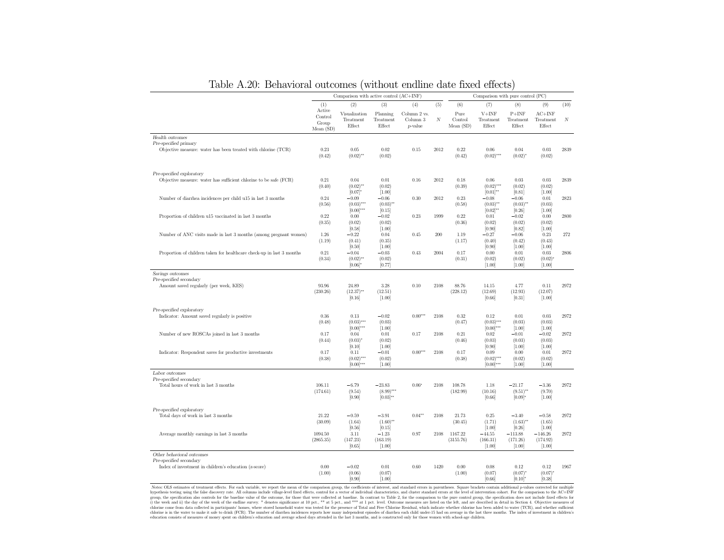|                                                                                        | Comparison with active control (AC+INF) |                                         |                                           |                                        |         | Comparison with pure control (PC) |                                            |                                             |                                             |         |  |
|----------------------------------------------------------------------------------------|-----------------------------------------|-----------------------------------------|-------------------------------------------|----------------------------------------|---------|-----------------------------------|--------------------------------------------|---------------------------------------------|---------------------------------------------|---------|--|
|                                                                                        | (1)                                     | (2)                                     | (3)                                       | (4)                                    | (5)     | (6)                               | (7)                                        | (8)                                         | (9)                                         | (10)    |  |
|                                                                                        | Active<br>Control<br>Group<br>Mean(SD)  | Visualization<br>Treatment<br>Effect    | Planning<br>Treatment<br>Effect           | Column 2 vs.<br>Column 3<br>$p$ -value | $_{N}$  | Pure<br>Control<br>Mean(SD)       | $V+INF$<br>Treatment<br>Effect             | $P+INF$<br>Treatment<br>Effect              | $AC+INF$<br>Treatment<br>Effect             | N       |  |
| Health outcomes                                                                        |                                         |                                         |                                           |                                        |         |                                   |                                            |                                             |                                             |         |  |
| Pre-specified primary<br>Objective measure: water has been treated with chlorine (TCR) | 0.23<br>(0.42)                          | 0.05<br>$(0.02)$ **                     | 0.02<br>(0.02)                            | 0.15                                   | 2012    | 0.22<br>(0.42)                    | 0.06<br>$(0.02)$ ***                       | 0.04<br>$(0.02)^{*}$                        | 0.03<br>(0.02)                              | 2839    |  |
| Pre-specified exploratory                                                              |                                         |                                         |                                           |                                        |         |                                   |                                            |                                             |                                             |         |  |
| Objective measure: water has sufficient chlorine to be safe (FCR)                      | 0.21<br>(0.40)                          | 0.04<br>$(0.02)$ **<br>$[0.07]$ *       | 0.01<br>(0.02)<br>[1.00]                  | 0.16                                   | 2012    | 0.18<br>(0.39)                    | 0.06<br>$(0.02)$ ***<br>$[0.01]^{**}$      | 0.03<br>(0.02)<br>[0.81]                    | 0.03<br>(0.02)<br>[1.00]                    | 2839    |  |
| Number of diarrhea incidences per child u15 in last 3 months                           | 0.24<br>(0.56)                          | $-0.09$<br>$(0.03)$ ***<br>$[0.00]$ *** | $-0.06$<br>$(0.03)$ **<br>[0.15]          | 0.30                                   | 2012    | 0.23<br>(0.58)                    | $-0.08$<br>$(0.03)$ **<br>$[0.02]^{**}$    | $-0.06$<br>$(0.03)$ **<br>[0.26]            | 0.01<br>(0.03)<br>[1.00]                    | 2823    |  |
| Proportion of children u15 vaccinated in last 3 months                                 | 0.22<br>(0.35)                          | 0.00<br>(0.02)<br>[0.58]                | $-0.02$<br>(0.02)<br>[1.00]               | $\rm 0.23$                             | 1999    | 0.22<br>(0.36)                    | 0.01<br>(0.02)<br>[0.90]                   | $-0.02$<br>(0.02)<br>[0.82]                 | $0.00\,$<br>(0.02)<br>[1.00]                | 2800    |  |
| Number of ANC visits made in last 3 months (among pregnant women)                      | 1.26<br>(1.19)                          | $-0.22$<br>(0.41)<br>[0.50]             | 0.04<br>(0.35)<br>[1.00]                  | 0.45                                   | $200\,$ | 1.19<br>(1.17)                    | $-0.27$<br>(0.40)<br>[0.90]                | $-0.06$<br>(0.42)<br>$[1.00]$               | 0.23<br>(0.43)<br>[1.00]                    | $272\,$ |  |
| Proportion of children taken for healthcare check-up in last 3 months                  | 0.21<br>(0.34)                          | $-0.04$<br>$(0.02)$ **<br>$[0.06]$ *    | $-0.03$<br>(0.02)<br>[0.77]               | 0.43                                   | 2004    | 0.17<br>(0.31)                    | 0.00<br>(0.02)<br>$[1.00]$                 | 0.01<br>(0.02)<br>$[1.00]$                  | 0.03<br>$(0.02)^{*}$<br>[1.00]              | 2806    |  |
| Savings outcomes                                                                       |                                         |                                         |                                           |                                        |         |                                   |                                            |                                             |                                             |         |  |
| Pre-specified secondary<br>Amount saved regularly (per week, KES)                      | 93.96<br>(230.26)                       | 24.89<br>$(12.37)$ **<br>[0.16]         | 3.28<br>(12.51)<br>[1.00]                 | 0.10                                   | 2108    | 88.76<br>(228.12)                 | 14.15<br>(12.69)<br>[0.66]                 | 4.77<br>(12.93)<br>[0.31]                   | 0.11<br>(12.07)<br>$[1.00]$                 | 2972    |  |
| Pre-specified exploratory                                                              |                                         |                                         |                                           |                                        |         |                                   |                                            |                                             |                                             |         |  |
| Indicator: Amount saved regularly is positive                                          | 0.36<br>(0.48)                          | 0.13<br>$(0.03)$ ***<br>$[0.00]$ ***    | $-0.02$<br>(0.03)<br>[1.00]               | $0.00***$                              | 2108    | 0.32<br>(0.47)                    | 0.12<br>$(0.03)$ ***<br>$[0.00]$ ***       | 0.01<br>(0.03)<br>[1.00]                    | $0.03\,$<br>(0.03)<br>[1.00]                | 2972    |  |
| Number of new ROSCAs joined in last 3 months                                           | 0.17<br>(0.44)                          | 0.04<br>$(0.03)^{*}$<br>[0.10]          | 0.01<br>(0.02)<br>[1.00]                  | 0.17                                   | 2108    | 0.21<br>(0.46)                    | 0.02<br>(0.03)<br>[0.90]                   | $-0.01$<br>(0.03)<br>$[1.00]$               | $-0.02$<br>(0.03)<br>$[1.00]$               | 2972    |  |
| Indicator: Respondent saves for productive investments                                 | 0.17<br>(0.38)                          | 0.11<br>$(0.02)$ ***<br>$[0.00]$ ***    | $-0.01$<br>(0.02)<br>[1.00]               | $0.00***$                              | 2108    | 0.17<br>(0.38)                    | 0.09<br>$(0.02)$ ***<br>$[0.00]$ ***       | 0.00<br>(0.02)<br>[1.00]                    | $0.01\,$<br>(0.02)<br>[1.00]                | 2972    |  |
| Labor outcomes                                                                         |                                         |                                         |                                           |                                        |         |                                   |                                            |                                             |                                             |         |  |
| Pre-specified secondary<br>Total hours of work in last 3 months                        | 106.11<br>(174.61)                      | $-6.79$<br>(9.54)<br>[0.90]             | $-23.83$<br>$(8.99)$ ***<br>$[0.03]^{**}$ | $0.06*$                                | 2108    | 108.78<br>(182.99)                | 1.18<br>(10.16)<br>[0.66]                  | $-21.17$<br>$(9.51)$ **<br>$[0.09]*$        | $-3.36$<br>(9.70)<br>[1.00]                 | 2972    |  |
| Pre-specified exploratory<br>Total days of work in last 3 months                       | 21.22<br>(30.09)                        | $-0.59$<br>(1.64)                       | $-3.91$<br>$(1.60)$ **                    | $0.04**$                               | 2108    | 21.73<br>(30.45)                  | 0.25<br>(1.71)                             | $-3.40$<br>$(1.63)$ **                      | $-0.58$<br>(1.65)                           | 2972    |  |
| Average monthly earnings in last 3 months                                              | 1094.50<br>(2865.35)                    | [0.56]<br>3.11<br>(147.23)<br>[0.65]    | [0.15]<br>$-1.23$<br>(163.19)<br>$[1.00]$ | 0.97                                   | 2108    | 1167.22<br>(3155.76)              | [1.00]<br>$-44.55$<br>(166.31)<br>$[1.00]$ | [0.26]<br>$-113.88$<br>(171.26)<br>$[1.00]$ | [1.00]<br>$-146.26$<br>(174.92)<br>$[1.00]$ | 2972    |  |
| Other behavioral outcomes                                                              |                                         |                                         |                                           |                                        |         |                                   |                                            |                                             |                                             |         |  |
| Pre-specified secondary<br>Index of investment in children's education (z-score)       | 0.00<br>(1.00)                          | $-0.02$<br>(0.06)<br>[0.90]             | 0.01<br>(0.07)<br>[1.00]                  | 0.60                                   | 1420    | 0.00<br>(1.00)                    | 0.08<br>(0.07)<br>[0.66]                   | 0.12<br>$(0.07)^{*}$<br>$[0.10]$ *          | 0.12<br>$(0.07)^{*}$<br>[0.38]              | 1967    |  |

Table A.20: Behavioral outcomes (without endline date fixed effects)

 $(1.00) \underbrace{(0.06)}_{(0.06)} \underbrace{(0.06)}_{(0.06)} \underbrace{(0.06)}_{(0.06)} \underbrace{(0.07)}_{(0.07)} \underbrace{(0.08)}_{(0.08)} \underbrace{(0.09)}_{(0.08)} \underbrace{(0.00)}_{(0.09)} \underbrace{(0.00)}_{(0.010)} \underbrace{(0.06)}_{(0.06)} \underbrace{(0.06)}_{(0.010)} \underbrace{(0.07)}_{(0.08)} \underbrace{(0.08)}_{(0.08)} \underbrace{(0.09)}_{(0.08)} \underbrace{($